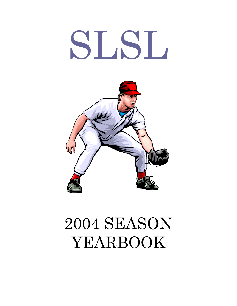# SLSL



## 2004 SEASON YEARBOOK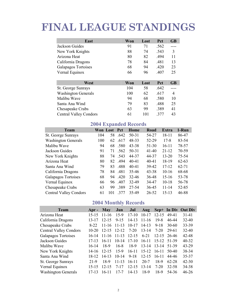### FINAL LEAGUE STANDINGS

| East                          | Won | Lost | Pct  | <b>GB</b> |
|-------------------------------|-----|------|------|-----------|
| Jackson Guides                | 91  | 71   | .562 |           |
| New York Knights              | 88  | 74   | .543 | 3         |
| Arizona Heat                  | 80  | 82   | .494 | 11        |
| California Dragons            | 78  | 84   | .481 | 13        |
| Galapagos Tortoises           | 68  | 94   | .420 | 23        |
| Vernal Equinox                | 66  | 96   | .407 | 25        |
|                               |     |      |      |           |
| West                          | Won | Lost | Pct  | <b>GB</b> |
| St. George Sunrays            | 104 | 58   | .642 |           |
| <b>Washington Generals</b>    | 100 | 62   | .617 | 4         |
| Malibu Wave                   | 94  | 68   | .580 | 10        |
| Santa Ana Wind                | 79  | 83   | .488 | 25        |
| Chesapeake Crabs              | 63  | 99   | .389 | 41        |
| <b>Central Valley Condors</b> | 61  | 101  | .377 | 43        |

#### 2004 Expanded Records

| Team                          |     | Won Lost | <b>Pct</b> | Home      | Road      | Extra     | 1-Run     |
|-------------------------------|-----|----------|------------|-----------|-----------|-----------|-----------|
| St. George Sunrays            | 104 | 58       | .642       | 50-31     | 54-27     | 18-11     | 86-47     |
| <b>Washington Generals</b>    | 100 | 62       | .617       | 48-33     | 52-29     | $17 - 8$  | 83-54     |
| Malibu Wave                   | 94  | 68       | .580       | 43-38     | $51 - 30$ | $16-11$   | 78-57     |
| Jackson Guides                | 91  | 71       | .562       | $50 - 31$ | $41-40$   | $21 - 12$ | 70-59     |
| New York Knights              | 88  | 74       | .543       | 44-37     | 44-37     | $13 - 20$ | 75-54     |
| Arizona Heat                  | 80  | 82       | .494       | $40 - 41$ | $40 - 41$ | 18-19     | $62 - 63$ |
| Santa Ana Wind                | 79  | 83       | .488       | $40 - 41$ | 39-42     | $17 - 12$ | $62 - 71$ |
| California Dragons            | 78  | 84       | .481       | 35-46     | $43 - 38$ | $10-16$   | 68-68     |
| Galapagos Tortoises           | 68  | 94       | .420       | 32-46     | 36-48     | $15-16$   | 53-78     |
| Vernal Equinox                | 66  | 96       | .407       | 32-49     | 34-47     | $10-18$   | 56-78     |
| Chesapeake Crabs              | 63  | 99       | .389       | 27-54     | 36-45     | $11 - 14$ | 52-85     |
| <b>Central Valley Condors</b> | 61  | 101      | .377       | 35-49     | 26-52     | $15 - 13$ | 46-88     |

#### 2004 Monthly Records

| Team                          | Apr $-$   | <b>May</b> | Jun       | Jul       | <b>Aug</b> |           |           | Sep+ In Div Out Div |
|-------------------------------|-----------|------------|-----------|-----------|------------|-----------|-----------|---------------------|
| Arizona Heat                  | $15 - 15$ | $11 - 16$  | $15-9$    | $17 - 10$ | $10-17$    | $12 - 15$ | 49-41     | $31 - 41$           |
| California Dragons            | $13 - 17$ | $12 - 15$  | $9 - 15$  | $14-13$   | $11 - 16$  | $19 - 8$  | 46-44     | $32 - 40$           |
| Chesapeake Crabs              | 8-22      | $11 - 16$  | $11 - 13$ | $10-17$   | $14 - 13$  | $9 - 18$  | $30 - 60$ | 33-39               |
| <b>Central Valley Condors</b> | $10 - 20$ | $12 - 15$  | $12 - 12$ | $7-20$    | $13 - 14$  | 7-20      | 29-61     | $32 - 40$           |
| Galapagos Tortoises           | $16-14$   | $11 - 16$  | $11 - 13$ | $12 - 15$ | $6 - 21$   | $12 - 15$ | 26-46     | 42-48               |
| Jackson Guides                | $17-13$   | $16-11$    | $10 - 14$ | $17-10$   | $16-11$    | $15 - 12$ | 51-39     | $40 - 32$           |
| Malibu Wave                   | $16-14$   | 18-9       | $16-8$    | 18-9      | $13 - 14$  | $13 - 14$ | 51-39     | $43 - 29$           |
| New York Knights              | 14-16     | $12 - 15$  | $15-9$    | $16 - 11$ | $15 - 12$  | $16-11$   | 50-40     | 38-34               |
| Santa Ana Wind                | 18-12     | $14 - 13$  | $10-14$   | $9-18$    | $12 - 15$  | $16-11$   | 44-46     | 35-37               |
| St. George Sunrays            | $21-9$    | 18-9       | $11 - 13$ | $16 - 11$ | $20 - 7$   | 18-9      | 62-28     | $42 - 30$           |
| Vernal Equinox                | $15 - 15$ | $12 - 15$  | $7 - 17$  | $12 - 15$ | $13 - 14$  | 7-20      | 32-58     | 34-38               |
| <b>Washington Generals</b>    | $17-13$   | $16 - 11$  | $17 - 7$  | $14-13$   | 18-9       | 18-9      | 54-36     | $46 - 26$           |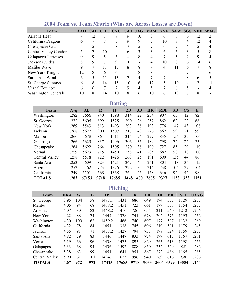| <b>Team</b>                   |    |    |    |    |    |    | AZH CAD CHC CVC GAT JAG MAW NYK SAW SGS VEE WAG |              |    |   |    |   |
|-------------------------------|----|----|----|----|----|----|-------------------------------------------------|--------------|----|---|----|---|
| Arizona Heat                  |    | 12 |    |    | 9  | 10 |                                                 | 6            | 6  | 6 | 12 | ∍ |
| California Dragons            | 6  |    |    |    | 9  | 9  |                                                 | 10           |    | 4 | 12 |   |
| Chesapeake Crabs              |    |    |    | 8  |    |    |                                                 | 6            |    | 4 |    |   |
| <b>Central Valley Condors</b> |    |    | 10 |    | 6  | 3  |                                                 | <sub>0</sub> |    |   |    |   |
| Galapagos Tortoises           |    | 9  |    | 6  |    | 8  |                                                 |              |    |   | 9  |   |
| Jackson Guides                |    | 9  |    | 9  | 10 |    |                                                 | 10           | 8  | 6 | 14 |   |
| Malibu Wave                   |    |    |    | 15 | 8  | 8  |                                                 | 4            | 11 | 6 |    |   |
| New York Knights              | 12 | 8  | 6  | 6  | 11 | 8  | 8                                               |              |    |   | 11 |   |
| Santa Ana Wind                | 6  |    |    | 13 |    |    |                                                 |              |    | 8 | 6  |   |
| St. George Sunrays            | 6  | 8  | 14 | 15 | 10 | 6  | 12                                              |              | 10 |   |    |   |
| Vernal Equinox                | 6  | h  |    |    | 9  | 4  |                                                 |              | h  |   |    |   |
| <b>Washington Generals</b>    | 10 | 8  | 14 | 10 | 8  | n  | 10                                              | n            | 3  |   | 8  |   |

#### 2004 Team vs. Team Matrix (Wins are Across Losses are Down)

**Batting** 

| <b>Team</b>    | Avg  | AB    | $\bf R$ | H     | 2B   | 3B  | <b>HR</b> | <b>RBI</b> | SB   | <b>CS</b> | E    |
|----------------|------|-------|---------|-------|------|-----|-----------|------------|------|-----------|------|
| Washington     | .282 | 5666  | 940     | 1598  | 314  | 22  | 234       | 907        | 63   | 12        | 82   |
| St. George     | .272 | 5605  | 899     | 1525  | 290  | 26  | 257       | 862        | 62   | 22        | 68   |
| New York       | .269 | 5543  | 813     | 1493  | 293  | 38  | 193       | 776        | 147  | 43        | 108  |
| Jackson        | .268 | 5627  | 900     | 1507  | 317  | 43  | 276       | 862        | 59   | 21        | 99   |
| Malibu         | .266 | 5678  | 864     | 1511  | 314  | 26  | 227       | 835        | 156  | 35        | 106  |
| Galapagos      | .266 | 5623  | 837     | 1496  | 306  | 35  | 189       | 798        | 72   | 22        | 75   |
| Chesapeake     | .264 | 5692  | 764     | 1505  | 270  | 38  | 190       | 727        | 85   | 29        | 110  |
| Vernal         | .259 | 5629  | 715     | 1459  | 258  | 41  | 205       | 682        | 58   | 18        | 100  |
| Central Valley | .258 | 5518  | 722     | 1426  | 263  | 25  | 191       | 690        | 135  | 44        | 86   |
| Santa Ana      | .253 | 5609  | 823     | 1421  | 267  | 45  | 261       | 804        | 118  | 36        | 115  |
| Arizona        | .252 | 5462  | 773     | 1376  | 292  | 35  | 214       | 738        | 106  | 29        | 104  |
| California     | .249 | 5501  | 668     | 1368  | 264  | 26  | 168       | 646        | 92   | 42        | 98   |
| <b>TOTALS</b>  | .263 | 67153 | 9718    | 17685 | 3448 | 400 | 2605      | 9327       | 1153 | 353       | 1151 |

#### Pitching

| <b>Team</b>           | <b>ERA</b> | W   | L   | IP     | H     | R    | ER   | <b>HR</b> | <b>BB</b> | <b>SO</b> | <b>OAVG</b> |
|-----------------------|------------|-----|-----|--------|-------|------|------|-----------|-----------|-----------|-------------|
| St. George            | 3.95       | 104 | 58  | 1477.1 | 1431  | 686  | 649  | 194       | 555       | 1129      | .255        |
| Malibu                | 4.05       | 94  | 68  | 1468.2 | 1451  | 723  | 661  | 177       | 538       | 1154      | .257        |
| Arizona               | 4.07       | 80  | 82  | 1448.2 | 1416  | 726  | 655  | 211       | 540       | 1212      | .256        |
| New York              | 4.22       | 88  | 74  | 1447   | 1378  | 741  | 678  | 202       | 575       | 1193      | .252        |
| Washington            | 4.30       | 100 | 62  | 1459.2 | 1466  | 740  | 697  | 177       | 507       | 1132      | .260        |
| California            | 4.32       | 78  | 84  | 1451   | 1338  | 745  | 696  | 210       | 501       | 1179      | .245        |
| Jackson               | 4.55       | 91  | 71  | 1457.2 | 1427  | 794  | 737  | 198       | 524       | 1159      | .255        |
| Santa Ana             | 4.82       | 79  | 83  | 1446   | 1447  | 833  | 774  | 199       | 615       | 1167      | .261        |
| Vernal                | 5.19       | 66  | 96  | 1438   | 1475  | 895  | 829  | 265       | 613       | 1198      | .266        |
| Galapagos             | 5.33       | 68  | 94  | 1436   | 1592  | 888  | 850  | 232       | 529       | 928       | .282        |
| Chesapeake            | 5.38       | 63  | 99  | 1451   | 1641  | 951  | 867  | 272       | 486       | 1165      | .285        |
| <b>Central Valley</b> | 5.90       | 61  | 101 | 1434.1 | 1623  | 996  | 940  | 269       | 616       | 938       | .286        |
| <b>TOTALS</b>         | 4.67       | 972 | 972 | 17415  | 17685 | 9718 | 9033 | 2606      | 6599      | 13554     | .264        |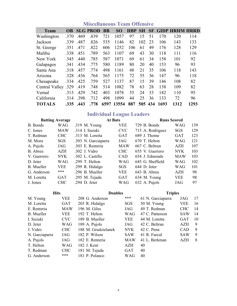| <b>Team</b>         | <b>OB</b> |      | <b>SLG PROD</b> | <b>BB</b> | SO.        | <b>HBP</b> | <b>SH</b> | <b>SF</b> |      | <b>GIDP HRHM HRRD</b> |      |
|---------------------|-----------|------|-----------------|-----------|------------|------------|-----------|-----------|------|-----------------------|------|
| Washington          | .370      | .469 | .839            | 721       | 1057       | 97         | 15        | 51        | 170  | 120                   | 114  |
| Jackson             | 339       | .487 | .826            | 535       | 1146       | 82         | 102       | 23        | 106  | 143                   | 133  |
| St. George          | .351      | .471 | .822            | 606       | 1252       | 106        | 61        | 49        | 176  | 128                   | 129  |
| Malibu              | .338      | .451 | .789            | 563       | 1107       | 69         | 43        | 30        | 118  | 111                   | 116  |
| New York            | .345      | .440 | .785            | 587       | 1071       | 69         | 61        | 34        | 158  | 101                   | 92   |
| Galapagos           | 341       | .434 | .775            | 580       | 1189       | 80         | 20        | 40        | 153  | 96                    | 93   |
| Santa Ana           | .318      | .457 | .774            | 498       | 1161       | 48         | 21        | 35        | 106  | 118                   | 143  |
| Arizona             | .328      | .436 | .764            | 565       | 1175       | 72         | 55        | 36        | 147  | 96                    | 118  |
| Chesapeake          | .334      | .425 | .759            | 527       | 1137       | 87         | 15        | 39        | 146  | 108                   | 82   |
| Central Valley .329 |           | .419 | .748            | 514       | 1082       | 78         | 63        | 28        | 138  | 109                   | 82   |
| Vernal              | .313      | .429 | .742            | 403       | 1078       | 55         | 24        | 33        | 142  | 110                   | 95   |
| California          | .314      | .398 | .712            | 498       | 1099       | 44         | 25        | 36        | 133  | 72                    | 96   |
| <b>TOTALS</b>       | .335      | .443 | .778            |           | 6597 13554 | 887        | 505 434   |           | 1693 | 1312                  | 1293 |

#### Miscellaneous Team Offensive

#### Individual League Leaders

|                   | <b>Batting Average</b> |                     | <b>At Bats</b> |                  | <b>Runs Scored</b> |     |  |  |
|-------------------|------------------------|---------------------|----------------|------------------|--------------------|-----|--|--|
| B. Bonds          | <b>WAG</b>             | .319 M. Young       | <b>VEE</b>     | 729 B. Bonds     | WAG                | 139 |  |  |
| C. Jones          | <b>MAW</b>             | .314 I. Suzuki      | <b>CVC</b>     | 715 A. Rodriguez | SGS                | 129 |  |  |
| T. Redman         | <b>CHC</b>             | .313 M. Loretta     | <b>GAT</b>     | 689 J. Thome     | <b>GAT</b>         | 123 |  |  |
| M. Mora           | <b>SGS</b>             | .303 N. Garciaparra | JAG            | 670 T. Helton    | WAG                | 121 |  |  |
| A. Pujols         | JAG                    | .303 E. Renteria    | <b>MAW</b>     | 667 C. Beltran   | <b>AZH</b>         | 107 |  |  |
| B. Abreu          | <b>AZH</b>             | .302 J. Vidro       | <b>CHC</b>     | 655 V. Guerrero  | <b>NYK</b>         | 103 |  |  |
| V. Guerrero       | <b>NYK</b>             | .302 L. Castillo    | <b>CAD</b>     | 654 J. Edmonds   | <b>MAW</b>         | 103 |  |  |
| D. Jeter          | <b>WAG</b>             | .299 T. Helton      | WAG            | 645 G. Sheffield | <b>WAG</b>         | 102 |  |  |
| <b>B.</b> Mueller | <b>VEE</b>             | .299 R. Hidalgo     | <b>SGS</b>     | 644 D. Jeter     | <b>WAG</b>         | 101 |  |  |
| G. Anderson       | ***                    | .296 B. Mueller     | <b>VEE</b>     | 643 B. Abreu     | <b>AZH</b>         | 98  |  |  |
| M. Loretta        | <b>GAT</b>             | .295 M. Tejada      | <b>GAT</b>     | 634 M. Young     | <b>VEE</b>         | 98  |  |  |
| J. Jones          | <b>CHC</b>             | .294 D. Jeter       | <b>WAG</b>     | 632 A. Pujols    | JAG                | 97  |  |  |

| <b>Hits</b>       |            | <b>Doubles</b>      |            | <b>Triples</b>    |            |    |  |  |
|-------------------|------------|---------------------|------------|-------------------|------------|----|--|--|
| M. Young          | VEE        | 208 G. Anderson     | ***        | 61 N. Garciaparra | JAG        | 17 |  |  |
| M. Loretta        | <b>GAT</b> | 203 R. Hidalgo      | SGS        | 50 M. Young       | <b>VEE</b> | 16 |  |  |
| E. Renteria       | <b>MAW</b> | 196 M. Giles        | JAG        | 49 T. Redman      | <b>CHC</b> | 14 |  |  |
| <b>B.</b> Mueller | <b>VEE</b> | 192 T. Helton       | <b>WAG</b> | 47 C. Patterson   | <b>SAW</b> | 14 |  |  |
| I. Suzuki         | <b>CVC</b> | 189 B. Mueller      | <b>VEE</b> | 44 M. Loretta     | <b>GAT</b> | 10 |  |  |
| D. Jeter          | WAG        | 189 A. Pujols       | JAG        | 42 C. Beltran     | <b>AZH</b> | 9  |  |  |
| J. Vidro          | <b>CHC</b> | 188 M. Grudzielanek | <b>NYK</b> | 42 C. Pena        | <b>CAD</b> | 9  |  |  |
| N. Garciaparra    | <b>JAG</b> | 182 P. Wilson       | <b>SAW</b> | 41 R. Furcal      | <b>SAW</b> | 9  |  |  |
| A. Pujols         | JAG        | 182 E. Renteria     | <b>MAW</b> | 41 L. Berkman     | AZH        | 8  |  |  |
| T. Helton         | <b>WAG</b> | 182 J. Kent         | <b>AZH</b> | 40                |            |    |  |  |
| T. Redman         | <b>CHC</b> | 181 M. Tejada       | <b>GAT</b> | 40                |            |    |  |  |
| G. Anderson       | ***        | 181 P. Polanco      | WAG        | 40                |            |    |  |  |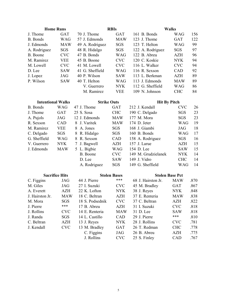| <b>Home Runs</b>         |                       |                    | <b>RBIs</b>         |                        | <b>Walks</b> |      |
|--------------------------|-----------------------|--------------------|---------------------|------------------------|--------------|------|
| J. Thome                 | <b>GAT</b>            | 70 J. Thome        | <b>GAT</b>          | 161 B. Bonds           | <b>WAG</b>   | 156  |
| B. Bonds                 | <b>WAG</b>            | 57 J. Edmonds      | <b>MAW</b>          | 123 J. Thome           | <b>GAT</b>   | 122  |
| J. Edmonds               | <b>MAW</b>            | 49 A. Rodriguez    | SGS                 | 123 T. Helton          | <b>WAG</b>   | 99   |
| A. Rodriguez             | SGS                   | 48 R. Hidalgo      | SGS                 | 122 A. Rodriguez       | SGS          | 97   |
| B. Boone                 | <b>CVC</b>            | 47 B. Bonds        | <b>WAG</b>          | 122 B. Abreu           | <b>AZH</b>   | 96   |
| M. Ramirez               | VEE                   | 45 B. Boone        | <b>CVC</b>          | 120 C. Koskie          | <b>NYK</b>   | 94   |
| M. Lowell                | <b>CVC</b>            | 41 M. Lowell       | <b>CVC</b>          | 116 L. Walker          | <b>CVC</b>   | 94   |
| D. Lee                   | <b>SAW</b>            | 41 G. Sheffield    | <b>WAG</b>          | 116 R. Sexson          | CAD          | 92   |
| J. Lopez                 | JAG                   | 40 P. Wilson       | <b>SAW</b>          | 113 L. Berkman         | <b>AZH</b>   | 89   |
| P. Wilson                | <b>SAW</b>            | 40 T. Helton       | <b>WAG</b>          | 113 J. Edmonds         | <b>MAW</b>   | 89   |
|                          |                       | V. Guerrero        | <b>NYK</b>          | 112 G. Sheffield       | <b>WAG</b>   | 86   |
|                          |                       | M. Ramirez         | VEE                 | 109 N. Johnson         | <b>CHC</b>   | 84   |
| <b>Intentional Walks</b> |                       | <b>Strike Outs</b> |                     | <b>Hit By Pitch</b>    |              |      |
| <b>B.</b> Bonds          | <b>WAG</b>            | 47 J. Thome        | <b>GAT</b>          | 212 J. Kendall         | <b>CVC</b>   | 26   |
| J. Thome                 | GAT                   | 25 S. Sosa         | <b>CHC</b>          | 190 C. Delgado         | SGS          | 23   |
| A. Pujols                | <b>JAG</b>            | 12 J. Edmonds      | <b>MAW</b>          | 177 M. Mora            | <b>SGS</b>   | 23   |
| R. Sexson                | CAD                   | 8 J. Varitek       | <b>MAW</b>          | 174 D. Jeter           | <b>WAG</b>   | 19   |
| M. Ramirez               | <b>VEE</b>            | A. Jones<br>8      | SGS                 | 168 J. Giambi          | JAG          | 18   |
| C. Delgado               | <b>SGS</b>            | R. Hidalgo<br>8    | SGS                 | 160 B. Bonds           | <b>WAG</b>   | 17   |
| G. Sheffield             | <b>WAG</b>            | R. Sexson<br>8     | CAD                 | 158 A. Rodriguez       | SGS          | 16   |
| V. Guerrero              | <b>NYK</b>            | J. Bagwell         | <b>AZH</b>          | 157 J. Larue           | <b>AZH</b>   | 15   |
| J. Edmonds               | <b>MAW</b>            | 5 L. Bigbie        | <b>WAG</b>          | 154 D. Lee             | <b>SAW</b>   | 15   |
|                          |                       | B. Boone           | <b>CVC</b>          | 149 M. Grudzielanek    | <b>NYK</b>   | 14   |
|                          |                       | D. Lee             | <b>SAW</b>          | 149 J. Vidro           | <b>CHC</b>   | 14   |
|                          |                       | A. Rodriguez       | SGS                 | 149 G. Sheffield       | <b>WAG</b>   | 14   |
|                          | <b>Sacrifice Hits</b> |                    | <b>Stolen Bases</b> | <b>Stolen Base Pct</b> |              |      |
| C. Figgins               | JAG                   | 44 J. Pierre       | ***                 | 68 J. Hairston Jr.     | <b>MAW</b>   | .870 |
| M. Giles                 | JAG                   | 27 I. Suzuki       | <b>CVC</b>          | 45 M. Bradley          | <b>GAT</b>   | .867 |
| A. Everett               | <b>AZH</b>            | 22 K. Lofton       | <b>NYK</b>          | 38 J. Reyes            | <b>NYK</b>   | .848 |
| J. Hairston Jr.          | <b>MAW</b>            | 18 C. Beltran      | AZH                 | 37 E. Renteria         | <b>MAW</b>   | .838 |
| M. Mora                  | <b>SGS</b>            | 18 S. Podsednik    | <b>CVC</b>          | 37 C. Beltran          | <b>AZH</b>   | .822 |
| J. Pierre                | ***                   | 17 B. Abreu        | AZH                 | 31 I. Suzuki           | <b>CVC</b>   | .818 |
| J. Rollins               | <b>CVC</b>            | 14 E. Renteria     | <b>MAW</b>          | 31 D. Lee              | <b>SAW</b>   | .818 |
| J. Randa                 | SGS                   | 14 L. Castillo     | CAD                 | 29 J. Pierre           | ***          | .810 |
| C. Beltran               | <b>AZH</b>            | 13 J. Reyes        | <b>NYK</b>          | 28 J. Rollins          | <b>CVC</b>   | .781 |
| J. Kendall               | <b>CVC</b>            | 13 M. Bradley      | GAT                 | 26 T. Redman           | <b>CHC</b>   | .778 |
|                          |                       | C. Figgins         | JAG                 | 26 B. Abreu            | <b>AZH</b>   | .775 |
|                          |                       | J. Rollins         | <b>CVC</b>          | 25 S. Finley           | CAD          | .767 |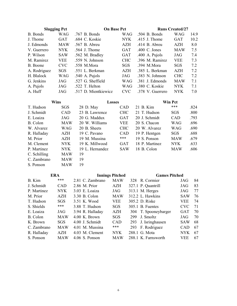| <b>Slugging Pct</b> |            | <b>On Base Pct</b>   |            |                  | <b>Runs Created/27</b> |      |  |  |
|---------------------|------------|----------------------|------------|------------------|------------------------|------|--|--|
| B. Bonds            | <b>WAG</b> | .767 B. Bonds        | WAG        | .504 B. Bonds    | WAG                    | 14.9 |  |  |
| J. Thome            | <b>GAT</b> | .684 C. Koskie       | <b>NYK</b> | .415 J. Thome    | <b>GAT</b>             | 10.2 |  |  |
| J. Edmonds          | <b>MAW</b> | .567 B. Abreu        | AZH        | .414 B. Abreu    | <b>AZH</b>             | 8.0  |  |  |
| V. Guerrero         | <b>NYK</b> | .564 J. Thome        | <b>GAT</b> | .400 C. Jones    | <b>MAW</b>             | 7.5  |  |  |
| P. Wilson           | <b>SAW</b> | .562 M. Bradley      | GAT        | .400 A. Pujols   | JAG                    | 7.4  |  |  |
| M. Ramirez          | <b>VEE</b> | .559 N. Johnson      | <b>CHC</b> | .396 M. Ramirez  | <b>VEE</b>             | 7.3  |  |  |
| B. Boone            | <b>CVC</b> | .558 M.Mora          | <b>SGS</b> | .394 M.Mora      | <b>SGS</b>             | 7.2  |  |  |
| A. Rodriguez        | <b>SGS</b> | .551 L. Berkman      | <b>AZH</b> | .385 L. Berkman  | AZH                    | 7.2  |  |  |
| H. Blalock          | <b>WAG</b> | $.540$ A. Pujols     | JAG        | .383 N. Johnson  | <b>CHC</b>             | 7.2  |  |  |
| G. Jenkins          | JAG.       | .527 G. Sheffield    | WAG        | .381 J. Edmonds  | <b>MAW</b>             | 7.1  |  |  |
| A. Pujols           | JAG        | .522 T. Helton       | WAG        | .380 C. Koskie   | <b>NYK</b>             | 7.1  |  |  |
| A. Huff             | JAG        | .517 D. Mientkiewicz | <b>CVC</b> | .378 V. Guerrero | <b>NYK</b>             | 7.0  |  |  |

| Wins         |            | <b>Losses</b>   |            |                | Win Pct    |      |  |  |
|--------------|------------|-----------------|------------|----------------|------------|------|--|--|
| T. Hudson    | <b>SGS</b> | 28 D. May       | <b>CAD</b> | 21 B. Kim      | ***        | .824 |  |  |
| J. Schmidt   | <b>CAD</b> | 23 B. Lawrence  | <b>CHC</b> | 21 T. Hudson   | <b>SGS</b> | .800 |  |  |
| E. Loaiza    | JAG        | 20 G. Maddux    | <b>GAT</b> | 20 J. Schmidt  | CAD        | .793 |  |  |
| B. Colon     | <b>MAW</b> | 20 W. Williams  | <b>VEE</b> | 20 S. Chacon   | WAG        | .696 |  |  |
| W. Alvarez   | WAG        | 20 B. Sheets    | <b>CHC</b> | 20 W. Alvarez  | WAG        | .690 |  |  |
| R. Halladay  | <b>AZH</b> | 19 C. Pavano    | <b>CAD</b> | 19 P. Hentgen  | <b>SGS</b> | .688 |  |  |
| M. Prior     | <b>AZH</b> | 19 M. Mussina   | ***        | 19 S. Ponson   | <b>MAW</b> | .679 |  |  |
| M. Clement   | <b>NYK</b> | 19 K. Millwood  | <b>GAT</b> | 18 P. Martinez | <b>NYK</b> | .633 |  |  |
| P. Martinez  | <b>NYK</b> | 19 L. Hernandez | <b>SAW</b> | 18 B. Colon    | <b>MAW</b> | .606 |  |  |
| C. Schilling | <b>MAW</b> | 19              |            |                |            |      |  |  |
| C. Zambrano  | <b>MAW</b> | 19              |            |                |            |      |  |  |
| S. Ponson    | <b>MAW</b> | 19              |            |                |            |      |  |  |

| <b>ERA</b>                |                  |            |                        |                                                                                                                                                                                                                               |                      |
|---------------------------|------------------|------------|------------------------|-------------------------------------------------------------------------------------------------------------------------------------------------------------------------------------------------------------------------------|----------------------|
| ***                       | 2.81 C. Zambrano | <b>MAW</b> | 328                    | JAG                                                                                                                                                                                                                           | 84                   |
| <b>CAD</b>                | 2.86 M. Prior    | AZH        |                        | JAG                                                                                                                                                                                                                           | 83                   |
| <b>NYK</b>                | 3.03 E. Loaiza   | JAG        |                        | JAG                                                                                                                                                                                                                           | 77                   |
| AZH                       | 3.30 B. Colon    | <b>MAW</b> |                        | <b>SAW</b>                                                                                                                                                                                                                    | 76                   |
| <b>SGS</b>                | 3.51 K. Wood     | <b>VEE</b> |                        | <b>VEE</b>                                                                                                                                                                                                                    | 74                   |
| ***                       | 3.88 T. Hudson   | SGS        |                        | <b>CVC</b>                                                                                                                                                                                                                    | 71                   |
| JAG                       | 3.94 R. Halladay | <b>AZH</b> |                        | <b>GAT</b>                                                                                                                                                                                                                    | 70                   |
| <b>MAW</b>                | $4.00$ K. Brown  | <b>SGS</b> | 299                    | JAG                                                                                                                                                                                                                           | 70                   |
| <b>SGS</b>                | 4.00 J. Schmidt  | <b>CAD</b> | 293                    | <b>SAW</b>                                                                                                                                                                                                                    | 68                   |
| <b>MAW</b><br>C. Zambrano | 4.01 M. Mussina  | ***        | 293                    | <b>CAD</b>                                                                                                                                                                                                                    | 67                   |
| <b>AZH</b>                | 4.03 M. Clement  | <b>NYK</b> |                        | NYK <sup>.</sup>                                                                                                                                                                                                              | 67                   |
| <b>MAW</b>                | $4.06$ S. Ponson | <b>MAW</b> |                        | <b>VEE</b>                                                                                                                                                                                                                    | 67                   |
|                           |                  |            | <b>Innings Pitched</b> | R. Cormier<br>327.1 P. Quantrill<br>313.1 M. Herges<br>312.2 L. Hawkins<br>305.2 D. Riske<br>305.1 B. Fuentes<br>304 T. Spooneybarger<br>J. Smoltz<br>J. Isringhausen<br>F. Rodriguez<br>288.1 G. Mota<br>288.1 K. Farnsworth | <b>Games Pitched</b> |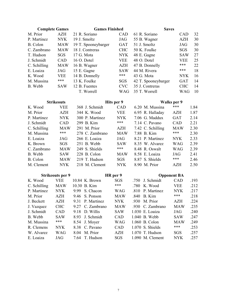| <b>Complete Games</b> |                         |      | <b>Games Finished</b> |            |      | <b>Saves</b>        |             |      |
|-----------------------|-------------------------|------|-----------------------|------------|------|---------------------|-------------|------|
| M. Prior              | AZH                     |      | 21 R. Soriano         | CAD        |      | 61 R. Soriano       | <b>CAD</b>  | 32   |
| P. Martinez           | <b>NYK</b>              |      | 19 J. Smoltz          | JAG        |      | 55 B. Wagner        | <b>AZH</b>  | 30   |
| B. Colon              | <b>MAW</b>              |      | 19 T. Spooneybarger   | <b>GAT</b> |      | 51 J. Smoltz        | JAG         | 30   |
| C. Zambrano           | <b>MAW</b>              |      | 18 J. Contreras       | <b>CHC</b> |      | 50 K. Foulke        | SGS         | 30   |
| T. Hudson             | SGS                     |      | 17 G. Mota            | <b>NYK</b> |      | 48 E. Gagne         | <b>SAW</b>  | 27   |
| J. Schmidt            | CAD                     |      | 16 O. Dotel           | <b>VEE</b> |      | 48 O. Dotel         | <b>VEE</b>  | 25   |
| C. Schilling          | <b>MAW</b>              |      | 16 B. Wagner          | <b>AZH</b> |      | 47 B. Donnelly      | ***         | 22   |
| E. Loaiza             | <b>JAG</b>              |      | 15 E. Gagne           | <b>SAW</b> |      | 44 M. Rivera        | ***         | 18   |
| K. Wood               | <b>VEE</b>              |      | 14 B. Donnelly        | ***        |      | 43 G. Mota          | <b>NYK</b>  | 16   |
| M. Mussina            | ***                     |      | 13 K. Foulke          | SGS        |      | 42 T. Spooneybarger | <b>GAT</b>  | 14   |
| B. Webb               | <b>SAW</b>              |      | 12 B. Fuentes         | <b>CVC</b> |      | 35 J. Contreras     | <b>CHC</b>  | 14   |
|                       |                         |      | T. Worrell            | <b>WAG</b> |      | 35 T. Worrell       | <b>WAG</b>  | 10   |
|                       | <b>Strikeouts</b>       |      |                       | Hits per 9 |      |                     | Walks per 9 |      |
| K. Wood               | <b>VEE</b>              |      | 368 J. Schmidt        | CAD        |      | 6.20 M. Mussina     | ***         | 1.84 |
| M. Prior              | AZH                     |      | 344 K. Wood           | <b>VEE</b> |      | 6.95 R. Halladay    | AZH         | 1.87 |
| P. Martinez           | <b>NYK</b>              |      | 300 P. Martinez       | <b>NYK</b> |      | 7.06 G. Maddux      | <b>GAT</b>  | 2.14 |
| J. Schmidt            | CAD                     |      | 299 B. Kim            | ***        |      | 7.14 C. Pavano      | CAD         | 2.21 |
| C. Schilling          | <b>MAW</b>              |      | 291 M. Prior          | AZH        |      | 7.42 C. Schilling   | <b>MAW</b>  | 2.30 |
| M. Mussina            | ***                     |      | 278 C. Zambrano       | <b>MAW</b> |      | 7.88 B. Kim         | ***         | 2.30 |
| E. Loaiza             | JAG                     |      | 266 E. Loaiza         | JAG        |      | 8.21 P. Martinez    | <b>NYK</b>  | 2.33 |
| K. Brown              | SGS                     |      | 251 B. Webb           | <b>SAW</b> |      | 8.35 W. Alvarez     | <b>WAG</b>  | 2.39 |
| C. Zambrano           | <b>MAW</b>              |      | 249 S. Shields        | ***        |      | 8.48 R. Oswalt      | <b>WAG</b>  | 2.39 |
| B. Webb               | <b>SAW</b>              |      | 228 B. Colon          | <b>MAW</b> |      | 8.58 E. Loaiza      | JAG         | 2.41 |
| B. Colon              | <b>MAW</b>              |      | 219 T. Hudson         | SGS        |      | 8.87 S. Shields     | ***         | 2.46 |
| M. Clement            | <b>NYK</b>              |      | 218 M. Clement        | <b>NYK</b> |      | 8.90 M. Prior       | AZH         | 2.50 |
|                       | <b>Strikeouts per 9</b> |      |                       | HR per 9   |      | <b>Opponent BA</b>  |             |      |
| K. Wood               | <b>VEE</b>              |      | 10.84 K. Brown        | <b>SGS</b> | .750 | J. Schmidt          | <b>CAD</b>  | .193 |
| C. Schilling          | <b>MAW</b>              |      | 10.30 B. Kim          | ***        | .780 | K. Wood             | <b>VEE</b>  | .212 |
| P. Martinez           | <b>NYK</b>              | 9.99 | S. Chacon             | <b>WAG</b> |      | .810 P. Martinez    | <b>NYK</b>  | .217 |
| M. Prior              | AZH                     | 9.46 | S. Ponson             | <b>MAW</b> |      | .840 B. Kim         | ***         | .218 |
| J. Beckett            | <b>AZH</b>              | 9.31 | P. Martinez           | <b>NYK</b> |      | .930 M. Prior       | <b>AZH</b>  | .224 |
| J. Vazquez            | <b>CHC</b>              | 9.27 | C. Zambrano           | <b>MAW</b> | .930 | C. Zambrano         | MAW         | .235 |
| J. Schmidt            | CAD                     | 9.18 | D. Willis             | <b>SAW</b> |      | 1.030 E. Loaiza     | JAG         | .240 |
| B. Webb               | SAW                     | 8.93 | J. Schmidt            | CAD        |      | 1.040 B. Webb       | <b>SAW</b>  | .247 |
| M. Mussina            | ***                     | 8.54 | J. Moyer              | <b>WAG</b> |      | 1.060 B. Colon      | MAW         | .249 |
| R. Clemens            | <b>NYK</b>              | 8.38 | C. Pavano             | CAD        |      | 1.070 S. Shields    | ***         | .253 |
| W. Alvarez            | <b>WAG</b>              | 8.04 | M. Prior              | <b>AZH</b> |      | 1.070 T. Hudson     | SGS         | .257 |
| E. Loaiza             | JAG                     | 7.64 | T. Hudson             | SGS        |      | 1.090 M. Clement    | NYK         | .257 |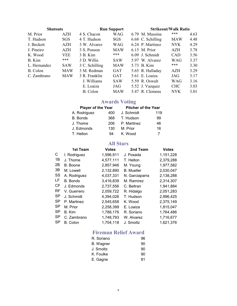| <b>Shutouts</b> |            |                | <b>Run Support</b> |                   | <b>Strikeout/Walk Ratio</b> |      |
|-----------------|------------|----------------|--------------------|-------------------|-----------------------------|------|
| M. Prior        | AZH        | 4 S. Chacon    | <b>WAG</b>         | 6.79 M. Mussina   | ***                         | 4.63 |
| T. Hudson       | <b>SGS</b> | 4 T. Hudson    | <b>SGS</b>         | 6.68 C. Schilling | <b>MAW</b>                  | 4.48 |
| J. Beckett      | <b>AZH</b> | 3 W. Alvarez   | <b>WAG</b>         | 6.24 P. Martinez  | NYK <sup>-</sup>            | 4.29 |
| J. Pineiro      | <b>AZH</b> | 3 S. Ponson    | <b>MAW</b>         | 6.15 M. Prior     | <b>AZH</b>                  | 3.78 |
| K. Wood         | <b>VEE</b> | 3 B. Kim       | ***                | 6.09 J. Schmidt   | <b>CAD</b>                  | 3.56 |
| B. Kim          | ***        | 3 D. Willis    | <b>SAW</b>         | 5.97 W. Alvarez   | <b>WAG</b>                  | 3.37 |
| L. Hernandez    | <b>SAW</b> | 3 C. Schilling | <b>MAW</b>         | 5.73 B. Kim       | ***                         | 3.30 |
| B. Colon        | <b>MAW</b> | 3 M. Redman    | <b>GAT</b>         | 5.65 R. Halladay  | <b>AZH</b>                  | 3.29 |
| C. Zambrano     | <b>MAW</b> | 3 R. Franklin  | <b>GAT</b>         | 5.61 E. Loaiza    | JAG                         | 3.17 |
|                 |            | J. Williams    | <b>SAW</b>         | 5.59 R. Oswalt    | <b>WAG</b>                  | 3.16 |
|                 |            | E. Loaiza      | JAG                | 5.52 J. Vazquez   | <b>CHC</b>                  | 3.03 |
|                 |            | B. Colon       | <b>MAW</b>         | 5.47 R. Clemens   | <b>NYK</b>                  | 3.01 |

#### Awards Voting

| Player of the Year |     | <b>Pitcher of the Year</b> |     |
|--------------------|-----|----------------------------|-----|
| A. Rodriguez       | 400 | J. Schmidt                 | 119 |
| <b>B.</b> Bonds    | 368 | T. Hudson                  | 99  |
| J. Thome           | 206 | P. Martinez                | 46  |
| J. Edmonds         | 130 | M. Prior                   | 16  |
| T. Helton          | 94  | K. Wood                    | 7   |

#### All Stars

| 1st Team        | <b>Votes</b> | 2nd Team          | <b>Votes</b> |
|-----------------|--------------|-------------------|--------------|
| I. Rodriguez    | 1,596,911    | J. Posada         | 1,151,228    |
| J. Thome        | 4,577,111    | T. Helton         | 2,379,288    |
| B. Boone        | 2,857,946    | M. Young          | 1,977,582    |
| M. Lowell       | 2,132,890    | <b>B.</b> Mueller | 2,030,047    |
| A. Rodriguez    | 4,037,331    | N. Garciaparra    | 2,138,288    |
| <b>B.</b> Bonds | 3,416,839    | M. Ramirez        | 2,314,307    |
| J. Edmonds      | 2,737,556    | C. Beltran        | 1,941,884    |
| V. Guerrero     | 2,059,722    | R. Hidalgo        | 2,051,283    |
| J. Schmidt      | 4,394,026    | T. Hudson         | 2,996,425    |
| P. Martinez     | 2,545,658    | K. Wood           | 2,375,149    |
| M. Prior        | 2,258,399    | E. Loaiza         | 1,815,047    |
| B. Kim          | 1,788,176    | R. Soriano        | 1,764,486    |
| C. Zambrano     | 1,748,793    | W. Alvarez        | 1,716,677    |
| <b>B.</b> Colon | 1,704,118    | J. Smoltz         | 1,621,376    |
|                 |              |                   |              |

#### Fireman Relief Award

| R. Soriano | 96 |
|------------|----|
| B. Wagner  | 90 |
| J. Smoltz  | 90 |
| K. Foulke  | 90 |
| E. Gagne   | 81 |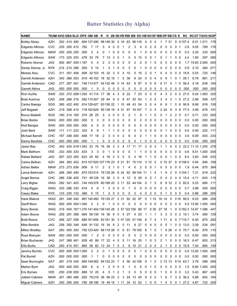#### Batter Statistics (by Alpha)

| <b>NAME</b>             |            |                |                |                |                         | TEAM AVG OBA SLG OPS GM AB                                            | R   |           |       |   |     |           |           | H 2B 3B HR RBI BB SO HB SH SF IBB DP SB CS E |    |                |    |              |         |                |                | RC             | <b>RC/27 TAVG ISOP</b>    |                 |           |
|-------------------------|------------|----------------|----------------|----------------|-------------------------|-----------------------------------------------------------------------|-----|-----------|-------|---|-----|-----------|-----------|----------------------------------------------|----|----------------|----|--------------|---------|----------------|----------------|----------------|---------------------------|-----------------|-----------|
| <b>Bobby Abreu</b>      | AZH        |                |                | .302 .414 .480 |                         | .894 137 490                                                          |     | 98 148 30 |       |   | 019 |           | 63 96 116 |                                              | 0  | 0              | 4  | 1            | 7       | 31             | 9              | 0 107.4        |                           | 8.01 1.011      | .178      |
| Edgardo Alfonzo         | CVC        |                |                |                | .235 .350 .412 .762     | 7<br>-17                                                              | 3   | 4         | 0     | 0 | 1   | 2         | 3         | 4                                            | 0  | 2              | 0  | 0            | 0       | 0              | 0              | -1<br>2.8      | 5.05                      | .769            | .176      |
| Edgardo Alfonzo         | MAW        |                | .250 .250 .250 |                | .500                    | 2<br>4                                                                | 0   | 1         | 0     | 0 | 0   | 0         | 0         |                                              | 0  | 0              | 0  | 0            | 0       | 0              | 00             | 0.3            | 2.25                      | .333            | .000      |
| Edgardo Alfonzo         | SAW        | .173 .225 .253 |                |                | .478                    | 33<br>75                                                              | 7   | 13        | 3     | 0 | -1  | 5         | 5         | 12                                           | 0  | 0              | 1  | 0            | 1       |                | 0              | -5<br>4.4      | 1.90                      | .397            | .080      |
| Roberto Alomar          | JAG        | .500           |                |                | .667 .500 1.167         | 4<br>4                                                                | 2   | 2         | 0     | 0 | 0   | 0         | 2         | 2                                            | 0  | 1              | 0  | 0            | 0       | 0              | $0\quad 0$     | 1.7            |                           | 15.63 2.000     | .000      |
| Sandy Alomar, Jr.       | <b>NYK</b> | .214 .214 .286 |                |                | .500                    | 5<br>14                                                               | 1   | 3         | 1     | 0 | 0   | 3         | 0         | 1                                            | 0  | 0              | 0  | 0            | 0       | 0              | 0              | - 0<br>0.9     | 2.10                      | .364            | .071      |
| Moises Alou             | CVC        |                | .311 .351 .456 |                | .808                    | 32 103                                                                | 16  | 32        | 3     | 0 | 4   | 10        | 5         | 15                                           | 2  | 0              |    | 0            | 4       | 0              | 0              | 15.6<br>0      | 5.53                      | .720            | .146      |
| Garrett Anderson        | AZH        |                | .342.366.553   |                |                         | .919 40 152                                                           | 18  |           | 52 15 | 1 | 5   | 36        | 8         | 24                                           | 0  | 0              | 4  | 0            | 8       |                | 0              | 28.1<br>1      | 6.78                      | .861            | .211      |
| <b>Garrett Anderson</b> | CAD        | .277           | .287 .461      |                |                         | .748 113 477                                                          |     | 54 132 46 |       | 0 | 14  | 63        | 8         | 87                                           | 0  | 0              | 8  | 6            | 17      | 4              | 1              | 56.4<br>0      | 4.16                      | .639            | .184      |
| <b>Garrett Atkins</b>   | <b>JAG</b> |                | .000 000 000   |                | .000                    | 1<br>0                                                                | 0   | 0         | 0     | 0 | 0   | 0         | 0         | 0                                            | 0  | 0              | 0  | 0            | 0       | 0              | 0              | 0<br>.000      | .000                      | .000            | .000      |
| Rich Aurilia            | <b>SAW</b> |                |                |                |                         | .333 .372 .658 1.030 41 114                                           | -17 | 38        | 4     | 3 | 9   | 22        | 7         | -23                                          | 0  | 0              | 5  | 4            | 3       | 2              | 0              | 2<br>27.0      |                           | 9.24 1.063      | .325      |
| <b>Brad Ausmus</b>      | CAD        |                | .208 .266 .316 |                |                         | .582 110 307                                                          | 29  | 64        | 9     | 0 | 8   | 47        | 25        | 63                                           |    | 2              | 5  | 3            | 4       | 3              |                | 5<br>27.2      | 2.88                      | .508            | .107      |
| Carlos Baerga           | SGS        |                | .365 422 492   |                |                         | .914 129 427                                                          |     | 63 156 22 |       | 1 | 10  | 48        | 43        | 54                                           | 2  | 0              | 4  | 6            | 8       |                | 0              | 6<br>90.9      | 8.68                      | .918            | .126      |
| Jeff Bagwell            | AZH        |                | .219 .308 .410 |                |                         | .718 162 629                                                          |     | 95 138    | 19    | 4 | 31  | 97        | 76 157    |                                              |    | 2              | 5  | 2            | -24     | 9              | 3              | 8<br>77.5      | 3.99                      | .676            | .191      |
| Rocco Baldelli          | SGS        |                | .160 214 160   |                | .374                    | 28<br>25                                                              | 3   | 4         | 0     | 0 | 0   | 2         |           | 8                                            |    | 1              | 0  | 0            |         | 2              | 2              | 0.7<br>-0      | 0.71                      | .333            | .000      |
| <b>Brian Banks</b>      | <b>WAG</b> |                | .000,000,000   |                | .000                    | 5<br>3                                                                | 0   | 0         | 0     | 0 | 0   | 0         | 0         | 2                                            | 0  | 0              | 0  | 0            | 0       | 0              | 0              | 0<br>0.0       | 0.00                      | .000            | .000      |
| Rod Barajas             | <b>SAW</b> | .000           | .000.000       |                | .000                    | 4<br>0                                                                | 0   | 0         | 0     | 0 | 0   | 0         | 0         | 0                                            | 0  | 0              | 0  | 0            | 0       | 0              | - 0<br>0       | 0.0            | 0.00                      | .000            | .000      |
| Josh Bard               | SAW        | .111 .111 .222 |                |                | .333                    | 6<br>9                                                                | 1   |           | 1     | 0 | 0   | 0         | 0         | 3                                            | 0  | 0              | 0  | 0            | 1       | 0              | 0              | 0<br>0.0       | 0.00                      | .222            | .111      |
| <b>Michael Barrett</b>  | СНС        |                | .167.348.500   |                | .848                    | 18<br>17                                                              | 2   | 3         | 0     | 0 | 2   | 6         | 4         | 2                                            | 1  | 1              | 0  | 0            | 0       | 0              | $0\quad 0$     | 3.6            | 6.09                      | .933            | .333      |
| Danny Bautista          | <b>CHC</b> |                | 000 000 000    |                | .000                    | 1<br>1                                                                | 0   | 0         | 0     | 0 | 0   | 0         | 0         | 1                                            | 0  | 0              | 0  | 0            | 0       | 0              | 0              | 0<br>0.0       | 0.00                      | .000            | .000      |
| Jason Bay               | CHC        |                |                |                | .342 .424 .618 1.042 33 | 76                                                                    | 16  | 26        | 3     | 3 | 4   | 17        | 11        | 17                                           | 2  | 0              | 3  | 1            | 1       | 4              | 0              | 2              | 22.2 11.10 1.255          |                 | .276      |
| Mark Bellhorn           | <b>VEE</b> |                |                | .333 500 333   | .833                    | 3<br>3                                                                | 0   |           | 0     | 0 | 0   | 0         |           |                                              | 0  | 0              | 0  | 0            | 0       |                | 0              | 0<br>0.6       |                           | 8.51 1.000      | .000      |
| Rafael Belliard         | JAG        |                | 267 323 300    |                | .623 25                 | 60                                                                    | 4   | 16        | 2     | 0 | 0   | 5         | 4         | 18                                           |    | 1              | 0  | 0            | 0       |                | 0              | 6.4<br>2       | 3.83                      | .545            | .033      |
| Carlos Beltran          | AZH        |                | .284 .363 .452 |                |                         | .815 157 620 107 176                                                  |     |           | 23    | 9 | 21  | 81        | 75        | 110                                          | 3  | 13             | 2  | 0            | 15      | 37             | 8              | 8 10 6.0       | 5.94                      | .846            | .168      |
| Adrian Beltre           | <b>MAW</b> |                | .273 .273 .636 |                | .909                    | 9<br>11                                                               | 2   | 3         | 1     | 0 |     | 4         | 0         | 2                                            | 0  | 0              | 1  | 0            | 0       | 0              | 0              | 0<br>1.9       | 6.44                      | .875            | .364      |
| Lance Berkman           | AZH        |                | .268 385 490   |                |                         | .875 153 514                                                          |     | 78 138 26 |       | 8 | 24  | 82        |           | 89 104                                       | 11 | 1              | 4  |              | 9       | 2              | 0              | 3 104.1        | 7.21                      | .919            | .222      |
| Angel Berroa            | СНС        |                | 286 336 405    |                | .741                    | 48 1 26                                                               | 16  | -36       | 3     | 0 | 4   | 12        | 6         | 28                                           | 4  | 2              | 1  | 0            | 4       | 2              | 4              | 15.4<br>4      | 4.11                      | .643            | .119      |
| Larry Bigbie            | <b>WAG</b> |                | .292 .341 .403 |                |                         | .744 145 578                                                          |     | 80 169    | 25    | 3 | 11  | 53        |           | 44 154                                       | 0  | 1              | 3  | 8            | 8       | 12             | 2              | 2<br>82.0      | 5.23                      | .690            | .111      |
| Craig Biggio            | WAG        | .333 .286 .333 |                |                | .619                    | 6<br>4                                                                | 1   | 2         | 0     | 0 | 0   | 1         | 0         | 0                                            | 0  | 0              | 0  | 0            | 0       | 0              | 0              | - 0<br>0.7     | 3.89                      | .500            | .000      |
| Casey Blake             | NYK        |                | .133 .235 .133 |                | .369                    | 5<br>15                                                               | 1   | 2         | 0     | 0 | 0   | 0         | 2         | 4                                            | 0  | 0              | 0  | 0            | 1       | 0              | 0              | 0.4<br>0       | 0.86                      | .286            | .000      |
| Hank Blalock            | WAG        | .281           | .348.540       |                |                         | .887 140 480                                                          |     | 76 135 27 |       | 2 | 31  | 92        | 52        | -97                                          | 0  | 1 15           |    | 16           | 14      | 0              | 016            | 88.5           | 6.53                      | .866            | .258      |
| <b>Geoff Blum</b>       | <b>WAG</b> |                |                |                | .500 .500 .500 1.000    | 2<br>2                                                                | 0   | 1         | 0     | 0 | 0   | 0         | 0         | 0                                            | 0  | 0              | 0  | 0            | 0       | 0              | 0              | - 0            | 0.5 13.50 1.000           |                 | .000      |
| <b>Barry Bonds</b>      | WAG        |                |                |                |                         | .319 .504 .767 1.270 141 454 139 145 28 2 57 122 156 68 17 0 30 27 18 |     |           |       |   |     |           |           |                                              |    |                |    |              |         | $\overline{1}$ |                |                | 0 0 182.3 14.87 1.596 447 |                 |           |
| Adam Boone              | WAG        |                |                |                |                         | .259 .281 .388 .669 58139 16 36 6 0 4 27 4 20                         |     |           |       |   |     |           |           |                                              | -1 | 1              | -1 | 3            | З       | 3              | $\mathbf{0}$   | 2 15.1         | 3.74                      | .585 .129       |           |
| <b>Brett Boone</b>      | <b>CVC</b> |                |                |                |                         | .266 .327 .558 .885 161 606 83 161 30 3 47 120 51 149                 |     |           |       |   |     |           |           |                                              | 6  | 7              | 4  | 1 11         |         | 4              |                | 07110.7        | 6.40                      |                 | .875 .292 |
| Mike Bordick            | JAG        |                |                |                |                         | .258 .300 .348 .648 91132 16 34 8 2 0 11                              |     |           |       |   |     |           |           | 8 27                                         | 0  | 4              | 0  | 0            | 5       | 1              |                | $0 \t0 \t13.0$ | 3.29                      | .534 .091       |           |
| <b>Milton Bradley</b>   | GAT        |                |                |                |                         | .283 .400 .393 .792 123 420 68 119 28 0                               |     |           |       |   | 6   | 51 78 105 |           |                                              | 6  | 1              | 5  | 1            | 9 26    |                |                | 4 0 75.7       | 6.40                      |                 | .876 .110 |
| Russ Branyan            | SAW        |                |                |                | 000 000 000 000         | 2<br>1                                                                | 0   | 0         | 0     | 0 | 0   | 0         | 0         | 2                                            | 0  | 0              | 0  | 0            | 0       | 0              | 0 <sub>0</sub> | 0.0            | 0.00                      |                 | .000 000  |
| Brian Buchanan          | <b>JAG</b> | .247 .368 .461 |                |                |                         | .829 40 89 17 22 4                                                    |     |           |       | 0 | 5   | 11 16 25  |           |                                              | 1  | 0              | 3  | 2            | 1       | 0              |                | $0 \t0 \t16.3$ | 6.47                      |                 | .853 .213 |
| <b>Ellis Burks</b>      | CAD        | .293 .414 .451 |                |                |                         | .865 36 82 13 24 7 0                                                  |     |           |       |   | 2   | 8         |           | 15 21                                        | 2  | 0              | 0  | 2            | 1       | 0              |                | 2 0 15.9       | 7.04                      |                 | .885 .159 |
| Jeromy Burnitz          | <b>CVC</b> |                |                |                | .500 .500 .500 1.000    | 2<br>2                                                                | 0   | 1         | 0     | 0 | 0   | 0         | 0         | 1                                            | 0  | 0              | 0  | 0            | 0       | 0              | 0 <sub>0</sub> |                | 0.5 13.50 1.000 .000      |                 |           |
| Pat Burrell             | <b>AZH</b> |                |                |                | 000 000 000 000         | 1<br>1                                                                | 0   | 0         | 0     | 0 | 0   | 0         | 0         | 0                                            | 0  | 0              | 0  | 0            | 0       | 0              | $0\quad 0$     | 0.0            | 0.00                      |                 | .000 .000 |
| Sean Burroughs          | GAT        |                | .261 .319 .345 |                |                         | 665 149 582 84 152 23 7                                               |     |           |       |   | 4   |           | 56 42 106 |                                              | 9  | 1              | 2  |              | 2 13 13 |                |                | 8 14 63.7      | 3.78                      | .588 .084       |           |
| Marlon Byrd             | JAG        | .500 .400 .500 |                |                | .900                    | - 6<br>$\overline{\mathbf{4}}$                                        | 1   | 2         | 0     | 0 | 0   | 1         | 0         | 0                                            | 0  | 1              | 0  | 0            | 0       | 0              | 0 <sub>0</sub> | 1.0            |                           | 6.84 1.000 .000 |           |
| Eric Byrnes             | <b>VEE</b> |                |                | .250 .238 .650 |                         | .888 12 20                                                            | 4   | 5         | 1     | 2 | 1   | 3         | 0         | 5                                            | 0  | 0              | 0  | 1            | 0       | 0              | 0 <sub>0</sub> | 3.2            | 5.43                      |                 | .867 .400 |
| Jolbert Cabrera         | <b>MAW</b> |                |                |                |                         | .301 .360 .466 .825 78 219 38 66 23 2 3 24 13 45                      |     |           |       |   |     |           |           |                                              | 8  | 2 <sub>2</sub> |    | 1            | 6       | 7              |                | 3 2 3 6.2      | 5.88                      |                 | .802 .164 |
| Miguel Cabrera          | AZH        |                |                |                |                         | 250 290 500 790 68196 19 49 14 1 11 34 10 52 1                        |     |           |       |   |     |           |           |                                              |    | $0\quad 0$     |    | $\mathbf{1}$ | 4       | 0              |                |                | $0$ 1 27.2 4.87           |                 | .722 .250 |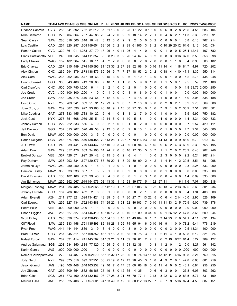| <b>NAME</b>           | TEAM AVG OBA SLG OPS GM ABR |      |                |                      |                                                                                  |                |     |                |           |                   |   |                         |            |                |        |              |              |    |              |        |                         | H 2B 3B HR RBI BB SO HB SH SF IBB DP SB CS E |                          | RC RC/27 TAVG ISOP             |            |           |
|-----------------------|-----------------------------|------|----------------|----------------------|----------------------------------------------------------------------------------|----------------|-----|----------------|-----------|-------------------|---|-------------------------|------------|----------------|--------|--------------|--------------|----|--------------|--------|-------------------------|----------------------------------------------|--------------------------|--------------------------------|------------|-----------|
| Orlando Cabrera       | CVC                         |      |                |                      | .288 .341 .392 .732 81212 37 61 13                                               |                |     |                |           |                   | 0 |                         | 3 25 17 22 |                |        |              | 0 10         | 0  | 0            | 6      | 9                       | 8<br>2                                       | 28.5                     | 4.55                           | .686       | .104      |
| Mike Cameron          | СНС                         |      |                |                      | .273 .404 .364 .767 44 88                                                        |                |     | 20             | 24        | 2                 | 0 | 2                       | 9          | 18             | 14     | 2            | 2            | 1  | 0            | 4      | 6                       | 2<br>$\overline{1}$                          | 14.3                     | 5.30                           | .829       | .091      |
| Sean Casey            | <b>SAW</b>                  |      | .286 318 500   |                      | .818                                                                             | 16 42          |     | 3              | 12        | 3                 | 0 | 2                       | 9          | $\overline{2}$ | 5      | 0            | 0            | 2  | 0            | 0      | $\mathsf 0$             | 0<br>1                                       | 6.8                      | 6.16                           | .767       | .214      |
| Luis Castillo         | CAD                         |      | .254 .320 .287 |                      | .608 159 654                                                                     |                |     |                | 68 166 12 |                   | 2 | 2                       | -29        |                | 61 105 | 3            | 8            | 2  |              |        |                         |                                              | 0 10 29 20 12 61.6       | 3.16                           | .542       | .034      |
| Ramon Castro          | <b>CVC</b>                  |      |                |                      | .329 .361 .911 1.273                                                             | 27 79          |     | 18             | 26        | 4                 | 0 | 14                      | 26         | 4              | 14     | 0            | 1            | 0  | 0            |        | 0                       | 0<br>5                                       | 25.4                     | 12.47 1.407                    |            | .582      |
| Frank Catalanotto     | <b>VEE</b>                  |      |                | .246 .300 .345       | .644 111 357                                                                     |                |     | 38             | 88 23     |                   | 3 | 2                       | 26         | 24             | 67     | 4            | 0            | 2  | 0            | 8      | 3                       | 016                                          | 37.0                     | 3.58                           | .556       | .098      |
| <b>Endy Chavez</b>    | <b>WAG</b>                  |      |                | .182 .182 .364       | .545                                                                             | -16            | -11 | 4              | 2         | 2                 | 0 | 0                       | 0          | 0              | 2      | 0            | 2            | 0  | 0            | 0      |                         | 0                                            | 0.4                      | 0.96                           | .500       | .182      |
| <b>Eric Chavez</b>    | CAD                         |      | .257 .315 .459 |                      | .774 155 595                                                                     |                |     |                | 81 153 35 |                   |   | 2 27                    | 89         | 52             | 98     | 0            | 0 16         |    | 11           | 14     | 4                       | 118                                          | 84.7                     | 4.97                           | .720       | .202      |
| <b>Alex Cintron</b>   | CHC                         |      | .265 .294 .379 |                      | .673 138 475                                                                     |                |     |                | 69 126 19 |                   | 7 | 7                       | 37         | 18             | 53     | 2            | 2            | 2  | 0            | 18     | 4                       | 4 10                                         | 47.1                     | 3.39                           | .550       | .114      |
| Alex Cora             | WAG                         |      | .238 .262 .286 |                      | .547                                                                             | 19             | 63  | 9              | 15        | 3                 | 0 | 0                       | 6          | 1              | 10     | 1            | 3            | 0  | 0            | 0      | 1                       | 0<br>0                                       | 5.2                      | 2.73                           | .438       | .048      |
| Craig Counsell        | SGS                         |      | .300 .343 .400 |                      | .743 26                                                                          |                | 60  | $\overline{7}$ | 18        | $\mathbf 1$       | 1 | 1                       | 8          | 5              | 9      | 0            | $\mathbf{1}$ | 0  | 1            | 1      | 5                       | 0 <sub>1</sub>                               | 9.5                      | 5.59                           | .791       | .100      |
| Carl Crawford         | CHC                         |      |                | .500 .500 .750 1.250 |                                                                                  | 6              | 4   | 3              | 2         | 1                 | 0 | 0                       | 2          | 0              |        | 0            | 0            | 0  | 0            | 0      |                         | - 0<br>0                                     |                          | 1.8 23.76 2.000                |            | .250      |
| Joe Crede             | CVC                         |      | .100 .100 .100 |                      | .200                                                                             | 4              | 10  | 0              |           | 0                 | 0 | 0                       | 1          | 0              | 6      | 0            | 0            | 0  | 0            | 1      | 0                       | 0<br>- 1                                     | 0.0                      | 0.00                           | .100       | .000      |
| Joe Crede             | <b>SAW</b>                  |      | .188.235.375   |                      | .610                                                                             | 23             | 64  | 7              | 12        | 6                 | 0 | 2                       |            | 4              | 15     | 0            | 0            | -1 |              | 0      | 0                       | 0<br>-1                                      | 5.9                      | 3.06                           | .538       | .188      |
| Coco Crisp            | <b>NYK</b>                  |      | .253 .269 .341 |                      | .609                                                                             | -51            | 91  | 12             | 23        | 4                 | 2 | 0                       |            | 2              | 10     | 0            | 8            | 0  | 0            | 2      | 8                       | 2<br>1                                       | 8.2                      | 2.78                           | .569       | .088      |
| Jose Cruz, Jr.        | <b>SAW</b>                  |      | 289 387 590    |                      | .977                                                                             | 93 166         |     | 40             | 48        | 9                 | 1 | 13                      | 30         | 27             | 33     | 0            | 1            | 6  | 7            | 9      |                         | 2<br>0                                       | 35.9                     | 7.51                           | .992       | .301      |
| Mike Cuddyer          | GAT                         |      | .273 .333 .455 |                      | .788                                                                             | 10             | 22  | 5              | 6         | 1                 | 0 |                         | 1          | 2              | 7      | 0            | 0            | 0  | 1            | 0      | 0                       | -1<br>0                                      | 3.5                      | 5.92                           | .750       | .182      |
| Jack Cust             | <b>NYK</b>                  |      | .275 .351 .608 |                      | .959                                                                             | 25             | 51  | 12             | 14        | 5                 | 0 | 4                       | 10         | 5              | 18     |              | 0            | 0  | 4            | 0      | 0                       | 0<br>0                                       | 11.4                     |                                | 8.34 1.000 | .333      |
| Johnny Damon          | СНС                         |      | .222 .222 .333 |                      | .556                                                                             | 4              | 9   | 3              | 2         | 1                 | 0 | 0                       | 1          | 0              | 2      | 0            | 0            | 0  | 0            | 0      | 0                       | - 0<br>0                                     | 0.7                      | 2.57                           | .429       | .111      |
| Jeff Davanon          | SGS                         |      | .207 .313 .207 |                      | .520                                                                             | 48             | 58  | 9              | 12        | 0                 | 0 | 0                       | 2          | 8              | 10     | 1            | 4            | 0  | 0            | 1      | 6                       | 3<br>0                                       | 4.7                      | 2.34                           | .540       | .000      |
| <b>Ben Davis</b>      | <b>MAW</b>                  |      | 000.000.000.   |                      | .000                                                                             | 3              | 5   | 0              | 0         | 0                 | 0 | 0                       | 0          | 0              | 1      | 0            | 0            | 0  | 0            | 0      | 0                       | 0<br>0                                       | 0.0                      | 0.00                           | .000       | .000      |
| Carlos Delgado        | SGS                         |      | .248 .374 .505 |                      | .879 138 455                                                                     |                |     |                | 79 113 28 |                   | 1 | 29 107                  |            |                | 70116  | 23           | 0 15         |    | 14           | 13     | 0                       | 0<br>9                                       | 88.9                     | 6.70                           | .910       | .257      |
| J.D. Drew             | CAD                         |      | .246 .339 .441 |                      | .779 143 447                                                                     |                |     |                | 57 110    | 9                 |   | 3 24                    | 69         | 60             | 94     | 4            | 1            | 15 | 9            | 6      | 2                       | 3<br>4                                       | 68.9                     | 5.30                           | .758       | .195      |
| Adam Dunn             | SAW                         |      | .229 357 476   |                      | .833 34 105                                                                      |                |     | 14             | 24        | 2                 | 0 | 8                       | 16         | 17             | 33     | 5            | 0            | 7  | 1            |        | 2                       | 2<br>0                                       | 20.2                     | 6.48                           | .902       | .248      |
| Erubiel Durazo        | VEE                         |      | .357 426 571   |                      | .997 20 42                                                                       |                |     | 6              | 15        | 3                 | 0 | 2                       | 6          | 4              | 11     | 1            | 0            | 0  | 2            | 3      | 0                       | 0<br>0                                       | 9.2                      | 8.24                           | .967       | .214      |
| Ray Durham            | SAW                         |      | .236 .293 .334 |                      | .627 120 377                                                                     |                |     | 53             | 89        | 20                | 4 | 3                       | 29         | 30             | 99     | 2            | 4            | 2  | 1            | 4      | 14                      | 2<br>4                                       | 39.5                     | 3.51                           | .581       | .098      |
| Jermaine Dye          | WAG                         |      | .250 .250 .250 |                      | .500                                                                             |                | 4   | 0              |           | 0                 | 0 | 0                       |            | 0              |        | 0            | 0            | 0  | 0            | 0      | 0                       | - 0<br>0                                     | 0.3                      | 2.25                           | .333       | .000      |
| Damion Easley         | <b>MAW</b>                  |      | .333 .333 .333 |                      | .667                                                                             |                | 3   | 2              |           | 0                 | 0 | 0                       | 2          | 0              | 0      | 0            | 0            | 0  | 0            |        | 0                       | 0<br>0                                       | 0.0                      | 0.00                           | .333       | .000      |
| David Eckstein        | CAD                         |      | .100 182 100   |                      | .282                                                                             | -39            | -40 | 7              | 4         | 0                 | 0 | 0                       | 0          | 1              | 7      | 3            | 1            | 0  | 0            | 0      | 4                       | -0<br>0                                      | 1.4                      | 0.99                           | .333       | .000      |
| Jim Edmonds           | MAW                         |      | .250 .352 .567 |                      | .919 154 573 103 143 33                                                          |                |     |                |           |                   |   | 1 49 123                |            |                | 89 177 | 5            | $\mathbf{1}$ | 22 | 27           | 11     |                         | 1                                            | 6117.6                   | 7.07                           | .950       | .318      |
| Morgan Ensberg        | MAW                         | .251 | .336 .485      |                      | .821 152 565 93 142 19                                                           |                |     |                |           |                   | 1 | 37                      | 92         |                | 67 106 | 6            | 0 2 2        |    | 15 13        |        | 4                       | 2 13                                         | 92.5                     | 5.68                           | .801       | .234      |
| Johnny Estrada        | CHC                         |      |                | .167 .286 .167 .452  |                                                                                  | 2              | 6   | 0              | 1         | 0                 | 0 | 0                       | 0          | 0              | 2      | 1            | 0            | 0  | 0            | 0      | 0                       | 0<br>0                                       | 0.4                      | 1.94                           | .400       | .000      |
| <b>Adam Everett</b>   | AZH                         |      |                |                      | .211 .277 .321 .598 134 421 48 89 15 5 7 30 27 71 13 22 5                        |                |     |                |           |                   |   |                         |            |                |        |              |              |    | $\mathbf{0}$ | 6      | 4                       |                                              | 2 14 40 0                | 2.95                           | .526 .109  |           |
| Carl Everett          | SAW                         |      |                |                      | .256 .327 .434 .762 143 488 74 125 22 1 21 62 46 103                             |                |     |                |           |                   |   |                         |            |                |        |              |              |    |              |        |                         |                                              | 7 0 10 11 11 13 2 5 70.9 | 5.05                           |            | .739.178  |
| Pedro Feliz           | VEE                         |      |                |                      | 000 000 000 000                                                                  | $\overline{1}$ | -1  | 0              |           | $0\quad 0\quad 0$ |   | $\overline{\mathbf{0}}$ | 0          | 0              | 0      | 0            | $0\quad 0$   |    | 0            |        | $0\quad 0$              | 0 <sub>0</sub>                               | 0.0                      | 0.00                           | .000 .000  |           |
| Chone Figgins         | JAG                         |      |                |                      | .283 .327 .327 .654 146 410 40 116 12 3 0 40 27 89                               |                |     |                |           |                   |   |                         |            |                |        |              | 0440         |    | 0            |        |                         |                                              | 1 26 12 2 47.8           | 3.68                           |            | .609 .044 |
| <b>Scott Finley</b>   | CAD                         |      |                |                      | .240 .326 .374 .700 126 433 58 104 18 5 10 47 49 104                             |                |     |                |           |                   |   |                         |            |                |        | 8            | 1 7          |    |              |        |                         |                                              | 3 14 23 7 6 54.1         | 4.11                           |            | .691 .134 |
| <b>Cliff Floyd</b>    | SAW                         |      |                |                      | .239 .333 .458 .791 135 493 82 118 28 1 26 74 65 94                              |                |     |                |           |                   |   |                         |            |                |        | 6            | 0 10         |    | 16           | 9      | 1                       |                                              | 0 0 78.2                 | 5.44                           | .776 .219  |           |
| Ryan Freel            | WAG                         |      |                | 444 444 444 889      |                                                                                  | 3              | 9   | 3              |           | 4 0 0             |   | $\overline{\mathbf{0}}$ | 3          | 0              | 0      | 0            | $0\quad 0$   |    | 0            | 0      | 3                       | 0 <sub>0</sub>                               |                          | 2.5 13.34 1.400 .000           |            |           |
| <b>Brad Fullmer</b>   | <b>CHC</b>                  |      |                |                      | .287 .345 .511 .857 108 352 46 101 16 3 19 55 29 75 3 0 1                        |                |     |                |           |                   |   |                         |            |                |        |              |              |    |              |        |                         |                                              |                          | 2 11 4 1 0 59.8 6.12 .821 .224 |            |           |
| Rafael Furcal         | SAW                         |      |                |                      | .287 .331 .414 .745 145 567 81 163 21 9 11 59 36 61                              |                |     |                |           |                   |   |                         |            |                |        | $\mathbf{2}$ | 2 5          |    | 6            |        | 2 19                    |                                              | 627 81.4                 | 5.27                           | .709 .127  |           |
| Andres Galarraga      | SGS                         |      |                |                      | .208 .284 .350 .634 77120 15 25 5 0 4 21 12 36                                   |                |     |                |           |                   |   |                         |            |                |        | 1            | 0            | 3  | 1            | 2      | $\overline{\mathbf{0}}$ |                                              | 1 2 12.0                 | 3.27                           |            | .561 .142 |
| Karim Garcia          | <b>JAG</b>                  |      |                | .000 000 000         | .000                                                                             | $\mathbf{1}$   | 0   | 0              | 0         | 0                 | 0 | 0                       | 0          | 0              | 0      | 0            | 0            | 0  | 0            | 0      | 0                       |                                              | $0\,0\,000$              | .000                           | .000 .000  |           |
| Nomar Garciaparra JAG |                             |      |                |                      | .272 .313 .487 .799 162 670 .85 182 32 17 .26 .90 .28 .74 .13 .11 13 .13 .12 .11 |                |     |                |           |                   |   |                         |            |                |        |              |              |    |              |        |                         |                                              | 4 16 99.8                | 5.21                           | .750 .215  |           |
| Jody Gerut            | <b>NYK</b>                  |      |                |                      | .299 .375 .518 .892 97 251 36 75 19 0 12 43 28 45                                |                |     |                |           |                   |   |                         |            |                |        | 3            | 1            | 8  | 4            | 9      | 2                       | 0 <sub>1</sub>                               | 47.8                     | 6.90                           | .881 .219  |           |
| Jason Giambi          | JAG                         |      |                |                      | .198 .400 .448 .848 103 232 .49 .46 .7 .0 .17 .33 .60 .88 .18 .0 .6              |                |     |                |           |                   |   |                         |            |                |        |              |              |    | -11          | 4      | 0                       |                                              | $0 \t2 \t48.1$           | 6.84                           |            | .958 .250 |
| Jay Gibbons           | GAT                         |      |                |                      | .292 .309 .554 .862 56 168 25 49 8                                               |                |     |                |           |                   |   |                         | 0 12 35    | 4              | 35     | 1            | 0            | 6  | 6            | 3      | 0                       | 0<br>$\overline{1}$                          | 27.8                     | 6.05                           | .803.262   |           |
| <b>Brian Giles</b>    | SGS                         |      |                |                      | .261 .373 .460 .833 132 487 93 127 28 3 21 66 79 77 11 2 13                      |                |     |                |           |                   |   |                         |            |                |        |              |              |    |              | 8 22 6 |                         |                                              | 3 0 83.5                 | 5.77                           |            | .831 .199 |
| <b>Marcus Giles</b>   | JAG                         |      |                |                      | .255 .325 .406 .731 157 601 94 153 49 3 12 66 50 112 13 27 7                     |                |     |                |           |                   |   |                         |            |                |        |              |              |    |              |        |                         |                                              |                          | 5 7 9 516 82.4 4.56            | .687 .151  |           |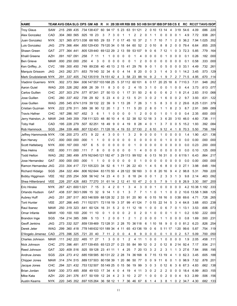| <b>NAME</b>            |            |                |                |                      |      | TEAM AVG OBA SLG OPS GM AB R                                                 |              |              |              |    |                 |                 |       | H 2B 3B HR RBI BB SO HB SH SF IBB DP SB CS E |                |       |                         |              |                |    |                |                |                | RC RC/27 TAVG ISOP   |            |           |
|------------------------|------------|----------------|----------------|----------------------|------|------------------------------------------------------------------------------|--------------|--------------|--------------|----|-----------------|-----------------|-------|----------------------------------------------|----------------|-------|-------------------------|--------------|----------------|----|----------------|----------------|----------------|----------------------|------------|-----------|
| <b>Troy Glaus</b>      | SAW        |                |                |                      |      | .215 .299 .435 .734 138 437                                                  | 60           |              | 94 17        |    |                 | 5 23 63 51 121  |       |                                              | 2              | 010   |                         | 13 14        |                | 4  | 3 1 9          |                | 54.6           | 4.09                 | .686       | .220      |
| Alex Gonzalez          | CAD        |                |                | .304 .360 .565 .925  |      | 18 23                                                                        | 3            | 7            | 3            | 0  | 1               | 1               | 2     | 2                                            | 0              | 1     | 1                       | 0            | 0              | 0  | 0              | -1             | 4.9            | 7.72                 | .938       | .261      |
| Juan Gonzalez          | <b>NYK</b> |                |                |                      |      | .321 .365 .673 1.038 .68 165                                                 |              | 29 53        | 7            | 0  | 17              | 45              | 10    | 37                                           | 2              | 1     | 7                       | 10           | 7              |    | 2              | 0              | 36.2           |                      | 7.94 1.025 | .352      |
| Luis Gonzalez          | JAG        |                |                | .279 366 484         |      | .850 129 430                                                                 |              | 79 120 34    |              |    | 0 <sub>18</sub> | 64              | 60    | 52                                           | 2              | 010   |                         | 8            | 8              | 2  | 0              | 0              | 79.4           | 6.64                 | .855       | .205      |
| Shawn Green            | GAT        |                | .277 .364 .441 |                      |      | .805 129 440                                                                 |              | 69 122 29    |              | 2  | 13              | 59              |       | 53 107                                       | 9              | 0     | 6                       | 7            | 12             | 1  | 0              | 3              | 72.3           | 5.85                 | .779       | .164      |
| Khalil Greene          | AZH        |                | .091 .167 .091 |                      | .258 | 7<br>11                                                                      | 1            | 1            | 0            | 0  | 0               | 0               | 1     | 4                                            | 0              | 0     | 0                       | 0            | 1              | 0  | 0 <sub>0</sub> |                | 0.1            | 0.26                 | .182       | .000      |
| <b>Ben Grieve</b>      | <b>MAW</b> |                | 000 250 000    |                      | .250 | 3<br>4                                                                       | 0            | 0            | 0            | 0  | 0               | 0               |       | 2                                            | 0              | 0     | 0                       | 0            | 0              | 0  | 0              | 0              | 0.1            | 0.58                 | .333       | .000      |
| Ken Griffey, Jr.       | CVC        |                | .189 .300 .450 |                      | .749 | 89 238                                                                       | 40           | 45 13        |              | 2  | 15              | 41              | 29    | 76                                           | 9              | 0     | 1                       | 0            | 5              | 0  | 0              | 0              | 33.1           | 4.49                 | .732       | .261      |
| Marquis Grissom        | JAG        |                | .243 .282 .371 |                      | .653 | 79 140                                                                       | 32           | 34           | 6            | 0  | 4               | 14              | 8     | 20                                           | 0              | 0     | 3                       | 1            | 4              | 3  | 0              | -1             | 14.2           | 3.45                 | .573       | .129      |
| Mark Grudzielanek NYK  |            |                | .291 .337 .405 |                      |      | .742 135 519                                                                 |              | 74 151 42 4  |              |    | 3               | 58              | 23    | 88 14                                        |                | 9     | 2                       | 1            | 9              | 7  | 2              | -7             | 71.5           | 4.95                 | .670       | .114      |
| Vladimir Guerrero      | <b>NYK</b> |                |                | .302 .373 .564       |      | .936 147 557 103 168 25                                                      |              |              |              |    |                 | 5 37 112 60 101 |       |                                              | 6              | 017   |                         | 20 25 18     |                |    |                |                | 6 7 1 1 0 . 3  | 7.01                 | .948       | .262      |
| Aaron Guiel            | WAG        |                |                | .205 326 282         | .608 | - 26<br>- 39                                                                 | 11           | 8            | 3            | 0  | 0               | 2               | 4     | 15                                           | 3              | 1     | 0                       | 0            | 0              |    | 0              | 0              | 4.4            | 3.73                 | .613       | .077      |
| Carlos Guillen         | <b>CHC</b> |                | .207 .303 .274 |                      |      | .577 87 241                                                                  | 27           | 50 13        |              | 0  | 1               | 17              | 31    | 50                                           | $\overline{2}$ | 6     | 0                       | 0            | 6              | 2  | 1              | 8              | 21.4           | 2.83                 | .510       | .066      |
| Jose Guillen           | <b>CHC</b> |                |                | .280 .337 .402 .739  |      | 29<br>- 82                                                                   | 5            | 23           | 4            | 0  | 2               | 13              | 5     | 21                                           | 3              | 0     | 2                       | 1            | 6              | 0  | 0              | $\overline{2}$ | 9.7            | 3.93                 | .631       | .122      |
| Jose Guillen           | WAG        |                |                | .295 .345 .674 1.019 |      | 39 132 22                                                                    |              | 39           | 9            | 1  | 13              | 28              | 7     | 26                                           | 3              | 1     | 5                       | 8            | 3              | 0  | 0              | 2              | 29.6           |                      | 8.25 1.031 | .379      |
| Cristian Guzman        | <b>NYK</b> |                | .222 .278 .311 |                      | .589 | 38<br>-90                                                                    | 12           | 20           | 1            | 2  |                 | 11              | 5     | 20                                           | 2              | 8     | 0                       |              |                | 8  | 2              | 3              | 8.7            | 2.91                 | .589       | .089      |
| Travis Hafner          | <b>CHC</b> | .167.286.167   |                |                      | .452 | 3<br>6                                                                       | 1            | 1            | 0            | 0  | 0               | 0               | 1     | 2                                            | 0              | 0     | 0                       | 1            | 0              | 1  | 0              | 0              | 0.4            | 2.35                 | .600       | .000      |
| Jerry Hairston, Jr.    | <b>MAW</b> | .248 .349 .359 |                |                      |      | .708 111 323                                                                 | 48           | 80           | 10           | 4  | 6               | 32              | 38    | 52                                           | 12             | 18    | 3                       | 3            | 6              | 20 | 310            |                | 46.0           | 4.60                 | .738       | .111      |
| <b>Toby Hall</b>       | CAD        |                | .195 .228 .279 |                      |      | .507 82 251                                                                  | 18           | 49           | 9            | 0  | 4               | 19              | 8     | 28                                           | 4              | 0     | -1                      | 3            | 7              | 0  | 0              | 5              | 15.2           | 1.93                 | .392       | .084      |
| Rob Hammock            | SGS        |                | 284 339 468    |                      |      | .807 132 451                                                                 |              | 71 128 18    |              | 4  | 19              | 53              |       | 37 130                                       | 2              | 6 10  |                         |              | 9 12           | 4  | 1              | 8              | 70.3           | 5.50                 | .756       | .184      |
| Jeffrey Hammonds NYK   |            | .136 .200 .273 |                |                      | .473 | 22<br>9                                                                      | 4            | 3            | 0            | 0  |                 | 3               | 2     | 9                                            | 0              | 0     | 0                       | 1            | 0              | 0  | 0 <sub>0</sub> |                | 1.4            | 1.90                 | .421       | .136      |
| Ken Harvey             | <b>CVC</b> |                | 000 000 000    |                      | .000 | 1<br>1                                                                       | 0            | 0            | 0            | 0  | 0               | 0               | 0     | 0                                            | 0              | 0     | 0                       | 0            |                | 0  | 0              | - 0            | 0.0            | 0.00                 | .000       | .000      |
| Scott Hatteberg        | <b>NYK</b> |                |                | 000 167 000          | .167 | 5<br>6                                                                       | 0            | 0            | 0            | 0  | 0               | 0               |       | 0                                            | 0              | 0     | 0                       |              | 0              | 0  | 0              | - 0            | 0.0            | 0.23                 | .200       | .000      |
| <b>Wes Helms</b>       | <b>VEE</b> |                | 000 111 000    |                      | .111 | 8<br>7                                                                       | 0            | 0            | 0            | 0  | 0               | 0               | 1     | 4                                            | 0              | 0     | 0                       | 0            | 0              | 0  | 0              | 0              | 0.0            | 0.10                 | .125       | .000      |
| <b>Todd Helton</b>     | WAG        | .282 .380 .499 |                |                      |      | .879 162 645 121 182 47                                                      |              |              |              | 3  | 29              | 113             |       | 99 102                                       | 6              | 0     | 13                      | 16           | 31             | 0  | 0              |                | 6 1 1 9 . 1    | 6.43                 | .864       | .217      |
| Jose Hernandez         | GAT        |                | 000 000 000    |                      | .000 | 1                                                                            | 0            | 0            | 0            | 0  | 0               | 0               | 0     | 1                                            | 0              | 0     | 0                       | 0            | 0              | 0  | 0              | 0              | 0.0            | 0.00                 | .000       | .000      |
| Ramon Hernandez JAG    |            |                | 233 304 417    |                      |      | .721 105 223                                                                 |              | 34 52        | 6            | 1. | 11              | 26              | 22 43 |                                              | 1              | 4     | 5                       | 6            | 8              | 0  | 0              | $\mathbf 0$    | 27.1           | 3.98                 | .648       | .184      |
| Richard Hidalgo        | SGS        |                | .264 .322 .484 |                      |      | .806 162 644                                                                 |              | 83 170 50    |              | 4  |                 | 28 122          |       | 56 160                                       | 3              | 0     | 8                       | 20           | 16             | 9  | 4              | 2              | 98.8           | 5.31                 | .769       | .220      |
| <b>Bobby Higginson</b> | <b>VEE</b> |                | .162.255.254   |                      | .508 | 56 142                                                                       | 14           | 23           | 4            | 0  | 3               | 8               | 18    | 24                                           | 0              | 0     | 1                       | 2            | 3              | 3  | 1              | 3              | 9.8            | 2.14                 | .463       | .092      |
| Shea Hillenbrand       | <b>VEE</b> |                | .226 .257 .426 |                      | .683 | 77270                                                                        | 31           |              | 61 14        |    | 2 12            | 41              | 10    | 47                                           | 2              | 0     | 5                       | 7            | 9              | 1  | 0              | 8              | 26.9           | 3.30                 | .587       | .200      |
| <b>Eric Hinske</b>     | <b>NYK</b> |                |                | .267 .421 .600 1.021 |      | 7 15                                                                         | 3            | 4            | 2            | 0  |                 | 3               | 4     | 3                                            | 0              | 0     | -1                      | 0            | 0              | 0  | 0              | 0              |                | 4.2 10.38 1.182      |            | .333      |
| Orlando Hudson         | GAT        |                |                | 438 537 563 1.099    |      | 15 32                                                                        | 9            | 14           | 1            | 0  |                 | 3               | 7     | 7                                            | 1              | 1     | 0                       | 1            | 1              | 0  | 0              | $\overline{2}$ |                | 10.6 13.58 1.368 125 |            |           |
| Aubrey Huff            | JAG        |                |                |                      |      | .251 .287 .517 .803 146 509 .68 128 32 .2 33 .91 .20 .90                     |              |              |              |    |                 |                 |       |                                              | - 6            |       | 0 15                    | 18 16 0      |                |    |                |                | 038 69.6       | 4.71                 |            | .728 .265 |
| Torii Hunter           | VEE        |                |                |                      |      | .207 .266 .445 .711 152 571 .72 118 19 .3 .37 .99 .41 124 .7 .0 .15 .22 .14  |              |              |              |    |                 |                 |       |                                              |                |       |                         |              |                | 5  |                |                | 3 4 64.8       | 3.68                 | .653 .238  |           |
| Raul Ibanez            | MAW        |                |                |                      |      | .250 .319 .323 .641 60124 16 31 5 2 0 11 12 18                               |              |              |              |    |                 |                 |       |                                              | $\mathbf{1}$   | 0     | 0                       | 0            | 6              | 7  |                |                | $0 \t1 \t13.1$ | 3.53                 |            | .606 .073 |
| Omar Infante           | <b>MAW</b> |                |                |                      |      | .100 .100 .100 .200 11 10                                                    | 0            | $\mathbf{1}$ | $\mathbf{0}$ | 0  | 0               | 2               | 0     | 2                                            | 0              | 1     | 0                       | 0            | 0              | 1  | 0 1            |                | 0.2            | 0.50                 | .222 .000  |           |
| Brandon Inge           | SGS        |                |                | .154 .214 .385 .599  |      | 5 13                                                                         | -1           | 2            | 0            | 0  | 1               | 2               | 1     | 2                                            | 0              | 0     | 0                       | 1            | 1              | 0  | 0 <sub>0</sub> |                | 0.8            | 1.69                 |            | .500 .231 |
| Geoff Jenkins          | JAG        |                |                |                      |      | .273 .332 .527 .859 139 469 72 128 31 2 28 70 36 118 6                       |              |              |              |    |                 |                 |       |                                              |                | 1 10  |                         | 18           | 9              | 0  |                |                | 0 0 81.2       | 6.23                 | .826 .254  |           |
| Derek Jeter            | WAG        |                |                |                      |      | .299 .360 .418 .778 148 632 101 189 34   4   11   65   43   136   19   0   6 |              |              |              |    |                 |                 |       |                                              |                |       |                         |              | 5 11 17        |    |                |                | 120 99.6       | 5.87                 |            | .754 .119 |
| D'Angelo Jimenez       | CAD        |                |                |                      |      | .275 .396 .325 .721 20 40 7 11 2 0 0                                         |              |              |              |    |                 |                 |       | 4 8 9 0 0 0                                  |                |       |                         |              | 0 <sub>1</sub> | 0  | 0 <sub>2</sub> |                | 5.7            | 5.09                 | .700 .050  |           |
| Charles Johnson        | <b>MAW</b> |                |                |                      |      | .111 .242 .222 .465 17 27                                                    | $\mathbf{1}$ |              | 3 0 0        |    | $\mathbf{1}$    | $\mathbf{2}$    |       | 4 11                                         | $\overline{1}$ |       | $0\quad 0$              | $\mathbf{1}$ | 0              | 0  | 0 <sub>0</sub> |                | 1.9            | 2.05                 | .458 .111  |           |
| Nick Johnson           | CHC        |                |                |                      |      | .270 .396 .481 .877 139 455 65 123 27 0 23 55 84 99 12                       |              |              |              |    |                 |                 |       |                                              |                | 0     | - 2                     |              | 0 12           | 8  |                |                | 2 14 9 2.4     | 7.17                 |            | .934 .211 |
| Reed Johnson           | GAT        |                |                |                      |      | .320 .409 .516 .925 59 128 23 41 11 1 4 25                                   |              |              |              |    |                 |                 |       | 7 20 13                                      |                | 3     | 2                       | 2            | 3              | 1  |                |                | 1 3 27.6       | 7.84                 | .956 .195  |           |
| Andruw Jones           | SGS        |                |                |                      |      | .224 .273 .412 .685 158 585 80 131 22 2 28 74 36 168 6 7 15                  |              |              |              |    |                 |                 |       |                                              |                |       |                         | 13 19        |                | 4  |                |                | 1 0 62.3       | 3.45                 | .605 .188  |           |
| Chipper Jones          | MAW        |                |                |                      |      | .314 .374 .515 .889 137 503 80 158 39 1 20 86 50 77                          |              |              |              |    |                 |                 |       |                                              | 0              | 0     | 9                       | 11           | 6              | 0  | 1              |                | 0.98.9         | 7.52                 | .878 .201  |           |
| Jacque Jones           | <b>CHC</b> |                |                |                      |      | .294 .321 .432 .753 132 507 55 149 25 0 15 56 19 99                          |              |              |              |    |                 |                 |       |                                              | 3              | 0     | 3                       |              | 0 12           | 6  |                |                | 3 6 67.3       | 4.83                 |            | .662.138  |
| Brian Jordan           | <b>SAW</b> |                |                |                      |      | .330.373.485 .858 49103 17 34 4                                              |              |              |              | 0  | 4               | - 19            |       | 4 11                                         | 3              | 0     | $\overline{c}$          | 2            | 2              | 0  | 0              |                | 0 18.4         | 6.99                 |            | .803 .155 |
| Mike Kata              | AZH        |                |                |                      |      | .220 .241 .376 .617 50109 12 24 4 2 3 10                                     |              |              |              |    |                 |                 |       | 2 27                                         | $\mathbf{1}$   | 0     | $\overline{\mathbf{0}}$ | 0            | 2              | 0  | 0 <sub>4</sub> |                | 9.3            | 2.89                 |            | .506 .156 |
| Austin Kearns          | NYK.       |                |                |                      |      | 220 345 352 697 105 264 36 58 12 1 7 36 46 67                                |              |              |              |    |                 |                 |       |                                              |                | 6 1 4 |                         | 3            |                | 81 |                |                | 0 2 34.7       | 4.30                 |            | .682 .133 |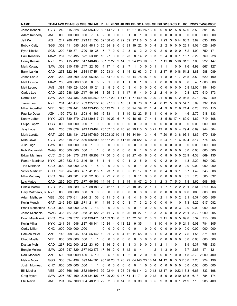| <b>NAME</b>            |            |                |                |                      |      | TEAM AVG OBA SLG OPS GM ABR                                 |                |           |              |   |          |                   |       |                 |                |                |    |              |       |              | H 2B 3B HR RBI BB SO HB SH SF IBB DP SB CS E | RC       | <b>RC/27 TAVG ISOP</b> |            |           |
|------------------------|------------|----------------|----------------|----------------------|------|-------------------------------------------------------------|----------------|-----------|--------------|---|----------|-------------------|-------|-----------------|----------------|----------------|----|--------------|-------|--------------|----------------------------------------------|----------|------------------------|------------|-----------|
| Jason Kendall          | CVC        | .242 .315 .328 |                |                      |      | 643 136 472 60 114 12                                       |                |           |              | 1 | 9        |                   |       | 42 27 86 26 13  |                |                | 6  | 0            | 9     | 12           | 8<br>5                                       | 52.0     | 3.59                   | .591       | .087      |
| Adam Kennedy           | JAG        |                | .000 000 000   |                      | .000 | 4<br>7                                                      | 2              | 0         | 0            | 0 | 0        | 1                 | 0     | 1               | 0              | 0              | 0  | 0            | 0     | 0            | 0<br>0                                       | 0.0      | 0.00                   | .000       | .000      |
| Jeff Kent              | AZH        |                | .247 .286 .437 |                      |      | .723 151 558 62 138 40                                      |                |           |              | 0 | 22       | 59                | 27    | 118             | 5              | 0              | 4  | $\mathbf{1}$ | 23    | 3            | 0 14                                         | 63.3     | 3.82                   | .630       | .190      |
| Bobby Kielty           | SGS        |                | .309 411 555   |                      | .965 | 48 110                                                      | 25             | 34        | 9            | 0 | 6        | 21                | 19    | 22              | 0              | 0              | 4  | 2            | 2     | 0            | 0<br>0                                       | 26.1     |                        | 9.02 1.026 | .245      |
| Ryan Klesko            | SGS        |                | .200 349 371   |                      | .720 | 19<br>35                                                    | 5              | 7         | 0            | 0 | 2        | 3                 | 6     | 12              | 2              | 0              | 0  | 2            | 0     | 0            | 0<br>0                                       | 5.2      | 4.99                   | .750       | .171      |
| Paul Konerko           | MAW        |                | .267.327.495   |                      | .822 | 53 101                                                      | 16             | 27        | 8            | 0 | 5        | 23                | 8     | 14              | 2              | 0              | 3  | 2            | 4     | 0            | 0<br>-1                                      | 15.7     | 5.29                   | .769       | .228      |
| <b>Corey Koskie</b>    | NYK        |                |                |                      |      | .285 .415 .432 .847 148 463                                 |                | 83 132 22 |              | 2 | 14       | 63                |       | 94 126          | 10             | 0              | 7  |              | -11   | 16           | 516                                          | 91.2     | 7.06                   | .922       | .147      |
| Mark Kotsay            | <b>SAW</b> |                | 309 310 436    |                      |      | .747 22 55                                                  |                | 417       | 1            | 0 | 2        | 7                 |       | 10              | 0              | 0              |    |              |       |              | 0<br>0                                       | 7.6      | 4.98                   | .667       | .127      |
| <b>Barry Larkin</b>    | CAD        |                | .273 .322 .361 |                      |      | .684 117 451                                                |                | 50 123 31 |              | 0 | 3        | 44                | 32    | 63              | 3              | 7              | 1  | 2            | -17   | 5            | 018                                          | 51.2     | 3.88                   | .588       | .089      |
| Jason Larue            | AZH        |                | .209 .289 .399 |                      | .688 | 96 258                                                      |                | 32 54 19  |              |   | 0, 10    | 32                | 14    | 78              | 15             | 1              | 0  | 1            | 8     | 0            | 1<br>7                                       | 28.5     | 3.59                   | .620       | .190      |
| <b>Matt Lawton</b>     | <b>MAW</b> |                |                | .200 .200 .800 1.000 |      | 5<br>6                                                      | $\overline{2}$ | 1         | 0            | 0 | 1        | 1                 | 0     | 1               | 0              | 0              | 1  | 0            | 0     | 0            | 0 <sub>0</sub>                               | 0.8      |                        | 5.40 1.000 | .600      |
| <b>Matt Lecroy</b>     | JAG        |                |                | .381 .480 .524 1.004 |      | 15<br>21                                                    | 2              | 8         | 3            | 0 | 0        | 3                 | 4     | 5               | 0              | 0              | 0  | 0            | 0     | 0            | 0<br>0                                       | 5.8      | 12.00 1.154            |            | .143      |
| Carlos Lee             | CAD        |                | .255 .288 .429 |                      | .717 | 98<br>-46                                                   | 8              | 25        | 3            | 1 | 4        | 17                | 5     | 14              | 0              | 0              | 2  | 2            | 4     | 0            | 0<br>1                                       | 10.8     | 3.72                   | .610       | .173      |
| Derrek Lee             | SAW        |                | .227 .333 .486 |                      |      | .819 154 560                                                |                | 87 127 20 |              |   | 41       | 101               | 77    | 149             | 15             | 0              | 20 | 21           | 9     | 18           | 2<br>4                                       | 96.5     | 5.78                   | .857       | .259      |
| Travis Lee             | <b>NYK</b> |                | .261 .347 .417 |                      |      | .763 125 372 43 97 18                                       |                |           |              | 5 | -10      | -51               | 50    | 76              | 0              | 1              | 4  | 6            | 12    | 5            | 3<br>0                                       | 54.7     | 5.09                   | .732       | .156      |
| Mike Lieberthal        | VEE        |                | .326 .376 .441 |                      |      | .818 123 435 56 142 24                                      |                |           |              | 1 | 8        | 36                | 24    | 59              | 12             | 1              | 4  | 4            | 9     | 0            | 9<br>2                                       | 71.4     | 6.28                   | .750       | .115      |
| Paul Lo Duca           | AZH        | .199           | .272 .331      |                      | .603 | 61 166                                                      | 16             |           | 33 11        | 1 | 3        | 19                | 12    | 22              | 5              | 6              | 1  | 0            | 6     | 0            | 1<br>0                                       | 14.6     | 2.70                   | .518       | .133      |
| Kenny Lofton           | <b>NYK</b> | .271           | .339.379       |                      |      | .718 139 517                                                |                | 74 140 23 |              | 6 | 7        | 40                | 46    | 66              | 7              | 4              | 4  | 3            | 5     | 38           | 17<br>4                                      | 69.0     | 4.62                   | .719       | .108      |
| Felipe Lopez           | SGS        |                | 000 000 000    |                      | .000 | 0<br>1                                                      | 0              | 0         | 0            | 0 | 0        | 0                 | 0     | 0               | 0              | 0              | 0  | 0            | 0     | 0            | 0<br>0                                       | 0.0      | 0.00                   | .000       | .000      |
| Javy Lopez             | <b>JAG</b> |                | .265 320 629   |                      |      | .949 113 404                                                |                | 73 107 15 |              |   | 6 40     | 96                |       | 29 110          | 5              | 021            |    | 19           | 8     | 0            | 0<br>4                                       | 79.4     | 6.99                   | .944       | .364      |
| Mark Loretta           | <b>GAT</b> |                | .295 328 434   |                      |      | .762 157 689 93 203 37 10 13                                |                |           |              |   |          | 86                |       | 34 104          | 3              | 4              | 6  | 7            | 20    | 5            | 8<br>3                                       | 93.1     | 4.85                   | .670       | .139      |
| Mike Lowell            | <b>CVC</b> |                | .258 318 512   |                      |      | .830 155 609                                                |                | 86 157 28 |              |   | 2 41 116 |                   |       | 50 122          | 6              | 0              | 5  | 2            | -24   |              | 6                                            | 92.4     | 5.17                   | .774       | .255      |
| Julio Lugo             | <b>SAW</b> |                | 000 000 000    |                      | .000 | 0                                                           | 0              | 0         | 0            | 0 | 0        | 0                 | 0     | 0               | 0              | 0              | 0  | 0            | 0     | 0            | 0<br>0                                       | 0.0      | 0.00                   | .000       | .000      |
| Rob Mackowiak          | WAG        | .000 000 000   |                |                      | .000 | 1<br>1                                                      | 0              | 0         | 0            | 0 | 0        | 0                 | 0     |                 | 0              | 0              | 0  | 0            | 0     | 0            | 0<br>0                                       | 0.0      | 0.00                   | .000       | .000      |
| <b>Edgar Martinez</b>  | CVC        |                | .240 344 375   |                      | .719 | 88 208                                                      | 17             | 50        | 10           | 0 | 6        | 28                | 27    | 46              | 6              | 0              | 0  | 0            | 8     | 0            | 0<br>0                                       | 26.9     | 4.38                   | .669       | .135      |
| Ramon Martinez         | <b>NYK</b> |                | .250 .333 .313 |                      | .646 | 10<br>16                                                    | 1              | 4         |              | 0 | 0        | 1                 | 2     | 5               | 0              | 1              | 0  | 0            | 2     | 0            | 0<br>-1                                      | 1.3      | 2.29                   | .500       | .063      |
| <b>Tino Martinez</b>   | CAD        |                | 000 000 000    |                      | .000 | 5                                                           | 0              | 0         | 0            | 0 | 0        | 0                 | 0     |                 | 0              | 0              | 0  | 0            | 0     | 0            | $0\quad 0$                                   | 0.0      | 0.00                   | .000       | .000      |
| <b>Victor Martinez</b> | CHC        |                | .195 .264 .203 |                      | .467 | 41118                                                       | 10             | 23        | 1            | 0 | 0        | 5                 | 11    | 17              | 0              | 1              | 0  | 0            | 4     | 0            | 3<br>1                                       | 5.7      | 1.49                   | .343       | .008      |
| Mike Matheny           | <b>CVC</b> |                | .349 .349 .381 |                      | .730 | 22 63                                                       | 7              | 22        | 2            | 0 | 0        | 5                 | 0     | 11              | 0              | 3              | 0  | 0            | 0     | 0            | 0<br>0                                       | 8.5      | 5.23                   | .585       | .032      |
| Luis Matos             | CAD        |                | .265 .303 .373 |                      | .677 | 66 166                                                      | 14             | 44        | 7            | 1 | 3        | 14                | 8     | 47              | 2              | 0              | 1  | 2            | 3     |              | 3<br>5                                       | 17.8     | 3.65                   | .608       | .108      |
| Hideki Matsui          | CVC        | .233           | .308.389       |                      | .697 | 88 180                                                      | 20             |           | 42 11        | 1 | 5        | 22                | 18    | 35              | 2              | 1              | 1  | 1            | 7     | 1            | 2<br>2                                       | 20.1     | 3.64                   | .619       | .156      |
| Gary Matthews, Jr. NYK |            |                | 000.000.000.   |                      | .000 | 3<br>0                                                      | 0              | 0         | 0            | 0 | 0        | 0                 | 0     | 0               | 0              | 0              | 0  | 0            | 0     | 0            | 0<br>0                                       | .000     | .000                   | .000       | .000      |
| Adam Melhuse           | VEE        |                |                |                      |      | .306 .375 .611 .986 21 36                                   | 6              | 11        | 5            | 0 | 2        | 8                 | 4     | 8               | 0              | 0              | 0  | 2            | 1     | 0            | 0 <sub>2</sub>                               | 8.1      |                        | 8.37 1.000 | .306      |
| Kevin Mench            | GAT        |                |                | .246 .343 .328       |      | .671 21 61                                                  | 4              | 15        | 5            | O | 0        | 3                 | 7     | 13              | 2              | 0              | 0  | 0            | 0     | 0            | 10                                           | 7.3      | 4.22                   | .617 .082  |           |
| Frank Menechino        | CAD        |                |                | 000.000.000.         | .000 | 7 13                                                        | 0              | 0         | 0            | 0 | 0        | 0                 | 0     | 1               | 0              | 0              | 0  | 0            | 0     | 0            | 0 <sub>3</sub>                               | 0.0      | 0.00                   | .000 .000  |           |
| Jason Michaels         | WAG        |                |                | .336 .427 .541       |      | .968 41122 26 41 7                                          |                |           |              | 0 | 6        | 26                | 19    | 27              | 1              | 0              | 3  | 3            | 5     | 0            | $\overline{2}$<br>0                          | 28.1     |                        | 8.72 1.000 | .205      |
| Doug Mientkiewicz CVC  |            |                |                |                      |      | .282 .378 .372 .750 139 471 51 133 33 0                     |                |           |              |   | 3        | 47                | 72 57 |                 | 2              | 0              | 2  |              | 2 11  | 0            | $\sqrt{5}$<br>0                              | 69.8     | 5.37                   | .713 .089  |           |
| Kevin Millar           | <b>NYK</b> |                |                |                      |      | 241 .291 .546 .837 68 141 15 34 4                           |                |           |              |   | 0 13 32  |                   | 9     | 35              | 1              | 1              | 3  | 10           | 4     | 0            | - 5<br>0                                     | 21.1     | 5.08                   | .784.305   |           |
| <b>Corky Miller</b>    | <b>CHC</b> |                | 000.000.000.   |                      | .000 | 1<br>1                                                      | 0              | 0         | 0            | 0 | 0        | 0                 | 0     | 1               | 0              | 0              | 0  | 0            | 0     | 0            | 0 <sub>0</sub>                               | 0.0      | 0.00                   |            | .000 .000 |
| Damian Miller          | AZH        |                |                |                      |      | 148 .208 .246 .454 56 142 12 21 2 0 4 12 11 55              |                |           |              |   |          |                   |       |                 | 0              | 6 1            |    | 0            | 3     | $\mathbf{0}$ | 0 <sub>2</sub>                               | 7.5      | 1.55                   | .371 .099  |           |
| <b>Chad Moeller</b>    | <b>VEE</b> |                | 000 000 000    |                      | .000 | 1<br>1                                                      | 0              | 0         | 0            | 0 | 0        | 0                 | 0     | 0               | 0              | 0              | 0  | 0            | 0     | 0            | 0 <sub>0</sub>                               | 0.0      | 0.00                   | .000 .000  |           |
| Dustan Mohr            | CAD        |                | .267 .302 .500 |                      |      | .802 23 60                                                  | 8              | 16        | 5            | 0 | 3        | 8                 | 3     | 19              | 0              | 0              | -1 | 2            | 1     | 1            | 0 <sub>1</sub>                               | 8.9      | 5.37                   |            | .756 .233 |
| Bengie Molina          | SAW        |                |                |                      |      | .208 .247 .329 .577 102 173 17                              |                |           | 36 12        | 0 | 3        | 12                | 8     | 14              | 1              | 1              | 2  | 1            | 3     | 0            | 0<br>$\mathbf{1}$                            | 13.7     | 2.63                   | .471 .121  |           |
| Raul Mondesi           | AZH        |                |                | .500 .500 .900 1.400 |      | 4 10                                                        | 2              | 5         | $\mathbf{1}$ | 0 | -1       | 2                 | 0     | 2               | 0              | 0              | 0  | 0            | 0     | 1            | 0<br>0                                       |          | 4.8 25.70 2.000 .400   |            |           |
| Melvin Mora            | SGS        | .303 .394 .499 |                |                      |      | .893 144 561                                                |                |           |              |   |          | 95 170 20 3 28 79 |       | 64 146 23 18 14 |                |                |    | 14 12        |       | 8            | 3                                            | 3115.0   | 7.23                   | .924 .196  |           |
| Justin Morneau         | <b>CHC</b> | 000.000.000    |                |                      | .000 | 1<br>1                                                      | 0              | 0         | 0            | 0 | 0        | 0                 | 0     | 1               | 0              | 0              | 0  | 0            | 0     | 0            | 0 <sub>0</sub>                               | 0.0      | 0.00                   |            | .000 .000 |
| <b>Bill Mueller</b>    | <b>VEE</b> |                |                | .299 .366 .496       |      | .862 159 643 92 192 44 4 25                                 |                |           |              |   |          | 94 68 114         |       |                 | 3              | 0 13           |    | 12 17        |       | 0            |                                              | 023116.3 | 6.65                   | .833 .198  |           |
| <b>Greg Myers</b>      | SAW        |                |                |                      |      | .295 .357 .469 .826 134 407 .46 120 20 .0 17 .54 .41 .71 .0 |                |           |              |   |          |                   |       |                 |                | 0 12           |    | 5            | 9     | 0            |                                              | 010 68.5 | 6.18                   | .784 .174  |           |
| <b>Phil Nevin</b>      | JAG        |                |                |                      |      | 291 .304 .700 1.004 48 110 22 32 3 0 14 33                  |                |           |              |   |          |                   |       | 3 30            | $\overline{0}$ | 0 <sub>5</sub> |    |              | 9 3 0 |              | 0 <sub>1</sub>                               |          | 21.9 7.13              | .988 .409  |           |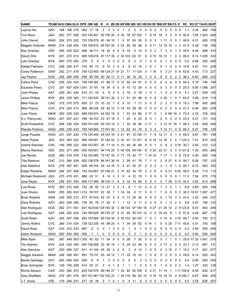| AZH<br>.188 .188 .375 .563 17 16<br>2<br>3<br>0<br>0<br>2<br>0<br>4<br>0<br>0<br>0<br>0<br>0<br>0<br>0<br>0<br>1.1<br>2.34<br>.462.188<br>-1<br>JAG<br>7.95 1.003<br>.262.377.556<br>.933 125 401 92 105 20 4 30<br>-78<br>67 102<br>7<br>8 14<br>16<br>3<br>3<br>0<br>$\overline{4}$<br>90.4<br>.294<br>John Olerud<br>.254 .370 .332 .703 109 370 45 94 15<br>37<br>63 39<br>6<br>3<br>46.9<br>4.31<br>.655<br>.078<br>WAG<br>1<br>4<br>0<br>1 17<br>0<br>0<br>$\mathbf{1}$<br><b>MAW</b><br>85<br>96<br>.748 .180<br>.274 338 454 .792 158 610 85 167 35<br>323<br>-56<br>5<br>0 11<br>12 19 10<br>3<br>$\overline{4}$<br>91.5<br>5.28<br>VEE<br>.306 .325 .622 .946 36111 18<br>3<br>.889<br>34<br>8<br>9<br>19<br>3<br>12<br>0<br>2<br>3<br>0<br>5<br>20.0<br>6.44<br>.315<br>0<br>7<br>1<br><b>NYK</b><br>8.14 1.026<br>.332<br>.281 .372 .613 .985 128 416<br>81 117 35<br>2 33 103<br>63<br>91<br>0<br>0 15<br>18 12<br>0<br>3<br>95.3<br>$\mathbf{1}$<br><b>NYK</b><br>.375<br>0.2<br>0.88<br>.500<br>.000<br>.000 375 000<br>5<br>2<br>0<br>0<br>0<br>0<br>0<br>2<br>0<br>0<br>0<br>0<br>0<br>0<br>5<br>1<br>0<br>1<br><b>CVC</b><br>.208<br>.208 .326 .417 .742 .40 72<br>9<br>15<br>3<br>8<br>12<br>0<br>10.6<br>4.87<br>.741<br>0<br>-14<br>0<br>-1<br>0<br>0<br>0<br>4<br>1<br>SAW<br>.713<br>.227<br>.252 .271 479<br>.750 132 493 66 124 21 14 21<br>71<br>3<br>21<br>6<br>62.8<br>4.43<br>11 1 25<br>3<br>1 16<br>5<br>8<br>SGS<br>.326 .380 .558<br>.938 80190 40 62 11<br>36<br>-26<br>9<br>2 <sub>2</sub><br>36.3<br>6.80<br>.885<br>.232<br>0 11<br>16<br>$\mathbf{1}$<br>4<br>5<br>6<br>0<br>CAD<br>.238 .324 .434 .758 106 362 47 86 17 9 12 50 44 97<br>0<br>6<br>6<br>$\overline{0}$<br>54.4<br>5.19<br>.196<br>4<br>4<br>4<br>0<br>.746<br><b>CVC</b><br>.337 .407 .634 1.041 31 101 19<br>9.85 1.086<br>.297<br>34<br>6<br>0<br>8<br>15<br>12<br>29<br>0<br>0<br>0<br>3<br>0<br>3<br>25.5<br>0<br>0<br><b>GAT</b><br>.529<br>.140<br>.209 .261 349 .610 21 43<br>9<br>0<br>2<br>2<br>18<br>0<br>0<br>4.1<br>3.27<br>4<br>0<br>-10<br>1<br>0<br>-1<br>0<br>0<br>1<br><b>NYK</b><br>.265 .328 .383 .711 150 532 56 141 30<br>98<br>8<br>2<br>63.0<br>3.99<br>.619<br>.118<br>0.11<br>51<br>45<br>8<br>3<br>26<br>7<br>0<br>1<br>CAD<br>2<br>2<br>.942<br>.260<br>.315 .375 .575 .950 21 73 10 23<br>7<br>7<br>11<br>0<br>0<br>2<br>0<br>0<br>15.3<br>7.96<br>0<br>4<br>10<br>0<br>.852<br>CHC<br>.868 66226 28 62 12<br>.239<br>.274 .354 .513<br>33<br>28<br>38<br>0<br>0<br>0<br>5<br>0<br>41.3<br>6.59<br>0 14<br>0<br>0<br>4<br><b>MAW</b><br>.669 150 574 94 162 15<br>.705<br>.052<br>.282 .335 .334<br>53<br>43<br>66<br>3<br>17<br>0<br>68 16<br>3<br>72.5<br>4.33<br>6<br>1<br>6<br>1<br>.788 49 153 23 47 16<br>25<br>8<br>0<br>2<br>23.5<br>.721<br>.124<br>A.J. Pierzynski<br>WAG<br>.307.357.431<br>0<br>6<br>20<br>1<br>0<br>5<br>0<br>0<br>5.51<br>1<br>CVC<br>.629<br>.056<br>.268 .330 .324<br>.654 141 448 46 120 18<br>2<br>32<br>39 86<br>3 11<br>2 12 37 16 7<br>48.3<br>3.54<br>1<br>-1<br>WAG<br>.706<br>.285 .339 .423<br>.762 145 565 73 161 40 1 12<br>62 43 79<br>5<br>3<br>7 14 11<br>48<br>80.3<br>5.07<br>.138<br>5<br>Jorge Posada<br>91 72 136 11<br>12 17<br>.198<br>WAG<br>.231 347 429<br>.776 125 445 54 103 19 3 21<br>9<br>0<br>$\overline{4}$<br>68.0<br>4.97<br>.761<br>1<br>1<br><b>JAG</b><br>.303 .383 .522 .906 156 601 97 182 42 0 30 97 72 101<br>.910<br>.220<br><b>Albert Pujols</b><br>8<br>0 18<br>12 16<br>2<br>0<br>1 1 2 0 . 2<br>7.41<br>CHC<br>.199 .268 .322 .590 103 357 35 71 14 0 10 49 26 69<br>0 19 30.7<br>.512 .123<br>Aramis Ramirez<br>8<br>0<br>0<br>9<br>2<br>2.80<br>-1<br><b>VEE</b><br><b>Manny Ramirez</b><br>.293 .371 .559 .930 155 601 94 176 25 0 45 109 69 140<br>8<br>7.30<br>.933<br>.266<br>0 23<br>22 21<br>3<br>0<br>0 1 2 1 . 6<br>SGS<br>Joe Randa<br>.260.318.416.734 152 565 75 147 33 2 17<br>.655 .156<br>75<br>42 77<br>7 14 10<br>717<br>0<br>9<br>72.9<br>4.36<br>1<br><b>Tike Redman</b><br><b>CHC</b><br>.313 .364 .438<br>802 138 578 86 181 38 14<br>59<br>76<br>7<br>2<br>6<br>6<br>95.7<br>6.26<br>.787 .125<br>2<br>41<br>3<br>21<br>6<br>1<br>Desi Relaford<br><b>NYK</b><br>.828 69154 29 43 10 0<br>8<br>6.72<br>.903 .182<br>.279 .367 .461<br>6<br>-21<br>20 27<br>2<br>3<br>3<br>3<br>9<br>29.1<br>1<br><b>MAW</b><br>82<br>8<br>5.26<br>.713<br>.112<br>Edgar Renteria<br>.294 337 406<br>.743 152 667 87 196 41<br>76<br>0<br>0<br>6<br>31<br>620<br>95.0<br>2 10<br>-44<br>4<br><b>JAG</b><br>12<br>.973<br>.176<br>Michael Restovich<br>.275 415 451<br>.866 33 51<br>8<br>3<br>3<br>0<br>4<br>19<br>1<br>0<br>0<br>0<br>0<br>0<br>0<br>11.2<br>7.94<br>14<br>- 1<br><b>NYK</b><br>32<br>.613<br>.096<br><b>Jose Reyes</b><br>.258 .291 .354<br>.645 117 395<br>48 102 11<br>6<br>5<br>19<br>69<br>0<br>9<br>2<br>7 28<br>513<br>42.4<br>3.62<br>3<br>Luis Rivas<br><b>NYK</b><br>.263 .272 .450 .722 28 80<br>13 21<br>2<br>8<br>12<br>0<br>$\overline{2}$<br>2<br>$\overline{2}$<br>8.8<br>3.60<br>.629<br>.188<br>2<br>3<br>4<br>1<br>1<br>1<br>-1<br>Juan Rivera<br>SAW<br>.355 .383 .832 1.214 39 107 22 38<br>6<br>0 <sub>2</sub><br>30.3 10.61 1.267 .477<br>7 1 14<br>34<br>6<br>11<br>0<br>0<br>7<br>0<br>7<br><b>Brian Roberts</b><br>SAW<br>.236 .305 .273 .577 87 242 42 57 5 2 0 13 24 36 0 8 0<br>0<br>1 13<br>3 3 2 3 4<br>3.20<br>.545 .037<br>.746 .132<br>Dave Roberts<br>AZH<br>.263 .309 .395 .704 60 76 17 20 5<br>2 0<br>9.8<br>4.47<br>1 12<br>5 11<br>$\overline{0}$<br>9<br>$\mathbf{0}$<br>0<br>0<br>$\mathbf{1}$<br>.940 .289<br>Alex Rodriguez<br>SGS<br>.262 .371 .551 .921 162 630 129 165 32  3  48 123  97 149  16  0 27  21  35  12  2  6 123 8<br>6.57<br>Ivan Rodriguez<br>GAT<br>.248 .320 .424 .744 160 625 .80 155 37 .5 .21 .92 .55 147 .12 .0 .5<br>16 24 8<br>1 6 81.6<br>4.44<br>.687.176<br>Scott Rolen<br>AZH<br>.245 .347 .456 .803 153 564 80 138 35 0 28 103 82 125<br>701<br>0156<br>3 19 90.7<br>5.50<br>.793 .211<br><b>CVC</b><br>711 45.6<br>.740 .158<br>Jimmy Rollins<br>.266 .314 .424 .738 122 335 44 89 24 4 7 34 24 62<br>0 14<br>5 25<br>4.51<br>$\overline{1}$<br>0<br>0 <sub>0</sub><br>.500 .000<br>David Ross<br>GAT<br>.333 .333 .333 .667<br>2<br>0<br>0<br>0.3<br>4.50<br>3<br>0<br>$\mathbf{1}$<br>0<br>0<br>0<br>0<br>1<br>0<br>0<br>0<br>0<br>1<br>Aaron Rowand<br>WAG<br>000 000 000 000<br>0.0<br>0.00<br>.000 .000<br>$\mathbf{1}$<br>$\overline{1}$<br>0<br>$0\ 0\ 0\ 0$<br>0<br>0<br>$\overline{1}$<br>$\overline{0}$<br>$0\quad 0$<br>0<br>$\overline{0}$<br>$0\ 0\ 0$<br><b>JAG</b><br>.387 .449 .903 1.353 42 62 11 24 8 0<br>8 28<br>7 20<br>0<br>25.0 17.33 1.641 .516<br>Mike Ryan<br>0<br>3<br>5<br>-1<br>1<br>0 1<br>Tim Salmon<br>33.7<br>4.13<br><b>NYK</b><br>.224 .343 .354 .697 108 268 .33 .60 15 1<br>6 29 43 49<br>03<br>.667.131<br>6<br>0<br>4<br>211<br>2<br>Alex Sanchez<br>.250 .284 .327 .611 41104 25 26 4<br>GAT<br>3<br>3<br>15<br>10.4<br>3.17<br>.651 .077<br>2<br>0<br>4<br>14<br>1<br>6<br>0<br>0<br>21<br>Reggie Sanders<br>MAW<br>.248.300.591.891 79137 30 34 12 1 11<br>35<br>10 33<br>0 <sub>3</sub><br>24.6<br>6.14<br>.925 .343<br>$\overline{1}$<br>0<br>6<br>5<br>3<br>6<br>000 000 000 000<br>0 <sub>0</sub><br>0.0<br>0.00<br>.000 .000<br>Benito Santiago<br>GAT<br>9<br>9<br>1<br>0<br>0<br>0<br>0<br>0<br>0<br>2<br>0<br>0<br>0<br>0<br>0<br>0<br><b>Brian Schneider</b><br>.333 .129<br><b>NYK</b><br>.129 .156 .258 .414 26 31<br>3<br>0<br>2<br>0<br>$0\quad 0$<br>1.4<br>1.27<br>4<br>1<br>1<br>4<br>0<br>0<br>0<br>1<br><b>Richie Sexson</b><br>CAD<br>.253 .362 .470 .833 162 576 89 146 27 1 32 82 92 158<br>8<br>021<br>111100.6<br>.834<br>11 15<br>6.05<br>.217<br>$\overline{1}$<br>.894 .200<br><b>Gary Sheffield</b><br>.276 .381 .476 .857 151 561 102 155 23 1 29 116 86 83 14 0 19 10 16 12 2 6 106 7<br>6.67<br>WAG<br>J.T. Snow<br>$.625$ $.051$<br>VEE<br>.179 .346 .231 .577 45 39 2 7 0 1 0 4 11 9 0 0 0 0 0 0 0 0 4.5 3.55 | <b>NAME</b>          |  |  | TEAM AVG OBA SLG OPS GM AB R H 2B 3B HR RBI BB SO HB SH SF IBB DP SB CS E RC RC/27 TAVG ISOP |  |  |  |  |  |  |  |  |  |  |
|-----------------------------------------------------------------------------------------------------------------------------------------------------------------------------------------------------------------------------------------------------------------------------------------------------------------------------------------------------------------------------------------------------------------------------------------------------------------------------------------------------------------------------------------------------------------------------------------------------------------------------------------------------------------------------------------------------------------------------------------------------------------------------------------------------------------------------------------------------------------------------------------------------------------------------------------------------------------------------------------------------------------------------------------------------------------------------------------------------------------------------------------------------------------------------------------------------------------------------------------------------------------------------------------------------------------------------------------------------------------------------------------------------------------------------------------------------------------------------------------------------------------------------------------------------------------------------------------------------------------------------------------------------------------------------------------------------------------------------------------------------------------------------------------------------------------------------------------------------------------------------------------------------------------------------------------------------------------------------------------------------------------------------------------------------------------------------------------------------------------------------------------------------------------------------------------------------------------------------------------------------------------------------------------------------------------------------------------------------------------------------------------------------------------------------------------------------------------------------------------------------------------------------------------------------------------------------------------------------------------------------------------------------------------------------------------------------------------------------------------------------------------------------------------------------------------------------------------------------------------------------------------------------------------------------------------------------------------------------------------------------------------------------------------------------------------------------------------------------------------------------------------------------------------------------------------------------------------------------------------------------------------------------------------------------------------------------------------------------------------------------------------------------------------------------------------------------------------------------------------------------------------------------------------------------------------------------------------------------------------------------------------------------------------------------------------------------------------------------------------------------------------------------------------------------------------------------------------------------------------------------------------------------------------------------------------------------------------------------------------------------------------------------------------------------------------------------------------------------------------------------------------------------------------------------------------------------------------------------------------------------------------------------------------------------------------------------------------------------------------------------------------------------------------------------------------------------------------------------------------------------------------------------------------------------------------------------------------------------------------------------------------------------------------------------------------------------------------------------------------------------------------------------------------------------------------------------------------------------------------------------------------------------------------------------------------------------------------------------------------------------------------------------------------------------------------------------------------------------------------------------------------------------------------------------------------------------------------------------------------------------------------------------------------------------------------------------------------------------------------------------------------------------------------------------------------------------------------------------------------------------------------------------------------------------------------------------------------------------------------------------------------------------------------------------------------------------------------------------------------------------------------------------------------------------------------------------------------------------------------------------------------------------------------------------------------------------------------------------------------------------------------------------------------------------------------------------------------------------------------------------------------------------------------------------------------------------------------------------------------------------------------------------------------------------------------------------------------------------------------------------------------------------------------------------------------------------------------------------------------------------------------------------------------------------------------------------------------------------------------------------------------------------------------------------------------------------------------------------------------------------------------------------------------------------------------------------------------------------------------------------------------------------------------------------------------------------------------------------------------------------------------------------------------------------------------------------------------------------------------------------------------------------------------------------------------------------------------------------------------------------------------------------------------------------------------------------------------------------------------------------------------------------------------------------------------------------------------------------------------------------------------------------------------------------------------------------------------------------------------------------------------------------------------------------------------------------------------------------------------------------------------------------------------------------------------------------------------------------------------------------------------------------------------------------------------------------------------------------------------------------------|----------------------|--|--|----------------------------------------------------------------------------------------------|--|--|--|--|--|--|--|--|--|--|
|                                                                                                                                                                                                                                                                                                                                                                                                                                                                                                                                                                                                                                                                                                                                                                                                                                                                                                                                                                                                                                                                                                                                                                                                                                                                                                                                                                                                                                                                                                                                                                                                                                                                                                                                                                                                                                                                                                                                                                                                                                                                                                                                                                                                                                                                                                                                                                                                                                                                                                                                                                                                                                                                                                                                                                                                                                                                                                                                                                                                                                                                                                                                                                                                                                                                                                                                                                                                                                                                                                                                                                                                                                                                                                                                                                                                                                                                                                                                                                                                                                                                                                                                                                                                                                                                                                                                                                                                                                                                                                                                                                                                                                                                                                                                                                                                                                                                                                                                                                                                                                                                                                                                                                                                                                                                                                                                                                                                                                                                                                                                                                                                                                                                                                                                                                                                                                                                                                                                                                                                                                                                                                                                                                                                                                                                                                                                                                                                                                                                                                                                                                                                                                                                                                                                                                                                                                                                                                                                                                                                                                                                                                                                                                                                                                                                                                                                                                                                                                                                                                                                                                                                                                                                                                                                                                                                                                                                                                                                                                                                           | Laynce Nix           |  |  |                                                                                              |  |  |  |  |  |  |  |  |  |  |
|                                                                                                                                                                                                                                                                                                                                                                                                                                                                                                                                                                                                                                                                                                                                                                                                                                                                                                                                                                                                                                                                                                                                                                                                                                                                                                                                                                                                                                                                                                                                                                                                                                                                                                                                                                                                                                                                                                                                                                                                                                                                                                                                                                                                                                                                                                                                                                                                                                                                                                                                                                                                                                                                                                                                                                                                                                                                                                                                                                                                                                                                                                                                                                                                                                                                                                                                                                                                                                                                                                                                                                                                                                                                                                                                                                                                                                                                                                                                                                                                                                                                                                                                                                                                                                                                                                                                                                                                                                                                                                                                                                                                                                                                                                                                                                                                                                                                                                                                                                                                                                                                                                                                                                                                                                                                                                                                                                                                                                                                                                                                                                                                                                                                                                                                                                                                                                                                                                                                                                                                                                                                                                                                                                                                                                                                                                                                                                                                                                                                                                                                                                                                                                                                                                                                                                                                                                                                                                                                                                                                                                                                                                                                                                                                                                                                                                                                                                                                                                                                                                                                                                                                                                                                                                                                                                                                                                                                                                                                                                                                           | Trot Nixon           |  |  |                                                                                              |  |  |  |  |  |  |  |  |  |  |
|                                                                                                                                                                                                                                                                                                                                                                                                                                                                                                                                                                                                                                                                                                                                                                                                                                                                                                                                                                                                                                                                                                                                                                                                                                                                                                                                                                                                                                                                                                                                                                                                                                                                                                                                                                                                                                                                                                                                                                                                                                                                                                                                                                                                                                                                                                                                                                                                                                                                                                                                                                                                                                                                                                                                                                                                                                                                                                                                                                                                                                                                                                                                                                                                                                                                                                                                                                                                                                                                                                                                                                                                                                                                                                                                                                                                                                                                                                                                                                                                                                                                                                                                                                                                                                                                                                                                                                                                                                                                                                                                                                                                                                                                                                                                                                                                                                                                                                                                                                                                                                                                                                                                                                                                                                                                                                                                                                                                                                                                                                                                                                                                                                                                                                                                                                                                                                                                                                                                                                                                                                                                                                                                                                                                                                                                                                                                                                                                                                                                                                                                                                                                                                                                                                                                                                                                                                                                                                                                                                                                                                                                                                                                                                                                                                                                                                                                                                                                                                                                                                                                                                                                                                                                                                                                                                                                                                                                                                                                                                                                           |                      |  |  |                                                                                              |  |  |  |  |  |  |  |  |  |  |
|                                                                                                                                                                                                                                                                                                                                                                                                                                                                                                                                                                                                                                                                                                                                                                                                                                                                                                                                                                                                                                                                                                                                                                                                                                                                                                                                                                                                                                                                                                                                                                                                                                                                                                                                                                                                                                                                                                                                                                                                                                                                                                                                                                                                                                                                                                                                                                                                                                                                                                                                                                                                                                                                                                                                                                                                                                                                                                                                                                                                                                                                                                                                                                                                                                                                                                                                                                                                                                                                                                                                                                                                                                                                                                                                                                                                                                                                                                                                                                                                                                                                                                                                                                                                                                                                                                                                                                                                                                                                                                                                                                                                                                                                                                                                                                                                                                                                                                                                                                                                                                                                                                                                                                                                                                                                                                                                                                                                                                                                                                                                                                                                                                                                                                                                                                                                                                                                                                                                                                                                                                                                                                                                                                                                                                                                                                                                                                                                                                                                                                                                                                                                                                                                                                                                                                                                                                                                                                                                                                                                                                                                                                                                                                                                                                                                                                                                                                                                                                                                                                                                                                                                                                                                                                                                                                                                                                                                                                                                                                                                           | Magglio Ordonez      |  |  |                                                                                              |  |  |  |  |  |  |  |  |  |  |
|                                                                                                                                                                                                                                                                                                                                                                                                                                                                                                                                                                                                                                                                                                                                                                                                                                                                                                                                                                                                                                                                                                                                                                                                                                                                                                                                                                                                                                                                                                                                                                                                                                                                                                                                                                                                                                                                                                                                                                                                                                                                                                                                                                                                                                                                                                                                                                                                                                                                                                                                                                                                                                                                                                                                                                                                                                                                                                                                                                                                                                                                                                                                                                                                                                                                                                                                                                                                                                                                                                                                                                                                                                                                                                                                                                                                                                                                                                                                                                                                                                                                                                                                                                                                                                                                                                                                                                                                                                                                                                                                                                                                                                                                                                                                                                                                                                                                                                                                                                                                                                                                                                                                                                                                                                                                                                                                                                                                                                                                                                                                                                                                                                                                                                                                                                                                                                                                                                                                                                                                                                                                                                                                                                                                                                                                                                                                                                                                                                                                                                                                                                                                                                                                                                                                                                                                                                                                                                                                                                                                                                                                                                                                                                                                                                                                                                                                                                                                                                                                                                                                                                                                                                                                                                                                                                                                                                                                                                                                                                                                           | Rey Ordonez          |  |  |                                                                                              |  |  |  |  |  |  |  |  |  |  |
|                                                                                                                                                                                                                                                                                                                                                                                                                                                                                                                                                                                                                                                                                                                                                                                                                                                                                                                                                                                                                                                                                                                                                                                                                                                                                                                                                                                                                                                                                                                                                                                                                                                                                                                                                                                                                                                                                                                                                                                                                                                                                                                                                                                                                                                                                                                                                                                                                                                                                                                                                                                                                                                                                                                                                                                                                                                                                                                                                                                                                                                                                                                                                                                                                                                                                                                                                                                                                                                                                                                                                                                                                                                                                                                                                                                                                                                                                                                                                                                                                                                                                                                                                                                                                                                                                                                                                                                                                                                                                                                                                                                                                                                                                                                                                                                                                                                                                                                                                                                                                                                                                                                                                                                                                                                                                                                                                                                                                                                                                                                                                                                                                                                                                                                                                                                                                                                                                                                                                                                                                                                                                                                                                                                                                                                                                                                                                                                                                                                                                                                                                                                                                                                                                                                                                                                                                                                                                                                                                                                                                                                                                                                                                                                                                                                                                                                                                                                                                                                                                                                                                                                                                                                                                                                                                                                                                                                                                                                                                                                                           | David Ortiz          |  |  |                                                                                              |  |  |  |  |  |  |  |  |  |  |
|                                                                                                                                                                                                                                                                                                                                                                                                                                                                                                                                                                                                                                                                                                                                                                                                                                                                                                                                                                                                                                                                                                                                                                                                                                                                                                                                                                                                                                                                                                                                                                                                                                                                                                                                                                                                                                                                                                                                                                                                                                                                                                                                                                                                                                                                                                                                                                                                                                                                                                                                                                                                                                                                                                                                                                                                                                                                                                                                                                                                                                                                                                                                                                                                                                                                                                                                                                                                                                                                                                                                                                                                                                                                                                                                                                                                                                                                                                                                                                                                                                                                                                                                                                                                                                                                                                                                                                                                                                                                                                                                                                                                                                                                                                                                                                                                                                                                                                                                                                                                                                                                                                                                                                                                                                                                                                                                                                                                                                                                                                                                                                                                                                                                                                                                                                                                                                                                                                                                                                                                                                                                                                                                                                                                                                                                                                                                                                                                                                                                                                                                                                                                                                                                                                                                                                                                                                                                                                                                                                                                                                                                                                                                                                                                                                                                                                                                                                                                                                                                                                                                                                                                                                                                                                                                                                                                                                                                                                                                                                                                           | Lyle Overbay         |  |  |                                                                                              |  |  |  |  |  |  |  |  |  |  |
|                                                                                                                                                                                                                                                                                                                                                                                                                                                                                                                                                                                                                                                                                                                                                                                                                                                                                                                                                                                                                                                                                                                                                                                                                                                                                                                                                                                                                                                                                                                                                                                                                                                                                                                                                                                                                                                                                                                                                                                                                                                                                                                                                                                                                                                                                                                                                                                                                                                                                                                                                                                                                                                                                                                                                                                                                                                                                                                                                                                                                                                                                                                                                                                                                                                                                                                                                                                                                                                                                                                                                                                                                                                                                                                                                                                                                                                                                                                                                                                                                                                                                                                                                                                                                                                                                                                                                                                                                                                                                                                                                                                                                                                                                                                                                                                                                                                                                                                                                                                                                                                                                                                                                                                                                                                                                                                                                                                                                                                                                                                                                                                                                                                                                                                                                                                                                                                                                                                                                                                                                                                                                                                                                                                                                                                                                                                                                                                                                                                                                                                                                                                                                                                                                                                                                                                                                                                                                                                                                                                                                                                                                                                                                                                                                                                                                                                                                                                                                                                                                                                                                                                                                                                                                                                                                                                                                                                                                                                                                                                                           | Rafael Palmeiro      |  |  |                                                                                              |  |  |  |  |  |  |  |  |  |  |
|                                                                                                                                                                                                                                                                                                                                                                                                                                                                                                                                                                                                                                                                                                                                                                                                                                                                                                                                                                                                                                                                                                                                                                                                                                                                                                                                                                                                                                                                                                                                                                                                                                                                                                                                                                                                                                                                                                                                                                                                                                                                                                                                                                                                                                                                                                                                                                                                                                                                                                                                                                                                                                                                                                                                                                                                                                                                                                                                                                                                                                                                                                                                                                                                                                                                                                                                                                                                                                                                                                                                                                                                                                                                                                                                                                                                                                                                                                                                                                                                                                                                                                                                                                                                                                                                                                                                                                                                                                                                                                                                                                                                                                                                                                                                                                                                                                                                                                                                                                                                                                                                                                                                                                                                                                                                                                                                                                                                                                                                                                                                                                                                                                                                                                                                                                                                                                                                                                                                                                                                                                                                                                                                                                                                                                                                                                                                                                                                                                                                                                                                                                                                                                                                                                                                                                                                                                                                                                                                                                                                                                                                                                                                                                                                                                                                                                                                                                                                                                                                                                                                                                                                                                                                                                                                                                                                                                                                                                                                                                                                           | Corey Patterson      |  |  |                                                                                              |  |  |  |  |  |  |  |  |  |  |
|                                                                                                                                                                                                                                                                                                                                                                                                                                                                                                                                                                                                                                                                                                                                                                                                                                                                                                                                                                                                                                                                                                                                                                                                                                                                                                                                                                                                                                                                                                                                                                                                                                                                                                                                                                                                                                                                                                                                                                                                                                                                                                                                                                                                                                                                                                                                                                                                                                                                                                                                                                                                                                                                                                                                                                                                                                                                                                                                                                                                                                                                                                                                                                                                                                                                                                                                                                                                                                                                                                                                                                                                                                                                                                                                                                                                                                                                                                                                                                                                                                                                                                                                                                                                                                                                                                                                                                                                                                                                                                                                                                                                                                                                                                                                                                                                                                                                                                                                                                                                                                                                                                                                                                                                                                                                                                                                                                                                                                                                                                                                                                                                                                                                                                                                                                                                                                                                                                                                                                                                                                                                                                                                                                                                                                                                                                                                                                                                                                                                                                                                                                                                                                                                                                                                                                                                                                                                                                                                                                                                                                                                                                                                                                                                                                                                                                                                                                                                                                                                                                                                                                                                                                                                                                                                                                                                                                                                                                                                                                                                           | Jay Payton           |  |  |                                                                                              |  |  |  |  |  |  |  |  |  |  |
|                                                                                                                                                                                                                                                                                                                                                                                                                                                                                                                                                                                                                                                                                                                                                                                                                                                                                                                                                                                                                                                                                                                                                                                                                                                                                                                                                                                                                                                                                                                                                                                                                                                                                                                                                                                                                                                                                                                                                                                                                                                                                                                                                                                                                                                                                                                                                                                                                                                                                                                                                                                                                                                                                                                                                                                                                                                                                                                                                                                                                                                                                                                                                                                                                                                                                                                                                                                                                                                                                                                                                                                                                                                                                                                                                                                                                                                                                                                                                                                                                                                                                                                                                                                                                                                                                                                                                                                                                                                                                                                                                                                                                                                                                                                                                                                                                                                                                                                                                                                                                                                                                                                                                                                                                                                                                                                                                                                                                                                                                                                                                                                                                                                                                                                                                                                                                                                                                                                                                                                                                                                                                                                                                                                                                                                                                                                                                                                                                                                                                                                                                                                                                                                                                                                                                                                                                                                                                                                                                                                                                                                                                                                                                                                                                                                                                                                                                                                                                                                                                                                                                                                                                                                                                                                                                                                                                                                                                                                                                                                                           | Carlos Pena          |  |  |                                                                                              |  |  |  |  |  |  |  |  |  |  |
|                                                                                                                                                                                                                                                                                                                                                                                                                                                                                                                                                                                                                                                                                                                                                                                                                                                                                                                                                                                                                                                                                                                                                                                                                                                                                                                                                                                                                                                                                                                                                                                                                                                                                                                                                                                                                                                                                                                                                                                                                                                                                                                                                                                                                                                                                                                                                                                                                                                                                                                                                                                                                                                                                                                                                                                                                                                                                                                                                                                                                                                                                                                                                                                                                                                                                                                                                                                                                                                                                                                                                                                                                                                                                                                                                                                                                                                                                                                                                                                                                                                                                                                                                                                                                                                                                                                                                                                                                                                                                                                                                                                                                                                                                                                                                                                                                                                                                                                                                                                                                                                                                                                                                                                                                                                                                                                                                                                                                                                                                                                                                                                                                                                                                                                                                                                                                                                                                                                                                                                                                                                                                                                                                                                                                                                                                                                                                                                                                                                                                                                                                                                                                                                                                                                                                                                                                                                                                                                                                                                                                                                                                                                                                                                                                                                                                                                                                                                                                                                                                                                                                                                                                                                                                                                                                                                                                                                                                                                                                                                                           | <b>Eduardo Perez</b> |  |  |                                                                                              |  |  |  |  |  |  |  |  |  |  |
|                                                                                                                                                                                                                                                                                                                                                                                                                                                                                                                                                                                                                                                                                                                                                                                                                                                                                                                                                                                                                                                                                                                                                                                                                                                                                                                                                                                                                                                                                                                                                                                                                                                                                                                                                                                                                                                                                                                                                                                                                                                                                                                                                                                                                                                                                                                                                                                                                                                                                                                                                                                                                                                                                                                                                                                                                                                                                                                                                                                                                                                                                                                                                                                                                                                                                                                                                                                                                                                                                                                                                                                                                                                                                                                                                                                                                                                                                                                                                                                                                                                                                                                                                                                                                                                                                                                                                                                                                                                                                                                                                                                                                                                                                                                                                                                                                                                                                                                                                                                                                                                                                                                                                                                                                                                                                                                                                                                                                                                                                                                                                                                                                                                                                                                                                                                                                                                                                                                                                                                                                                                                                                                                                                                                                                                                                                                                                                                                                                                                                                                                                                                                                                                                                                                                                                                                                                                                                                                                                                                                                                                                                                                                                                                                                                                                                                                                                                                                                                                                                                                                                                                                                                                                                                                                                                                                                                                                                                                                                                                                           | Josh Phelps          |  |  |                                                                                              |  |  |  |  |  |  |  |  |  |  |
|                                                                                                                                                                                                                                                                                                                                                                                                                                                                                                                                                                                                                                                                                                                                                                                                                                                                                                                                                                                                                                                                                                                                                                                                                                                                                                                                                                                                                                                                                                                                                                                                                                                                                                                                                                                                                                                                                                                                                                                                                                                                                                                                                                                                                                                                                                                                                                                                                                                                                                                                                                                                                                                                                                                                                                                                                                                                                                                                                                                                                                                                                                                                                                                                                                                                                                                                                                                                                                                                                                                                                                                                                                                                                                                                                                                                                                                                                                                                                                                                                                                                                                                                                                                                                                                                                                                                                                                                                                                                                                                                                                                                                                                                                                                                                                                                                                                                                                                                                                                                                                                                                                                                                                                                                                                                                                                                                                                                                                                                                                                                                                                                                                                                                                                                                                                                                                                                                                                                                                                                                                                                                                                                                                                                                                                                                                                                                                                                                                                                                                                                                                                                                                                                                                                                                                                                                                                                                                                                                                                                                                                                                                                                                                                                                                                                                                                                                                                                                                                                                                                                                                                                                                                                                                                                                                                                                                                                                                                                                                                                           | Jason Phillips       |  |  |                                                                                              |  |  |  |  |  |  |  |  |  |  |
|                                                                                                                                                                                                                                                                                                                                                                                                                                                                                                                                                                                                                                                                                                                                                                                                                                                                                                                                                                                                                                                                                                                                                                                                                                                                                                                                                                                                                                                                                                                                                                                                                                                                                                                                                                                                                                                                                                                                                                                                                                                                                                                                                                                                                                                                                                                                                                                                                                                                                                                                                                                                                                                                                                                                                                                                                                                                                                                                                                                                                                                                                                                                                                                                                                                                                                                                                                                                                                                                                                                                                                                                                                                                                                                                                                                                                                                                                                                                                                                                                                                                                                                                                                                                                                                                                                                                                                                                                                                                                                                                                                                                                                                                                                                                                                                                                                                                                                                                                                                                                                                                                                                                                                                                                                                                                                                                                                                                                                                                                                                                                                                                                                                                                                                                                                                                                                                                                                                                                                                                                                                                                                                                                                                                                                                                                                                                                                                                                                                                                                                                                                                                                                                                                                                                                                                                                                                                                                                                                                                                                                                                                                                                                                                                                                                                                                                                                                                                                                                                                                                                                                                                                                                                                                                                                                                                                                                                                                                                                                                                           | Mike Piazza          |  |  |                                                                                              |  |  |  |  |  |  |  |  |  |  |
|                                                                                                                                                                                                                                                                                                                                                                                                                                                                                                                                                                                                                                                                                                                                                                                                                                                                                                                                                                                                                                                                                                                                                                                                                                                                                                                                                                                                                                                                                                                                                                                                                                                                                                                                                                                                                                                                                                                                                                                                                                                                                                                                                                                                                                                                                                                                                                                                                                                                                                                                                                                                                                                                                                                                                                                                                                                                                                                                                                                                                                                                                                                                                                                                                                                                                                                                                                                                                                                                                                                                                                                                                                                                                                                                                                                                                                                                                                                                                                                                                                                                                                                                                                                                                                                                                                                                                                                                                                                                                                                                                                                                                                                                                                                                                                                                                                                                                                                                                                                                                                                                                                                                                                                                                                                                                                                                                                                                                                                                                                                                                                                                                                                                                                                                                                                                                                                                                                                                                                                                                                                                                                                                                                                                                                                                                                                                                                                                                                                                                                                                                                                                                                                                                                                                                                                                                                                                                                                                                                                                                                                                                                                                                                                                                                                                                                                                                                                                                                                                                                                                                                                                                                                                                                                                                                                                                                                                                                                                                                                                           | Mike Piazza          |  |  |                                                                                              |  |  |  |  |  |  |  |  |  |  |
|                                                                                                                                                                                                                                                                                                                                                                                                                                                                                                                                                                                                                                                                                                                                                                                                                                                                                                                                                                                                                                                                                                                                                                                                                                                                                                                                                                                                                                                                                                                                                                                                                                                                                                                                                                                                                                                                                                                                                                                                                                                                                                                                                                                                                                                                                                                                                                                                                                                                                                                                                                                                                                                                                                                                                                                                                                                                                                                                                                                                                                                                                                                                                                                                                                                                                                                                                                                                                                                                                                                                                                                                                                                                                                                                                                                                                                                                                                                                                                                                                                                                                                                                                                                                                                                                                                                                                                                                                                                                                                                                                                                                                                                                                                                                                                                                                                                                                                                                                                                                                                                                                                                                                                                                                                                                                                                                                                                                                                                                                                                                                                                                                                                                                                                                                                                                                                                                                                                                                                                                                                                                                                                                                                                                                                                                                                                                                                                                                                                                                                                                                                                                                                                                                                                                                                                                                                                                                                                                                                                                                                                                                                                                                                                                                                                                                                                                                                                                                                                                                                                                                                                                                                                                                                                                                                                                                                                                                                                                                                                                           | Juan Pierre          |  |  |                                                                                              |  |  |  |  |  |  |  |  |  |  |
|                                                                                                                                                                                                                                                                                                                                                                                                                                                                                                                                                                                                                                                                                                                                                                                                                                                                                                                                                                                                                                                                                                                                                                                                                                                                                                                                                                                                                                                                                                                                                                                                                                                                                                                                                                                                                                                                                                                                                                                                                                                                                                                                                                                                                                                                                                                                                                                                                                                                                                                                                                                                                                                                                                                                                                                                                                                                                                                                                                                                                                                                                                                                                                                                                                                                                                                                                                                                                                                                                                                                                                                                                                                                                                                                                                                                                                                                                                                                                                                                                                                                                                                                                                                                                                                                                                                                                                                                                                                                                                                                                                                                                                                                                                                                                                                                                                                                                                                                                                                                                                                                                                                                                                                                                                                                                                                                                                                                                                                                                                                                                                                                                                                                                                                                                                                                                                                                                                                                                                                                                                                                                                                                                                                                                                                                                                                                                                                                                                                                                                                                                                                                                                                                                                                                                                                                                                                                                                                                                                                                                                                                                                                                                                                                                                                                                                                                                                                                                                                                                                                                                                                                                                                                                                                                                                                                                                                                                                                                                                                                           |                      |  |  |                                                                                              |  |  |  |  |  |  |  |  |  |  |
|                                                                                                                                                                                                                                                                                                                                                                                                                                                                                                                                                                                                                                                                                                                                                                                                                                                                                                                                                                                                                                                                                                                                                                                                                                                                                                                                                                                                                                                                                                                                                                                                                                                                                                                                                                                                                                                                                                                                                                                                                                                                                                                                                                                                                                                                                                                                                                                                                                                                                                                                                                                                                                                                                                                                                                                                                                                                                                                                                                                                                                                                                                                                                                                                                                                                                                                                                                                                                                                                                                                                                                                                                                                                                                                                                                                                                                                                                                                                                                                                                                                                                                                                                                                                                                                                                                                                                                                                                                                                                                                                                                                                                                                                                                                                                                                                                                                                                                                                                                                                                                                                                                                                                                                                                                                                                                                                                                                                                                                                                                                                                                                                                                                                                                                                                                                                                                                                                                                                                                                                                                                                                                                                                                                                                                                                                                                                                                                                                                                                                                                                                                                                                                                                                                                                                                                                                                                                                                                                                                                                                                                                                                                                                                                                                                                                                                                                                                                                                                                                                                                                                                                                                                                                                                                                                                                                                                                                                                                                                                                                           | Scott Podsednik      |  |  |                                                                                              |  |  |  |  |  |  |  |  |  |  |
|                                                                                                                                                                                                                                                                                                                                                                                                                                                                                                                                                                                                                                                                                                                                                                                                                                                                                                                                                                                                                                                                                                                                                                                                                                                                                                                                                                                                                                                                                                                                                                                                                                                                                                                                                                                                                                                                                                                                                                                                                                                                                                                                                                                                                                                                                                                                                                                                                                                                                                                                                                                                                                                                                                                                                                                                                                                                                                                                                                                                                                                                                                                                                                                                                                                                                                                                                                                                                                                                                                                                                                                                                                                                                                                                                                                                                                                                                                                                                                                                                                                                                                                                                                                                                                                                                                                                                                                                                                                                                                                                                                                                                                                                                                                                                                                                                                                                                                                                                                                                                                                                                                                                                                                                                                                                                                                                                                                                                                                                                                                                                                                                                                                                                                                                                                                                                                                                                                                                                                                                                                                                                                                                                                                                                                                                                                                                                                                                                                                                                                                                                                                                                                                                                                                                                                                                                                                                                                                                                                                                                                                                                                                                                                                                                                                                                                                                                                                                                                                                                                                                                                                                                                                                                                                                                                                                                                                                                                                                                                                                           | Placido Polanco      |  |  |                                                                                              |  |  |  |  |  |  |  |  |  |  |
|                                                                                                                                                                                                                                                                                                                                                                                                                                                                                                                                                                                                                                                                                                                                                                                                                                                                                                                                                                                                                                                                                                                                                                                                                                                                                                                                                                                                                                                                                                                                                                                                                                                                                                                                                                                                                                                                                                                                                                                                                                                                                                                                                                                                                                                                                                                                                                                                                                                                                                                                                                                                                                                                                                                                                                                                                                                                                                                                                                                                                                                                                                                                                                                                                                                                                                                                                                                                                                                                                                                                                                                                                                                                                                                                                                                                                                                                                                                                                                                                                                                                                                                                                                                                                                                                                                                                                                                                                                                                                                                                                                                                                                                                                                                                                                                                                                                                                                                                                                                                                                                                                                                                                                                                                                                                                                                                                                                                                                                                                                                                                                                                                                                                                                                                                                                                                                                                                                                                                                                                                                                                                                                                                                                                                                                                                                                                                                                                                                                                                                                                                                                                                                                                                                                                                                                                                                                                                                                                                                                                                                                                                                                                                                                                                                                                                                                                                                                                                                                                                                                                                                                                                                                                                                                                                                                                                                                                                                                                                                                                           |                      |  |  |                                                                                              |  |  |  |  |  |  |  |  |  |  |
|                                                                                                                                                                                                                                                                                                                                                                                                                                                                                                                                                                                                                                                                                                                                                                                                                                                                                                                                                                                                                                                                                                                                                                                                                                                                                                                                                                                                                                                                                                                                                                                                                                                                                                                                                                                                                                                                                                                                                                                                                                                                                                                                                                                                                                                                                                                                                                                                                                                                                                                                                                                                                                                                                                                                                                                                                                                                                                                                                                                                                                                                                                                                                                                                                                                                                                                                                                                                                                                                                                                                                                                                                                                                                                                                                                                                                                                                                                                                                                                                                                                                                                                                                                                                                                                                                                                                                                                                                                                                                                                                                                                                                                                                                                                                                                                                                                                                                                                                                                                                                                                                                                                                                                                                                                                                                                                                                                                                                                                                                                                                                                                                                                                                                                                                                                                                                                                                                                                                                                                                                                                                                                                                                                                                                                                                                                                                                                                                                                                                                                                                                                                                                                                                                                                                                                                                                                                                                                                                                                                                                                                                                                                                                                                                                                                                                                                                                                                                                                                                                                                                                                                                                                                                                                                                                                                                                                                                                                                                                                                                           |                      |  |  |                                                                                              |  |  |  |  |  |  |  |  |  |  |
|                                                                                                                                                                                                                                                                                                                                                                                                                                                                                                                                                                                                                                                                                                                                                                                                                                                                                                                                                                                                                                                                                                                                                                                                                                                                                                                                                                                                                                                                                                                                                                                                                                                                                                                                                                                                                                                                                                                                                                                                                                                                                                                                                                                                                                                                                                                                                                                                                                                                                                                                                                                                                                                                                                                                                                                                                                                                                                                                                                                                                                                                                                                                                                                                                                                                                                                                                                                                                                                                                                                                                                                                                                                                                                                                                                                                                                                                                                                                                                                                                                                                                                                                                                                                                                                                                                                                                                                                                                                                                                                                                                                                                                                                                                                                                                                                                                                                                                                                                                                                                                                                                                                                                                                                                                                                                                                                                                                                                                                                                                                                                                                                                                                                                                                                                                                                                                                                                                                                                                                                                                                                                                                                                                                                                                                                                                                                                                                                                                                                                                                                                                                                                                                                                                                                                                                                                                                                                                                                                                                                                                                                                                                                                                                                                                                                                                                                                                                                                                                                                                                                                                                                                                                                                                                                                                                                                                                                                                                                                                                                           |                      |  |  |                                                                                              |  |  |  |  |  |  |  |  |  |  |
|                                                                                                                                                                                                                                                                                                                                                                                                                                                                                                                                                                                                                                                                                                                                                                                                                                                                                                                                                                                                                                                                                                                                                                                                                                                                                                                                                                                                                                                                                                                                                                                                                                                                                                                                                                                                                                                                                                                                                                                                                                                                                                                                                                                                                                                                                                                                                                                                                                                                                                                                                                                                                                                                                                                                                                                                                                                                                                                                                                                                                                                                                                                                                                                                                                                                                                                                                                                                                                                                                                                                                                                                                                                                                                                                                                                                                                                                                                                                                                                                                                                                                                                                                                                                                                                                                                                                                                                                                                                                                                                                                                                                                                                                                                                                                                                                                                                                                                                                                                                                                                                                                                                                                                                                                                                                                                                                                                                                                                                                                                                                                                                                                                                                                                                                                                                                                                                                                                                                                                                                                                                                                                                                                                                                                                                                                                                                                                                                                                                                                                                                                                                                                                                                                                                                                                                                                                                                                                                                                                                                                                                                                                                                                                                                                                                                                                                                                                                                                                                                                                                                                                                                                                                                                                                                                                                                                                                                                                                                                                                                           |                      |  |  |                                                                                              |  |  |  |  |  |  |  |  |  |  |
|                                                                                                                                                                                                                                                                                                                                                                                                                                                                                                                                                                                                                                                                                                                                                                                                                                                                                                                                                                                                                                                                                                                                                                                                                                                                                                                                                                                                                                                                                                                                                                                                                                                                                                                                                                                                                                                                                                                                                                                                                                                                                                                                                                                                                                                                                                                                                                                                                                                                                                                                                                                                                                                                                                                                                                                                                                                                                                                                                                                                                                                                                                                                                                                                                                                                                                                                                                                                                                                                                                                                                                                                                                                                                                                                                                                                                                                                                                                                                                                                                                                                                                                                                                                                                                                                                                                                                                                                                                                                                                                                                                                                                                                                                                                                                                                                                                                                                                                                                                                                                                                                                                                                                                                                                                                                                                                                                                                                                                                                                                                                                                                                                                                                                                                                                                                                                                                                                                                                                                                                                                                                                                                                                                                                                                                                                                                                                                                                                                                                                                                                                                                                                                                                                                                                                                                                                                                                                                                                                                                                                                                                                                                                                                                                                                                                                                                                                                                                                                                                                                                                                                                                                                                                                                                                                                                                                                                                                                                                                                                                           |                      |  |  |                                                                                              |  |  |  |  |  |  |  |  |  |  |
|                                                                                                                                                                                                                                                                                                                                                                                                                                                                                                                                                                                                                                                                                                                                                                                                                                                                                                                                                                                                                                                                                                                                                                                                                                                                                                                                                                                                                                                                                                                                                                                                                                                                                                                                                                                                                                                                                                                                                                                                                                                                                                                                                                                                                                                                                                                                                                                                                                                                                                                                                                                                                                                                                                                                                                                                                                                                                                                                                                                                                                                                                                                                                                                                                                                                                                                                                                                                                                                                                                                                                                                                                                                                                                                                                                                                                                                                                                                                                                                                                                                                                                                                                                                                                                                                                                                                                                                                                                                                                                                                                                                                                                                                                                                                                                                                                                                                                                                                                                                                                                                                                                                                                                                                                                                                                                                                                                                                                                                                                                                                                                                                                                                                                                                                                                                                                                                                                                                                                                                                                                                                                                                                                                                                                                                                                                                                                                                                                                                                                                                                                                                                                                                                                                                                                                                                                                                                                                                                                                                                                                                                                                                                                                                                                                                                                                                                                                                                                                                                                                                                                                                                                                                                                                                                                                                                                                                                                                                                                                                                           |                      |  |  |                                                                                              |  |  |  |  |  |  |  |  |  |  |
|                                                                                                                                                                                                                                                                                                                                                                                                                                                                                                                                                                                                                                                                                                                                                                                                                                                                                                                                                                                                                                                                                                                                                                                                                                                                                                                                                                                                                                                                                                                                                                                                                                                                                                                                                                                                                                                                                                                                                                                                                                                                                                                                                                                                                                                                                                                                                                                                                                                                                                                                                                                                                                                                                                                                                                                                                                                                                                                                                                                                                                                                                                                                                                                                                                                                                                                                                                                                                                                                                                                                                                                                                                                                                                                                                                                                                                                                                                                                                                                                                                                                                                                                                                                                                                                                                                                                                                                                                                                                                                                                                                                                                                                                                                                                                                                                                                                                                                                                                                                                                                                                                                                                                                                                                                                                                                                                                                                                                                                                                                                                                                                                                                                                                                                                                                                                                                                                                                                                                                                                                                                                                                                                                                                                                                                                                                                                                                                                                                                                                                                                                                                                                                                                                                                                                                                                                                                                                                                                                                                                                                                                                                                                                                                                                                                                                                                                                                                                                                                                                                                                                                                                                                                                                                                                                                                                                                                                                                                                                                                                           |                      |  |  |                                                                                              |  |  |  |  |  |  |  |  |  |  |
|                                                                                                                                                                                                                                                                                                                                                                                                                                                                                                                                                                                                                                                                                                                                                                                                                                                                                                                                                                                                                                                                                                                                                                                                                                                                                                                                                                                                                                                                                                                                                                                                                                                                                                                                                                                                                                                                                                                                                                                                                                                                                                                                                                                                                                                                                                                                                                                                                                                                                                                                                                                                                                                                                                                                                                                                                                                                                                                                                                                                                                                                                                                                                                                                                                                                                                                                                                                                                                                                                                                                                                                                                                                                                                                                                                                                                                                                                                                                                                                                                                                                                                                                                                                                                                                                                                                                                                                                                                                                                                                                                                                                                                                                                                                                                                                                                                                                                                                                                                                                                                                                                                                                                                                                                                                                                                                                                                                                                                                                                                                                                                                                                                                                                                                                                                                                                                                                                                                                                                                                                                                                                                                                                                                                                                                                                                                                                                                                                                                                                                                                                                                                                                                                                                                                                                                                                                                                                                                                                                                                                                                                                                                                                                                                                                                                                                                                                                                                                                                                                                                                                                                                                                                                                                                                                                                                                                                                                                                                                                                                           |                      |  |  |                                                                                              |  |  |  |  |  |  |  |  |  |  |
|                                                                                                                                                                                                                                                                                                                                                                                                                                                                                                                                                                                                                                                                                                                                                                                                                                                                                                                                                                                                                                                                                                                                                                                                                                                                                                                                                                                                                                                                                                                                                                                                                                                                                                                                                                                                                                                                                                                                                                                                                                                                                                                                                                                                                                                                                                                                                                                                                                                                                                                                                                                                                                                                                                                                                                                                                                                                                                                                                                                                                                                                                                                                                                                                                                                                                                                                                                                                                                                                                                                                                                                                                                                                                                                                                                                                                                                                                                                                                                                                                                                                                                                                                                                                                                                                                                                                                                                                                                                                                                                                                                                                                                                                                                                                                                                                                                                                                                                                                                                                                                                                                                                                                                                                                                                                                                                                                                                                                                                                                                                                                                                                                                                                                                                                                                                                                                                                                                                                                                                                                                                                                                                                                                                                                                                                                                                                                                                                                                                                                                                                                                                                                                                                                                                                                                                                                                                                                                                                                                                                                                                                                                                                                                                                                                                                                                                                                                                                                                                                                                                                                                                                                                                                                                                                                                                                                                                                                                                                                                                                           |                      |  |  |                                                                                              |  |  |  |  |  |  |  |  |  |  |
|                                                                                                                                                                                                                                                                                                                                                                                                                                                                                                                                                                                                                                                                                                                                                                                                                                                                                                                                                                                                                                                                                                                                                                                                                                                                                                                                                                                                                                                                                                                                                                                                                                                                                                                                                                                                                                                                                                                                                                                                                                                                                                                                                                                                                                                                                                                                                                                                                                                                                                                                                                                                                                                                                                                                                                                                                                                                                                                                                                                                                                                                                                                                                                                                                                                                                                                                                                                                                                                                                                                                                                                                                                                                                                                                                                                                                                                                                                                                                                                                                                                                                                                                                                                                                                                                                                                                                                                                                                                                                                                                                                                                                                                                                                                                                                                                                                                                                                                                                                                                                                                                                                                                                                                                                                                                                                                                                                                                                                                                                                                                                                                                                                                                                                                                                                                                                                                                                                                                                                                                                                                                                                                                                                                                                                                                                                                                                                                                                                                                                                                                                                                                                                                                                                                                                                                                                                                                                                                                                                                                                                                                                                                                                                                                                                                                                                                                                                                                                                                                                                                                                                                                                                                                                                                                                                                                                                                                                                                                                                                                           |                      |  |  |                                                                                              |  |  |  |  |  |  |  |  |  |  |
|                                                                                                                                                                                                                                                                                                                                                                                                                                                                                                                                                                                                                                                                                                                                                                                                                                                                                                                                                                                                                                                                                                                                                                                                                                                                                                                                                                                                                                                                                                                                                                                                                                                                                                                                                                                                                                                                                                                                                                                                                                                                                                                                                                                                                                                                                                                                                                                                                                                                                                                                                                                                                                                                                                                                                                                                                                                                                                                                                                                                                                                                                                                                                                                                                                                                                                                                                                                                                                                                                                                                                                                                                                                                                                                                                                                                                                                                                                                                                                                                                                                                                                                                                                                                                                                                                                                                                                                                                                                                                                                                                                                                                                                                                                                                                                                                                                                                                                                                                                                                                                                                                                                                                                                                                                                                                                                                                                                                                                                                                                                                                                                                                                                                                                                                                                                                                                                                                                                                                                                                                                                                                                                                                                                                                                                                                                                                                                                                                                                                                                                                                                                                                                                                                                                                                                                                                                                                                                                                                                                                                                                                                                                                                                                                                                                                                                                                                                                                                                                                                                                                                                                                                                                                                                                                                                                                                                                                                                                                                                                                           |                      |  |  |                                                                                              |  |  |  |  |  |  |  |  |  |  |
|                                                                                                                                                                                                                                                                                                                                                                                                                                                                                                                                                                                                                                                                                                                                                                                                                                                                                                                                                                                                                                                                                                                                                                                                                                                                                                                                                                                                                                                                                                                                                                                                                                                                                                                                                                                                                                                                                                                                                                                                                                                                                                                                                                                                                                                                                                                                                                                                                                                                                                                                                                                                                                                                                                                                                                                                                                                                                                                                                                                                                                                                                                                                                                                                                                                                                                                                                                                                                                                                                                                                                                                                                                                                                                                                                                                                                                                                                                                                                                                                                                                                                                                                                                                                                                                                                                                                                                                                                                                                                                                                                                                                                                                                                                                                                                                                                                                                                                                                                                                                                                                                                                                                                                                                                                                                                                                                                                                                                                                                                                                                                                                                                                                                                                                                                                                                                                                                                                                                                                                                                                                                                                                                                                                                                                                                                                                                                                                                                                                                                                                                                                                                                                                                                                                                                                                                                                                                                                                                                                                                                                                                                                                                                                                                                                                                                                                                                                                                                                                                                                                                                                                                                                                                                                                                                                                                                                                                                                                                                                                                           |                      |  |  |                                                                                              |  |  |  |  |  |  |  |  |  |  |
|                                                                                                                                                                                                                                                                                                                                                                                                                                                                                                                                                                                                                                                                                                                                                                                                                                                                                                                                                                                                                                                                                                                                                                                                                                                                                                                                                                                                                                                                                                                                                                                                                                                                                                                                                                                                                                                                                                                                                                                                                                                                                                                                                                                                                                                                                                                                                                                                                                                                                                                                                                                                                                                                                                                                                                                                                                                                                                                                                                                                                                                                                                                                                                                                                                                                                                                                                                                                                                                                                                                                                                                                                                                                                                                                                                                                                                                                                                                                                                                                                                                                                                                                                                                                                                                                                                                                                                                                                                                                                                                                                                                                                                                                                                                                                                                                                                                                                                                                                                                                                                                                                                                                                                                                                                                                                                                                                                                                                                                                                                                                                                                                                                                                                                                                                                                                                                                                                                                                                                                                                                                                                                                                                                                                                                                                                                                                                                                                                                                                                                                                                                                                                                                                                                                                                                                                                                                                                                                                                                                                                                                                                                                                                                                                                                                                                                                                                                                                                                                                                                                                                                                                                                                                                                                                                                                                                                                                                                                                                                                                           |                      |  |  |                                                                                              |  |  |  |  |  |  |  |  |  |  |
|                                                                                                                                                                                                                                                                                                                                                                                                                                                                                                                                                                                                                                                                                                                                                                                                                                                                                                                                                                                                                                                                                                                                                                                                                                                                                                                                                                                                                                                                                                                                                                                                                                                                                                                                                                                                                                                                                                                                                                                                                                                                                                                                                                                                                                                                                                                                                                                                                                                                                                                                                                                                                                                                                                                                                                                                                                                                                                                                                                                                                                                                                                                                                                                                                                                                                                                                                                                                                                                                                                                                                                                                                                                                                                                                                                                                                                                                                                                                                                                                                                                                                                                                                                                                                                                                                                                                                                                                                                                                                                                                                                                                                                                                                                                                                                                                                                                                                                                                                                                                                                                                                                                                                                                                                                                                                                                                                                                                                                                                                                                                                                                                                                                                                                                                                                                                                                                                                                                                                                                                                                                                                                                                                                                                                                                                                                                                                                                                                                                                                                                                                                                                                                                                                                                                                                                                                                                                                                                                                                                                                                                                                                                                                                                                                                                                                                                                                                                                                                                                                                                                                                                                                                                                                                                                                                                                                                                                                                                                                                                                           |                      |  |  |                                                                                              |  |  |  |  |  |  |  |  |  |  |
|                                                                                                                                                                                                                                                                                                                                                                                                                                                                                                                                                                                                                                                                                                                                                                                                                                                                                                                                                                                                                                                                                                                                                                                                                                                                                                                                                                                                                                                                                                                                                                                                                                                                                                                                                                                                                                                                                                                                                                                                                                                                                                                                                                                                                                                                                                                                                                                                                                                                                                                                                                                                                                                                                                                                                                                                                                                                                                                                                                                                                                                                                                                                                                                                                                                                                                                                                                                                                                                                                                                                                                                                                                                                                                                                                                                                                                                                                                                                                                                                                                                                                                                                                                                                                                                                                                                                                                                                                                                                                                                                                                                                                                                                                                                                                                                                                                                                                                                                                                                                                                                                                                                                                                                                                                                                                                                                                                                                                                                                                                                                                                                                                                                                                                                                                                                                                                                                                                                                                                                                                                                                                                                                                                                                                                                                                                                                                                                                                                                                                                                                                                                                                                                                                                                                                                                                                                                                                                                                                                                                                                                                                                                                                                                                                                                                                                                                                                                                                                                                                                                                                                                                                                                                                                                                                                                                                                                                                                                                                                                                           |                      |  |  |                                                                                              |  |  |  |  |  |  |  |  |  |  |
|                                                                                                                                                                                                                                                                                                                                                                                                                                                                                                                                                                                                                                                                                                                                                                                                                                                                                                                                                                                                                                                                                                                                                                                                                                                                                                                                                                                                                                                                                                                                                                                                                                                                                                                                                                                                                                                                                                                                                                                                                                                                                                                                                                                                                                                                                                                                                                                                                                                                                                                                                                                                                                                                                                                                                                                                                                                                                                                                                                                                                                                                                                                                                                                                                                                                                                                                                                                                                                                                                                                                                                                                                                                                                                                                                                                                                                                                                                                                                                                                                                                                                                                                                                                                                                                                                                                                                                                                                                                                                                                                                                                                                                                                                                                                                                                                                                                                                                                                                                                                                                                                                                                                                                                                                                                                                                                                                                                                                                                                                                                                                                                                                                                                                                                                                                                                                                                                                                                                                                                                                                                                                                                                                                                                                                                                                                                                                                                                                                                                                                                                                                                                                                                                                                                                                                                                                                                                                                                                                                                                                                                                                                                                                                                                                                                                                                                                                                                                                                                                                                                                                                                                                                                                                                                                                                                                                                                                                                                                                                                                           |                      |  |  |                                                                                              |  |  |  |  |  |  |  |  |  |  |
|                                                                                                                                                                                                                                                                                                                                                                                                                                                                                                                                                                                                                                                                                                                                                                                                                                                                                                                                                                                                                                                                                                                                                                                                                                                                                                                                                                                                                                                                                                                                                                                                                                                                                                                                                                                                                                                                                                                                                                                                                                                                                                                                                                                                                                                                                                                                                                                                                                                                                                                                                                                                                                                                                                                                                                                                                                                                                                                                                                                                                                                                                                                                                                                                                                                                                                                                                                                                                                                                                                                                                                                                                                                                                                                                                                                                                                                                                                                                                                                                                                                                                                                                                                                                                                                                                                                                                                                                                                                                                                                                                                                                                                                                                                                                                                                                                                                                                                                                                                                                                                                                                                                                                                                                                                                                                                                                                                                                                                                                                                                                                                                                                                                                                                                                                                                                                                                                                                                                                                                                                                                                                                                                                                                                                                                                                                                                                                                                                                                                                                                                                                                                                                                                                                                                                                                                                                                                                                                                                                                                                                                                                                                                                                                                                                                                                                                                                                                                                                                                                                                                                                                                                                                                                                                                                                                                                                                                                                                                                                                                           |                      |  |  |                                                                                              |  |  |  |  |  |  |  |  |  |  |
|                                                                                                                                                                                                                                                                                                                                                                                                                                                                                                                                                                                                                                                                                                                                                                                                                                                                                                                                                                                                                                                                                                                                                                                                                                                                                                                                                                                                                                                                                                                                                                                                                                                                                                                                                                                                                                                                                                                                                                                                                                                                                                                                                                                                                                                                                                                                                                                                                                                                                                                                                                                                                                                                                                                                                                                                                                                                                                                                                                                                                                                                                                                                                                                                                                                                                                                                                                                                                                                                                                                                                                                                                                                                                                                                                                                                                                                                                                                                                                                                                                                                                                                                                                                                                                                                                                                                                                                                                                                                                                                                                                                                                                                                                                                                                                                                                                                                                                                                                                                                                                                                                                                                                                                                                                                                                                                                                                                                                                                                                                                                                                                                                                                                                                                                                                                                                                                                                                                                                                                                                                                                                                                                                                                                                                                                                                                                                                                                                                                                                                                                                                                                                                                                                                                                                                                                                                                                                                                                                                                                                                                                                                                                                                                                                                                                                                                                                                                                                                                                                                                                                                                                                                                                                                                                                                                                                                                                                                                                                                                                           |                      |  |  |                                                                                              |  |  |  |  |  |  |  |  |  |  |
|                                                                                                                                                                                                                                                                                                                                                                                                                                                                                                                                                                                                                                                                                                                                                                                                                                                                                                                                                                                                                                                                                                                                                                                                                                                                                                                                                                                                                                                                                                                                                                                                                                                                                                                                                                                                                                                                                                                                                                                                                                                                                                                                                                                                                                                                                                                                                                                                                                                                                                                                                                                                                                                                                                                                                                                                                                                                                                                                                                                                                                                                                                                                                                                                                                                                                                                                                                                                                                                                                                                                                                                                                                                                                                                                                                                                                                                                                                                                                                                                                                                                                                                                                                                                                                                                                                                                                                                                                                                                                                                                                                                                                                                                                                                                                                                                                                                                                                                                                                                                                                                                                                                                                                                                                                                                                                                                                                                                                                                                                                                                                                                                                                                                                                                                                                                                                                                                                                                                                                                                                                                                                                                                                                                                                                                                                                                                                                                                                                                                                                                                                                                                                                                                                                                                                                                                                                                                                                                                                                                                                                                                                                                                                                                                                                                                                                                                                                                                                                                                                                                                                                                                                                                                                                                                                                                                                                                                                                                                                                                                           |                      |  |  |                                                                                              |  |  |  |  |  |  |  |  |  |  |
|                                                                                                                                                                                                                                                                                                                                                                                                                                                                                                                                                                                                                                                                                                                                                                                                                                                                                                                                                                                                                                                                                                                                                                                                                                                                                                                                                                                                                                                                                                                                                                                                                                                                                                                                                                                                                                                                                                                                                                                                                                                                                                                                                                                                                                                                                                                                                                                                                                                                                                                                                                                                                                                                                                                                                                                                                                                                                                                                                                                                                                                                                                                                                                                                                                                                                                                                                                                                                                                                                                                                                                                                                                                                                                                                                                                                                                                                                                                                                                                                                                                                                                                                                                                                                                                                                                                                                                                                                                                                                                                                                                                                                                                                                                                                                                                                                                                                                                                                                                                                                                                                                                                                                                                                                                                                                                                                                                                                                                                                                                                                                                                                                                                                                                                                                                                                                                                                                                                                                                                                                                                                                                                                                                                                                                                                                                                                                                                                                                                                                                                                                                                                                                                                                                                                                                                                                                                                                                                                                                                                                                                                                                                                                                                                                                                                                                                                                                                                                                                                                                                                                                                                                                                                                                                                                                                                                                                                                                                                                                                                           |                      |  |  |                                                                                              |  |  |  |  |  |  |  |  |  |  |
|                                                                                                                                                                                                                                                                                                                                                                                                                                                                                                                                                                                                                                                                                                                                                                                                                                                                                                                                                                                                                                                                                                                                                                                                                                                                                                                                                                                                                                                                                                                                                                                                                                                                                                                                                                                                                                                                                                                                                                                                                                                                                                                                                                                                                                                                                                                                                                                                                                                                                                                                                                                                                                                                                                                                                                                                                                                                                                                                                                                                                                                                                                                                                                                                                                                                                                                                                                                                                                                                                                                                                                                                                                                                                                                                                                                                                                                                                                                                                                                                                                                                                                                                                                                                                                                                                                                                                                                                                                                                                                                                                                                                                                                                                                                                                                                                                                                                                                                                                                                                                                                                                                                                                                                                                                                                                                                                                                                                                                                                                                                                                                                                                                                                                                                                                                                                                                                                                                                                                                                                                                                                                                                                                                                                                                                                                                                                                                                                                                                                                                                                                                                                                                                                                                                                                                                                                                                                                                                                                                                                                                                                                                                                                                                                                                                                                                                                                                                                                                                                                                                                                                                                                                                                                                                                                                                                                                                                                                                                                                                                           |                      |  |  |                                                                                              |  |  |  |  |  |  |  |  |  |  |
|                                                                                                                                                                                                                                                                                                                                                                                                                                                                                                                                                                                                                                                                                                                                                                                                                                                                                                                                                                                                                                                                                                                                                                                                                                                                                                                                                                                                                                                                                                                                                                                                                                                                                                                                                                                                                                                                                                                                                                                                                                                                                                                                                                                                                                                                                                                                                                                                                                                                                                                                                                                                                                                                                                                                                                                                                                                                                                                                                                                                                                                                                                                                                                                                                                                                                                                                                                                                                                                                                                                                                                                                                                                                                                                                                                                                                                                                                                                                                                                                                                                                                                                                                                                                                                                                                                                                                                                                                                                                                                                                                                                                                                                                                                                                                                                                                                                                                                                                                                                                                                                                                                                                                                                                                                                                                                                                                                                                                                                                                                                                                                                                                                                                                                                                                                                                                                                                                                                                                                                                                                                                                                                                                                                                                                                                                                                                                                                                                                                                                                                                                                                                                                                                                                                                                                                                                                                                                                                                                                                                                                                                                                                                                                                                                                                                                                                                                                                                                                                                                                                                                                                                                                                                                                                                                                                                                                                                                                                                                                                                           |                      |  |  |                                                                                              |  |  |  |  |  |  |  |  |  |  |
|                                                                                                                                                                                                                                                                                                                                                                                                                                                                                                                                                                                                                                                                                                                                                                                                                                                                                                                                                                                                                                                                                                                                                                                                                                                                                                                                                                                                                                                                                                                                                                                                                                                                                                                                                                                                                                                                                                                                                                                                                                                                                                                                                                                                                                                                                                                                                                                                                                                                                                                                                                                                                                                                                                                                                                                                                                                                                                                                                                                                                                                                                                                                                                                                                                                                                                                                                                                                                                                                                                                                                                                                                                                                                                                                                                                                                                                                                                                                                                                                                                                                                                                                                                                                                                                                                                                                                                                                                                                                                                                                                                                                                                                                                                                                                                                                                                                                                                                                                                                                                                                                                                                                                                                                                                                                                                                                                                                                                                                                                                                                                                                                                                                                                                                                                                                                                                                                                                                                                                                                                                                                                                                                                                                                                                                                                                                                                                                                                                                                                                                                                                                                                                                                                                                                                                                                                                                                                                                                                                                                                                                                                                                                                                                                                                                                                                                                                                                                                                                                                                                                                                                                                                                                                                                                                                                                                                                                                                                                                                                                           |                      |  |  |                                                                                              |  |  |  |  |  |  |  |  |  |  |
|                                                                                                                                                                                                                                                                                                                                                                                                                                                                                                                                                                                                                                                                                                                                                                                                                                                                                                                                                                                                                                                                                                                                                                                                                                                                                                                                                                                                                                                                                                                                                                                                                                                                                                                                                                                                                                                                                                                                                                                                                                                                                                                                                                                                                                                                                                                                                                                                                                                                                                                                                                                                                                                                                                                                                                                                                                                                                                                                                                                                                                                                                                                                                                                                                                                                                                                                                                                                                                                                                                                                                                                                                                                                                                                                                                                                                                                                                                                                                                                                                                                                                                                                                                                                                                                                                                                                                                                                                                                                                                                                                                                                                                                                                                                                                                                                                                                                                                                                                                                                                                                                                                                                                                                                                                                                                                                                                                                                                                                                                                                                                                                                                                                                                                                                                                                                                                                                                                                                                                                                                                                                                                                                                                                                                                                                                                                                                                                                                                                                                                                                                                                                                                                                                                                                                                                                                                                                                                                                                                                                                                                                                                                                                                                                                                                                                                                                                                                                                                                                                                                                                                                                                                                                                                                                                                                                                                                                                                                                                                                                           |                      |  |  |                                                                                              |  |  |  |  |  |  |  |  |  |  |
|                                                                                                                                                                                                                                                                                                                                                                                                                                                                                                                                                                                                                                                                                                                                                                                                                                                                                                                                                                                                                                                                                                                                                                                                                                                                                                                                                                                                                                                                                                                                                                                                                                                                                                                                                                                                                                                                                                                                                                                                                                                                                                                                                                                                                                                                                                                                                                                                                                                                                                                                                                                                                                                                                                                                                                                                                                                                                                                                                                                                                                                                                                                                                                                                                                                                                                                                                                                                                                                                                                                                                                                                                                                                                                                                                                                                                                                                                                                                                                                                                                                                                                                                                                                                                                                                                                                                                                                                                                                                                                                                                                                                                                                                                                                                                                                                                                                                                                                                                                                                                                                                                                                                                                                                                                                                                                                                                                                                                                                                                                                                                                                                                                                                                                                                                                                                                                                                                                                                                                                                                                                                                                                                                                                                                                                                                                                                                                                                                                                                                                                                                                                                                                                                                                                                                                                                                                                                                                                                                                                                                                                                                                                                                                                                                                                                                                                                                                                                                                                                                                                                                                                                                                                                                                                                                                                                                                                                                                                                                                                                           |                      |  |  |                                                                                              |  |  |  |  |  |  |  |  |  |  |
|                                                                                                                                                                                                                                                                                                                                                                                                                                                                                                                                                                                                                                                                                                                                                                                                                                                                                                                                                                                                                                                                                                                                                                                                                                                                                                                                                                                                                                                                                                                                                                                                                                                                                                                                                                                                                                                                                                                                                                                                                                                                                                                                                                                                                                                                                                                                                                                                                                                                                                                                                                                                                                                                                                                                                                                                                                                                                                                                                                                                                                                                                                                                                                                                                                                                                                                                                                                                                                                                                                                                                                                                                                                                                                                                                                                                                                                                                                                                                                                                                                                                                                                                                                                                                                                                                                                                                                                                                                                                                                                                                                                                                                                                                                                                                                                                                                                                                                                                                                                                                                                                                                                                                                                                                                                                                                                                                                                                                                                                                                                                                                                                                                                                                                                                                                                                                                                                                                                                                                                                                                                                                                                                                                                                                                                                                                                                                                                                                                                                                                                                                                                                                                                                                                                                                                                                                                                                                                                                                                                                                                                                                                                                                                                                                                                                                                                                                                                                                                                                                                                                                                                                                                                                                                                                                                                                                                                                                                                                                                                                           |                      |  |  |                                                                                              |  |  |  |  |  |  |  |  |  |  |
|                                                                                                                                                                                                                                                                                                                                                                                                                                                                                                                                                                                                                                                                                                                                                                                                                                                                                                                                                                                                                                                                                                                                                                                                                                                                                                                                                                                                                                                                                                                                                                                                                                                                                                                                                                                                                                                                                                                                                                                                                                                                                                                                                                                                                                                                                                                                                                                                                                                                                                                                                                                                                                                                                                                                                                                                                                                                                                                                                                                                                                                                                                                                                                                                                                                                                                                                                                                                                                                                                                                                                                                                                                                                                                                                                                                                                                                                                                                                                                                                                                                                                                                                                                                                                                                                                                                                                                                                                                                                                                                                                                                                                                                                                                                                                                                                                                                                                                                                                                                                                                                                                                                                                                                                                                                                                                                                                                                                                                                                                                                                                                                                                                                                                                                                                                                                                                                                                                                                                                                                                                                                                                                                                                                                                                                                                                                                                                                                                                                                                                                                                                                                                                                                                                                                                                                                                                                                                                                                                                                                                                                                                                                                                                                                                                                                                                                                                                                                                                                                                                                                                                                                                                                                                                                                                                                                                                                                                                                                                                                                           |                      |  |  |                                                                                              |  |  |  |  |  |  |  |  |  |  |
|                                                                                                                                                                                                                                                                                                                                                                                                                                                                                                                                                                                                                                                                                                                                                                                                                                                                                                                                                                                                                                                                                                                                                                                                                                                                                                                                                                                                                                                                                                                                                                                                                                                                                                                                                                                                                                                                                                                                                                                                                                                                                                                                                                                                                                                                                                                                                                                                                                                                                                                                                                                                                                                                                                                                                                                                                                                                                                                                                                                                                                                                                                                                                                                                                                                                                                                                                                                                                                                                                                                                                                                                                                                                                                                                                                                                                                                                                                                                                                                                                                                                                                                                                                                                                                                                                                                                                                                                                                                                                                                                                                                                                                                                                                                                                                                                                                                                                                                                                                                                                                                                                                                                                                                                                                                                                                                                                                                                                                                                                                                                                                                                                                                                                                                                                                                                                                                                                                                                                                                                                                                                                                                                                                                                                                                                                                                                                                                                                                                                                                                                                                                                                                                                                                                                                                                                                                                                                                                                                                                                                                                                                                                                                                                                                                                                                                                                                                                                                                                                                                                                                                                                                                                                                                                                                                                                                                                                                                                                                                                                           |                      |  |  |                                                                                              |  |  |  |  |  |  |  |  |  |  |
|                                                                                                                                                                                                                                                                                                                                                                                                                                                                                                                                                                                                                                                                                                                                                                                                                                                                                                                                                                                                                                                                                                                                                                                                                                                                                                                                                                                                                                                                                                                                                                                                                                                                                                                                                                                                                                                                                                                                                                                                                                                                                                                                                                                                                                                                                                                                                                                                                                                                                                                                                                                                                                                                                                                                                                                                                                                                                                                                                                                                                                                                                                                                                                                                                                                                                                                                                                                                                                                                                                                                                                                                                                                                                                                                                                                                                                                                                                                                                                                                                                                                                                                                                                                                                                                                                                                                                                                                                                                                                                                                                                                                                                                                                                                                                                                                                                                                                                                                                                                                                                                                                                                                                                                                                                                                                                                                                                                                                                                                                                                                                                                                                                                                                                                                                                                                                                                                                                                                                                                                                                                                                                                                                                                                                                                                                                                                                                                                                                                                                                                                                                                                                                                                                                                                                                                                                                                                                                                                                                                                                                                                                                                                                                                                                                                                                                                                                                                                                                                                                                                                                                                                                                                                                                                                                                                                                                                                                                                                                                                                           |                      |  |  |                                                                                              |  |  |  |  |  |  |  |  |  |  |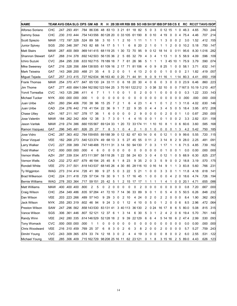| <b>NAME</b>            |            |                |                |                |                 | TEAM AVG OBA SLG OPS GM ABR                           |    |           |    |              |      |             |           |           |       |                |                         |              |                 |    |                |                |           | H 2B 3B HR RBI BB SO HB SH SF IBB DP SB CS E RC RC/27 TAVG ISOP |            |           |
|------------------------|------------|----------------|----------------|----------------|-----------------|-------------------------------------------------------|----|-----------|----|--------------|------|-------------|-----------|-----------|-------|----------------|-------------------------|--------------|-----------------|----|----------------|----------------|-----------|-----------------------------------------------------------------|------------|-----------|
| Alfonso Soriano        | CHC        |                |                |                |                 | .247 .293 .491 .784 86336 48 83 13 3 21 61 18 82      |    |           |    |              |      |             |           |           | 5     | $\mathbf 0$    | 3                       |              | 0 12 15         |    | 1              | 0              | 46.3      | 4.65                                                            | .763       | .244      |
| Sammy Sosa             | CHC        |                |                |                |                 | .230 310 444 754 143 556                              |    | 80 128 20 |    |              |      | 0 33 105    |           | 61 190    | 8     |                | 010                     | 4            | 19              | 0  | 0              | $\overline{4}$ | 75.4      | 4.46                                                            | .707       | .214      |
| Scott Spiezio          | MAW        |                | .172 .197 .328 |                |                 | .524 89 58                                            | 3  | 10        | -1 | 1            | 2    | -10         | 1         | 11        |       | 1              | 1                       | 1            | 3               | 0  | 0              | $\overline{2}$ | 3.0       | 1.52                                                            | .412       | .155      |
| <b>Junior Spivey</b>   | SGS        |                |                |                |                 | .250 .346 .397 .743 82 68                             | 14 | 17        | 5  |              |      | 6           | 8         | 20        | 2     | 1              | 0                       |              |                 | 2  | 0              | 0              | 10.2      | 5.18                                                            | .750       | .147      |
| <b>Matt Stairs</b>     | <b>MAW</b> |                | .287.400.569   |                |                 | .969 141 415                                          |    | 68 119 25 |    | 1            | 30   | 72          | 70        | 95        | 9     |                | 0 12                    | 18           | 14              | 0  | 0 1 1          |                | 95.6      |                                                                 | 8.30 1.016 | .282      |
| Shannon Stewart        | <b>GAT</b> |                | .268 .314 .378 |                |                 | .692 142 503                                          |    | 56 135 36 |    | 2            | 5    | 65          | 32        | 79        | 4     | 3              | 4                       | 1            | 13              |    | 0              | 5              | 58.9      | 4.09                                                            | .596       | .109      |
| Ichiro Suzuki          | CVC        |                | .264 .295 .338 |                |                 | 633 162 715 78 189 18                                 |    |           |    | 7            | 7    | 61          | 26        | 96        | 5     | 1              | 1                       |              | 3               | 45 | 10             | -1             | 75.9      | 3.79                                                            | .590       | .074      |
| <b>Mike Sweeney</b>    | <b>GAT</b> |                | .216 328 356   |                |                 | 684 138 505 61 109 16                                 |    |           |    |              | 2 17 | 71          |           | 81 106    | 4     | 0              | 9                       | 8            | -25             |    | 0              | 0              | 58.1      | 3.71                                                            | .632       | .141      |
| <b>Mark Teixeira</b>   | GAT        |                | .143.268.200   |                | .468 21         | -35                                                   | 4  | 5         | 2  | 0            | 0    | 1           | 4         | 13        | 2     | 0              | 0                       | 0            | 1               | 0  | 0              | 0              | 2.1       | 1.82                                                            | .419       | .057      |
| Miguel Tejada          | GAT        |                | .257 .313 .415 |                |                 | .727 162 634 96 163 40                                |    |           |    |              | 020  | 71          | 44        | 91        | 9     | 0              | 9                       | 11           | 16              | 1  |                | 1 14           | 80.3      | 4.41                                                            | .650       | .158      |
| <b>Frank Thomas</b>    | <b>MAW</b> |                |                |                |                 | .254 .370 .477 .847 65 130 24 33 11                   |    |           |    | 0            | 6    |             | 18 20 30  |           | 4     | 0              | 6                       | 0            | 3               | 0  | 0              |                | 023.9     | 6.46                                                            | .860       | .223      |
| <b>Jim Thome</b>       | GAT        |                |                |                |                 | .277 .400 .684 1.084 162 592 123 164 25               |    |           |    | 3            | 70   | 161 122 212 |           |           | 3     | 0              | 38                      | 32           | 10              | 0  | 0              |                | 7 167.5   | 10.19 1.210                                                     |            | .407      |
| Yorvit Torrealba       | CVC        |                | .143 .125 .286 |                | .411            | 4<br>7                                                | 1  |           |    | 0            | 0    | 1           | 0         | 2         | 0     | 0              | 1                       | 0            | 0               | 0  | 0              | 0              | 0.3       | 1.22                                                            | .333       | .143      |
| Michael Tucker         | <b>NYK</b> |                | 000.000.000.   |                | .000            | 0                                                     | 0  | 0         | 0  | 0            | 0    | 0           | 0         | 0         | 0     | 0              | 0                       | 0            | 0               | 0  | 0              | 0              | .000      | .000                                                            | .000       | .000      |
| Juan Uribe             | AZH        |                | .260 .294 .406 |                | .700 38         | -96                                                   | 15 | 25        | 7  | 2            |      | 6           | 4         | 23        |       | 4              |                         | 0            |                 | 2  |                | 3              | 11.6      | 4.02                                                            | .630       | .146      |
| Juan Uribe             | CAD        |                | .234 .276 .442 |                | .718            | 41 154                                                | 22 | 36        | 9  | 1            | 7    | 22          | 9         | 35        | 0     | 4              | 4                       | 3            | 4               | 5  | 0              | 5              | 18.4      | 3.95                                                            | .672       | .208      |
| Chase Utley            | AZH        |                |                | .167 .211 .167 | .378            | 36<br>- 17                                            | 1  | 6         | 0  | 0            | 0    | 0           | 2         | 9         | 0     | 0              | 0                       | 0            | 2               | 0  | 0              | -1             | 1.0       | 0.87                                                            | .250       | .000      |
| Jose Valentin          | MAW        | .184 .262 .342 |                |                | .604            | 38<br>12                                              | 3  | 7         | 3  | 0            | 1    | 4           | 4         | 15        | 0     | 0              |                         | 0            |                 | 0  | 0              | $\overline{2}$ | 3.3       | 2.82                                                            | .531       | .158      |
| Jason Varitek          | MAW        |                | .219 .274 .386 |                |                 | .660 155 567                                          |    | 69 124 33 |    | -1           | 20   | 72          |           | 33 174 11 |       |                | 1 10                    | 10           | 8               | 1  | 0              | 6              | 60.6      | 3.60                                                            | .585       | .168      |
| Ramon Vazquez          | GAT        |                | .296 345 481   |                |                 | .826 25 27                                            | 7  | 8         | 3  | $\mathbf{1}$ | 0    | 4           | 2         | 1         | 0     | 1              | 0                       | 0            | 0               | 0  | 1              | 3              | 4.2       | 5.42                                                            | .750       | .185      |
| Jose Vidro             | CHC        |                | .287 .363 .402 |                |                 | 764 159 655 89 188 39                                 |    |           |    |              |      | 0 12 82 67  |           |           | 63 14 | 0              | 6                       |              | 0 <sub>12</sub> | 1  | 0              | 9              | 99.6      | 5.55                                                            | .720       | .115      |
| Omar Vizquel           | VEE        |                | .182 .268 .273 |                |                 | .540 123 374 49 68 13                                 |    |           |    | 3            | 5    | 27          | 45        | -55       | 0     | 11             | 2                       |              | 3 14            | 8  | 2              | -9             | 28.0      | 2.25                                                            | .481       | .091      |
| Larry Walker           | CVC        |                | .227 .358 .389 |                |                 | .747 148 488                                          |    | 75 111    | 31 | 3            | 14   | 50          |           | 94 130    | 7     | 0              | 3                       |              | 1 17            |    | 1              | 6              | 71.5      | 4.85                                                            | .739       | .162      |
| <b>Todd Walker</b>     | <b>CVC</b> |                | .000 000 000   |                | .000            | 6<br>4                                                | 0  | 0         | 0  | 0            | 0    | 0           | 0         | 0         | 0     | 0              | 0                       | 0            | 1               | 0  | 0              | -1             | 0.0       | 0.00                                                            | .000       | .000      |
| Vernon Wells           | AZH        |                | .297 .339 .534 |                |                 | .873 111 397                                          |    | 58 118 26 |    | 1            | -22  | 58          | 24        | 63        | 3     | 0              | 4                       | 0            | 12              | 1  | 0              | 5              | 68.9      | 6.30                                                            | .825       | .237      |
| Vernon Wells           | CAD        |                | .232 .272 .407 |                |                 | .679 46 194                                           |    | 25 45     | 8  | 1            | 8    | 23          | 9         | 35        | 2     | 0              | 3                       | 5            | 9               | 0  | 0              | 2              | 18.8      | 3.19                                                            | .570       | .175      |
| <b>Rondell White</b>   | VEE        |                | .270 .317 .501 |                |                 | .818 143 537                                          |    | 68 145 26 |    | 4            | 30   | 85          |           | 28 116    | 10    | 0 16           |                         | 14           | 9               | 1  | 1              | 3              | 83.8      | 5.60                                                            | .766       | .231      |
| Ty Wigginton           | WAG        |                | .273 314 414   |                | .728            | 99<br>41                                              | 9  | 27        | 5  | 0            | 3    | 22          | 5         | 21        | 1     | 0              | 0                       | 3            | 3               | 0  | 1              | 1              | 11.8      | 4.18                                                            | .618       | .141      |
| <b>Brad Wilkerson</b>  | CHC        |                | .224 .311 .418 |                | .729            | 57134                                                 | 19 | 30        | 9  | 1            | 5    | 17          | 16        | 45        | 1     | 0              | 0                       | 0            | 0               | 4  | 2              | 0              | 18.6      | 4.74                                                            | .726       | .194      |
| <b>Bernie Williams</b> | WAG        |                | .278 .353 .364 |                | .717            | 59 151                                                | 25 | 42        | 5  | 1            | 2    | 15          | 17        | 17        | 1     | 1              | 1                       | 1            | 4               | 1  | 0              | 0              | 20.1      | 4.71                                                            | .655       | .086      |
| <b>Matt Williams</b>   | <b>MAW</b> |                | 400 400 400    |                | .800            | 5<br>2                                                | 0  | 2         | 0  | 0            | 0    | 0           | 0         | 2         | 0     | 0              | 0                       | 0            | 0               | 0  | 0              | 0              | 0.8       | 7.20                                                            | .667       | .000      |
| <b>Craig Wilson</b>    | CHC        |                |                |                |                 | .254 .349 .486 .835 97 284 41 72 10 7 14              |    |           |    |              |      | 36          | 33        | 89        | 9     | 0              | -1                      | 0            | 5               | 4  | 0              | -5             | 50.5      | 6.26                                                            | .848       | .232      |
| Dan Wilson             | VEE        |                |                |                |                 | .203 .223 .266 .489 57 143                            |    | 9 29      | 3  | 0            |      | 2, 10       |           | 4 24      | 0     | 2              | $\overline{\mathbf{0}}$ | 2            | 2               | 0  | 0 <sub>0</sub> |                | 8.4       | 1.90                                                            | .362 .063  |           |
| Jack Wilson            | <b>NYK</b> |                |                |                |                 | .255 .283 .319 .602 46 94                             |    | 9 24 3    |    | 0            |      | 1 12        |           | 4 10      | 0     | 5              | - 0                     | 1            | 2               | 0  | 0 <sub>6</sub> |                | 8.5       | 2.96                                                            |            | .472 .064 |
| Preston Wilson         | SAW        |                |                |                |                 | 247 .296 .562 .858 143 530 83 131 41 3 40 113 36 130  |    |           |    |              |      |             |           |           |       |                |                         | 2 0 24 16 17 |                 | 8  |                |                | 6 5 80.0  | 5.08                                                            |            | .815 .315 |
| Vance Wilson           | SGS        |                |                |                |                 | .306 .361 .446 .807 52121 12 37 6 1 3 14              |    |           |    |              |      |             |           | 6 30      | 5     | 3              | $\overline{1}$          | $\mathbf{2}$ | 4               | 2  |                |                | 0619.4    | 5.70                                                            | .761 .140  |           |
| Randy Winn             | <b>VEE</b> |                |                |                |                 | .242 .280 .335 .614 146 529 52 128 18 2 9             |    |           |    |              |      |             | 39 22 129 |           | 6     | 6              | 4                       |              | 5 14 18         |    |                |                | 6 2 4 7 4 | 2.99                                                            | .530 .093  |           |
| Tony Womack            | <b>CVC</b> |                |                |                | 000 000 000 000 | $\mathbf{1}$<br>1                                     | 0  | 0         | 0  | 0            | 0    | 0           | 0         | 0         | 0     | 0              | $\overline{\mathbf{0}}$ | 0            | 0               | 0  | 0 <sub>0</sub> |                | 0.0       | 0.00                                                            |            | .000 .000 |
| Chris Woodward         | VEE        |                |                |                |                 | .216 .310 .459 .769 25 37                             | 6  | 8         | 3  | 0            | 2    | 6           | 3         | 8         | 2     | 0              | 0                       | 2            | 0               | 0  | 0 <sub>0</sub> |                | 5.7       | 5.27                                                            |            | .759 .243 |
| Dimitri Young          | <b>CVC</b> |                |                |                |                 | .243 .309 .365 .674 33 74 12 18                       |    |           | 3  | 0            | 2    | 4           | 4         | 19        | 3     | 0              | 0                       | 0            | 8               | 0  | 0 <sub>2</sub> |                | 6.0       | 2.55                                                            |            | .531 .122 |
| Michael Young          | VEE        |                |                |                |                 | .285 .306 .409 .715 162 729 98 208 25 16 11 62 23 121 |    |           |    |              |      |             |           |           |       | 0 <sub>1</sub> | 8                       |              | 3 15 16         |    |                |                | 2 5 89.0  | 4.43                                                            |            | .626 .123 |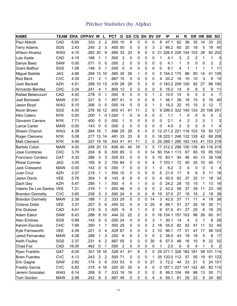#### Pitcher Statistics (by Alpha)

| <b>NAME</b>               | TEAM       |       | <b>ERA OPPAV W</b> |                | L                | <b>PCT</b> | G              | GS | CG SH SV GF |   |    |                   | IP                   | н   | R              |     | ER HR BB       |            | <b>SO</b>               |
|---------------------------|------------|-------|--------------------|----------------|------------------|------------|----------------|----|-------------|---|----|-------------------|----------------------|-----|----------------|-----|----------------|------------|-------------------------|
| Paul Abbott               | CAD        | 6.65  | .333               | 2              | $\overline{2}$   | .500 10    |                | 8  | 0           | 0 | 0  | 8                 | 47.1                 | 62  | 36             | 35  | 14             | 33         | 22                      |
| <b>Terry Adams</b>        | SGS        | 2.43  | .245               | $\overline{2}$ | 3                | .400       | 50             | 0  | 0           | 0 | 3  | 2                 | 66.2                 | 60  | 20             | 18  | 5              | 19         | 45                      |
| <b>Wilson Alvarez</b>     | <b>WAG</b> | 4.10  | .262               | 20             | 9                | .690       | 33             | 33 | 9           | 0 | 0  |                   | 21 226.0 226         |     | 104            | 103 | 28             | 60         | 202                     |
| Luis Ayala                | CAD        | 4.15  | .188               | 1              | 1                | .500       | 3              | 0  | 0           | 0 | 0  | 1                 | 4.1                  | 3   | 2              | 2   | 1              | 1          | 3                       |
| Danys Baez                | <b>SAW</b> | 0.00  | .071               | 0              | 0                | .000       | 2              | 0  | 0           | 0 | 0  | 0                 | 4.1                  | 1   | 0              | 0   | 0              | 2          | $\overline{2}$          |
| <b>Grant Balfour</b>      | SGS        | 1.08  | .148               | 0              | -1               | .000       | 5              | 0  | 0           | 0 | 0  | 0                 | 8.1                  | 4   | 1              | 1   | 1              | 1          | 11                      |
| <b>Miguel Batista</b>     | <b>JAG</b> | 4.66  | .284               | 13             | 10               | .565       | 35             | 26 | 1           | 0 | 0  | 5                 | 154.2 175            |     | 86             | 80  | 14             | 41         | 109                     |
| <b>Rod Beck</b>           | <b>CVC</b> | 4.35  | .211               | 2              | -1               | .667 15    |                | 0  | 0           | 0 | 0  | 4                 | 20.2                 | 16  | 10             | 10  | 3              | 9          | 15                      |
| <b>Josh Beckett</b>       | <b>AZH</b> | 4.51  | .289               | 10             | 13               | .435       | 28             | 28 | 5           | 3 | 0  | 0                 | 183.2 209            |     | 100            | 92  | 27             | 88         | 190                     |
| Armando Benitez           | <b>CHC</b> | 3.24  | .241               | 4              | 1                | .800       | 12             | 0  | 0           | 0 | 0  | 5                 | 16.2                 | 14  | 6              | 6   | 0              | 9          | 11                      |
| Rafael Betancourt         | CAD        | 4.50  | .278               | $\mathbf 0$    | 1                | .000       | 9              | 0  | 0           | 0 | 1  | $\overline{2}$    | 10.0                 | 10  | $6\phantom{1}$ | 5   | $\overline{2}$ | 4          | 7                       |
| Joel Borowski             | <b>MAW</b> | 2.91  | .221               | 6              | 1                | .857 41    |                | 0  | 0           | 0 | 8  | 1                 | 46.1                 | 38  | 18             | 15  | 6              | 16         | 40                      |
| Jason Boyd                | <b>WAG</b> | 8.10  | .306               | 0              | 0                | .000       | 14             | 0  | 0           | 0 | 1  | 2                 | 16.2                 | 22  | 15             | 15  | 3              | 12         | 7                       |
| Kevin Brown               | SGS        | 4.00  | .276               | 18             | 12               | .600       | 41             | 41 | 11          | 2 | 0  |                   | 9 299.0              | 322 | 140            | 133 | 25             |            | 106 251                 |
| <b>Kiko Calero</b>        | <b>NYK</b> | 0.00  | .200               | 1              | 0                | 1.000      | 1              | 0  | 0           | 0 | 0  | 0                 | 1.1                  | 1   | 0              | 0   | 0              | 0          | $\overline{c}$          |
| Giovanni Carrara          | <b>NYK</b> | 7.71  | .400               | 0              | 0                | .000       | 1              | 0  | 0           | 0 | 0  | 0                 | 2.1                  | 4   | 2              | 2   | 0              | 1          | 3                       |
| Lance Carter              | <b>MAW</b> | 0.00  | .143               | 0              | 0                | .000       | 2              | 0  | 0           | 0 | 0  | 0                 | 4.0                  | 2   | 0              | 0   | 0              | 1          | 4                       |
| Shawn Chacon              | <b>WAG</b> | 4.38  | .264               | 16             | 7                | .696       | 29             | 29 | 5           | 0 | 0  | $12 \overline{ }$ | 211.2 221            |     | 116            | 103 | 19             | 93         | 127                     |
| Roger Clemens             | <b>NYK</b> | 5.08  | .277               | 13             | 14               | .481       | 33             | 33 | 8           | 0 | 0  |                   | 18 223.1             | 246 | 132            | 126 | 42             | 69         | 208                     |
| <b>Matt Clement</b>       | <b>NYK</b> | 4.46  | .257               | 19             | 16               | .543 41    |                | 41 | 11          | 2 | 0  |                   | 25 288.1             | 285 | 163            | 143 | 41             | 153        | 218                     |
| <b>Bartolo Colon</b>      | <b>MAW</b> | 4.00  | .249               | 20             | 13               | .606 40    |                | 40 | 19          | 3 | 0  | 17                | 312.2 298            |     | 150            | 139 |                | 40 116     | 219                     |
| <b>Jose Contreras</b>     | <b>CHC</b> | 3.79  | .204               | 6              | 6                | .500 65    |                | 0  | 0           | 0 | 14 | 50                | 154.1                | 113 | 67             | 65  | 16             | 65         | 163                     |
| <b>Francisco Cordero</b>  | <b>GAT</b> | 4.32  | .286               | 3              | 3                | .500 53    |                | 0  | 0           | 0 | 5  | 10                | 83.1                 | 94  | 46             | 40  | 13             | 38         | 108                     |
| <b>Rheal Cormier</b>      | <b>JAG</b> | 3.05  | .195               | 6              | 2                | .750       | 84             | 0  | 0           | 0 | 4  |                   | 7 103.1              | 72  | 40             | 35  | 10             | 45         | 71                      |
| <b>Jack Cressend</b>      | <b>MAW</b> | 0.00  | .143               | 0              | 0                | .000       | 7              | 0  | 0           | 0 | 1  | 0                 | 6.2                  | 3   | 0              | 0   | 0              | 0          | 4                       |
| Juan Cruz                 | <b>AZH</b> | 2.57  | .218               | 1              | 1                | .500       | 10             | 0  | 0           | 0 | 0  | 5                 | 21.0                 | 17  | 9              | 6   | 5              | 11         | 18                      |
| Jason Davis               | <b>VEE</b> | 5.76  | .304               | 1              | 6                | .143       | 8              | 8  | 0           | 0 | 0  | 4                 | 50.0                 | 62  | 37             | 32  | 11             | 18         | 34                      |
| Zach Day                  | <b>AZH</b> | 5.47  | .295               | 1              | 1                | .500       | 4              | 4  | 1           | 0 | 0  | 0                 | 24.2                 | 28  | 15             | 15  | 1              | 13         | 16                      |
| Valerio De Los Santos VEE |            | 7.21  | .319               | 1              | 1                | .500       | 46             | 0  | 0           | 0 | 0  | 2                 | 43.2                 | 58  | 37             | 35  | 11             | 23         | 38                      |
| <b>Brandon Donnelly</b>   | <b>CVC</b> | 3.65  | .208               | 3              | 3                | .500       | 24             | 0  | 0           | 0 | 8  | 19                | 37.0                 | 27  | 16             | 15  | 2              | 19         | 39                      |
| <b>Brandon Donnelly</b>   | <b>MAW</b> | 2.36  | .188               | 1              | 2                | .333       | 29             | 0  | 0           | 0 | 14 | 3                 | 42.0                 | 27  | 11             | 11  | 4              | 19         | 36                      |
| <b>Octavio Dotel</b>      | <b>VEE</b> | 3.37  | .207               | 5              | 6                | 455 52     |                | 0  | 0           | 0 | 25 | 8                 | 69.1                 | 51  | 27             | 26  | 16             | 30         | 71                      |
| Eric Dubose               | CAD        | 4.41  | .219               | 5              | 3                | .625       | 9              | 9  | 1           | 0 | 0  | 6                 | 51.0                 | 41  | 27             | 25  | 6              | 16         | 25                      |
| Adam Eaton                | <b>SAW</b> | 6.43  | .288               | 8              | 10               | .444 22    |                | 22 | 2           | 0 | 0  |                   | 16 134.1 157 103     |     |                | 96  | 28             | 60         | 91                      |
| Alan Embree               | SGS        | 0.89  | .143               | 0              | $\boldsymbol{0}$ | .000 24    |                | 0  | 0           | 0 | 3  | 1                 | 30.1                 | 14  | 4              | 3   | 1              | 8          | 28                      |
| Kelvim Escobar            | <b>CHC</b> | 7.69  | .350               | 1              | 1                | .500 29    |                | 0  | 0           | 0 | 2  | 18                | 55.0                 | 82  | 52             | 47  | 11             | 33         | 45                      |
| Kyle Farnsworth           | <b>VEE</b> | 4.39  | .221               | 3              | 4                | .429 67    |                | 0  | 0           | 0 | 2  | 10                | 96.1                 | 77  | 51             | 47  | 17             | 58         | 103                     |
| <b>Jared Fernandez</b>    | <b>MAW</b> | 4.26  | .289               | 1              | 3                | .250       | 6              | 6  | 2           | 0 | 0  | 2                 | 38.0                 | 43  | 18             | 18  | 5              | 8          | 17                      |
| Keith Foulke              | SGS        | 2.37  | .231               | 4              | $\overline{2}$   | .667 55    |                | 0  | 0           | 0 | 30 | 6                 | 57.0                 | 48  | 16             | 15  | 9              | 22         | 52                      |
| Chad Fox                  | CAD        | 18.00 | .462               | 0              | 1                | .000       | $\overline{2}$ | 0  | 0           | 0 | 0  | 1                 | 2.0                  | 6   | $\,6$          | 4   | 1              | 5          | $\overline{\mathbf{c}}$ |
| Ryan Franklin             | <b>GAT</b> | 6.00  | .301               | 18 16          |                  | .529 41    |                | 41 | 8           | 0 | 0  |                   | 29 271.1 328 183 181 |     |                |     |                | 58 101 114 |                         |
| <b>Brian Fuentes</b>      | <b>CVC</b> | 4.13  | .243               | $\overline{2}$ | $\overline{2}$   | .500 71    |                | 0  | 0           | 0 | 1  |                   | 35 120.0 112         |     | 57             | 55  | 19             |            | 61 122                  |
| Eric Gagne                | <b>SAW</b> | 2.60  | .174               | 3              | 6                | .333 53    |                | 0  | 0           | 0 | 27 | 3                 | 72.2                 | 44  | 23             | 21  | 5              | 24         | 101                     |
| <b>Freddy Garcia</b>      | <b>CVC</b> | 6.82  | .315               | 4              | 16               | .200 30    |                | 30 | 4           | 0 | 0  |                   | 0 187.1 237 147 142  |     |                |     | 45             |            | 82 115                  |
| Jeremi Gonzalez           | <b>WAG</b> | 6.14  | .269               | 8              | 7                | .533 16    |                | 16 | 2           | 0 | 0  | 8                 | 99.2 104             |     | 69             | 68  | 13             | 55         | 71                      |
| Tom Gordon                | <b>MAW</b> | 2.99  | .242               | 6              | 3                | .667 49    |                | 0  | 0           | 0 | 4  | 4                 | 69.1                 | 61  | 25             | 23  | 9              | 34         | 80                      |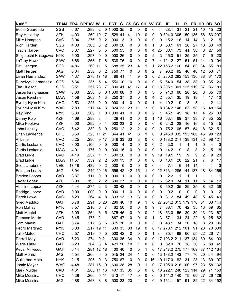| <b>NAME</b>            | <b>TEAM</b> |       | ERA OPPAV W |       | L              | <b>PCT</b> | G               | <b>GS CG SH SV GF</b> |             |   |    |    | IP                   | H   | $\mathsf{R}$ |     | ER HR BB |        | <b>SO</b> |
|------------------------|-------------|-------|-------------|-------|----------------|------------|-----------------|-----------------------|-------------|---|----|----|----------------------|-----|--------------|-----|----------|--------|-----------|
| Eddie Guardado         | SGS         | 6.67  | .282        | 2     | 0              | 1.000      | 35              | 0                     | 0           | 0 | 0  | 4  | 28.1                 | 31  | 21           | 21  | 10       | 15     | 23        |
| Roy Halladay           | <b>AZH</b>  | 4.03  | .260        | 19    | 17             | .528       | 41              | 41                    | 10          | 0 | 0  | 0  | 304.0                | 305 | 150          | 136 | 56       | 63     | 207       |
| Mike Hampton           | <b>CVC</b>  | 8.04  | .276        | 0     | 2              | .000       | 3               | 3                     | 0           | 0 | 0  | 0  | 15.2                 | 16  | 14           | 14  | 3        | 12     | 5         |
| <b>Rich Harden</b>     | SGS         | 4.83  | .303        | 3     | 2              | .600       | 28              | 0                     | 0           | 0 | 1  | 3  | 50.1                 | 61  | 28           | 27  | 10       | 33     | 40        |
| <b>Travis Harper</b>   | <b>CVC</b>  | 3.87  | .227        | 5     | 5              | .500       | 55              | 0                     | 0           | 0 | 4  | 25 | 88.1                 | 73  | 41           | 38  | 8        | 27     | 56        |
| Shigetoshi Hasegawa    | <b>NYK</b>  | 5.00  | .297        | 0     | $\Omega$       | .000       | 26              | 0                     | 0           | 0 | 2  | 3  | 45.0                 | 51  | 25           | 25  | 7        | 9      | 20        |
| LaTroy Hawkins         | <b>SAW</b>  | 3.68  | .268        | 7     | 6              | .538 76    |                 | 0                     | 0           | 0 | 7  |    | 4 124.2 127          |     | 51           | 51  | 14       | 40     | 104       |
| Pat Hentgen            | SGS         | 4.86  | .268        | 11    | 5              | .688       | 25              | 23                    | 4           | 1 | 1  | 22 | 153.2                | 160 | 84           | 83  | 34       | 65     | 89        |
| <b>Matt Herges</b>     | <b>JAG</b>  | 3.84  | .256        | 6     | 2              | .750       | 77              | 0                     | 0           | 0 | 2  | 7  | 93.2                 | 92  | 46           | 40  | 12       | 53     | 71        |
| Livan Hernandez        | <b>SAW</b>  | 4.37  | .270        | 17    | 18             | .486 41    |                 | 41                    | 9           | 3 | 0  |    | 24 280.0             | 292 | 153          | 136 | 38       | 81     | 170       |
| Runelvys Hernandez     | SGS         | 5.34  | .235        | 5     | 4              | .556 10    |                 | 10                    | $\mathbf 0$ | 0 | 0  | 5  | 64.0                 | 54  | 38           | 38  | 9        | 35     | 26        |
| Tim Hudson             | SGS         | 3.51  | .257        | 28    | 7              | .800       | 41              | 41                    | 17          | 4 | 0  | 13 | 305.1                | 301 | 125          | 119 | 37       | 86     | 189       |
| Jason Isringhausen     | <b>SAW</b>  | 3.30  | .230        | 5     | 0              | 1.000      | 68              | 0                     | 0           | 0 | 3  | 5  | 71.0                 | 60  | 28           | 26  | 8        | 35     | 70        |
| Jason Kershner         | <b>MAW</b>  | 4.58  | .263        | 1     | 3              | .250 37    |                 | 0                     | 0           | 0 | 4  | 2  | 35.1                 | 35  | 19           | 18  | 4        | 17     | 10        |
| Byung-Hyun Kim         | <b>CHC</b>  | 2.53  | .225        | 0     | 0              | .000       | 4               | 0                     | 0           | 0 | 1  | 4  | 10.2                 | 9   | 3            | 3   | 1        | 2      | 11        |
| Byung-Hyun Kim         | <b>WAG</b>  | 2.83  | .217        | 14    | 3              | .824       | 23              | 23                    | 11          | 3 | 0  | 8  | 184.2                | 146 | 63           | 58  | 16       | 48     | 154       |
| Ray King               | <b>NYK</b>  | 3.30  | .269        | 1     | 0              | 1.000 41   |                 | 0                     | 0           | 0 | 2  | 1  | 46.1                 | 45  | 18           | 17  | 4        | 26     | 33        |
| Danny Kolb             | <b>AZH</b>  | 4.69  | .283        | 3     | 4              | .429       | 41              | 0                     | 0           | 0 | 1  | 16 | 63.1                 | 69  | 37           | 33  | 7        | 35     | 55        |
| Mike Koplove           | <b>AZH</b>  | 6.00  | .292        | 0     | 1              | .000       | 23              | 0                     | 0           | 0 | 0  | 8  | 24.0                 | 28  | 16           | 16  | 3        | 15     | 15        |
| John Lackey            | <b>CVC</b>  | 6.42  | .332        | 3     | 9              | .250       | 12              | 12                    | 2           | 0 | 0  | 0  | 75.2                 | 105 | 57           | 54  | 18       | 32     | 51        |
| <b>Brian Lawrence</b>  | <b>CHC</b>  | 6.59  | .325        | 11    | 21             | .344 41    |                 | 41                    | 3           | 1 | 0  |    | 0 246.0 332 195      |     |              | 180 | 45       | 90     | 123       |
| <b>Al Leiter</b>       | <b>CVC</b>  | 6.25  | .286        | 9     | -17            | .346 33    |                 | 33                    | 3           | 0 | 0  |    | 0 188.2 211          |     | 138 131      |     | 32       | 98     | 121       |
| Curtis Leskanic        | <b>CVC</b>  | 3.00  | .100        | 0     | 0              | .000       | $\overline{4}$  | 0                     | 0           | 0 | 0  | 2  | 3.0                  | 1   | 1            | 1   | 0        | 4      | 3         |
| Curtis Leskanic        | <b>MAW</b>  | 4.91  | .176        | 0     | 0              | .000       | 15              | 0                     | 0           | 0 | 0  | 0  | 14.2                 | 9   | 8            | 8   | 2        | 15     | 18        |
| <b>Brad Lidge</b>      | <b>CVC</b>  | 4.19  | .257        | 1     | 1              | .500       | 20              | 0                     | 0           | 0 | 9  | 19 | 19.1                 | 19  | 9            | 9   | 2        | 9      | 20        |
| <b>Brad Lidge</b>      | <b>MAW</b>  | 11.57 | .359        | 2     | 2              | .500       | 13              | 0                     | 0           | 0 | 0  | 3  | 16.1                 | 28  | 22           | 21  | 7        | 6      | 17        |
| <b>Scott Linebrink</b> | <b>VEE</b>  | 17.18 | .432        | 0     | 2              | .000       | $6\phantom{1}6$ | 0                     | 0           | 0 | 0  | 4  | 7.1                  | 16  | 14           | 14  | 4        | 1      | 3         |
| Esteban Loaiza         | <b>JAG</b>  | 3.94  | .240        | 20    | 16             | .556       | 42              | 42                    | 15          | 1 | 0  | 22 | 313.1                | 286 | 144          | 137 | 48       | 84     | 266       |
| <b>Braden Looper</b>   | CAD         | 3.37  | .111        | 0     | 0              | .000       | 1               | 0                     | 0           | 0 | 0  | 0  | 2.2                  | 1   | 1            | 1   | 1        | 1      | 1         |
| Javier Lopez           | <b>AZH</b>  | 3.09  | .193        | 2     | 2              | .500       | 27              | 0                     | 0           | 0 | 0  | 16 | 32.0                 | 34  | 11           | 11  | 5        | 14     | 12        |
| Aquilino Lopez         | <b>AZH</b>  | 4.44  | .274        | 2     | 3              | .400       | 42              | 0                     | 0           | 0 | 2  | 8  | 50.2                 | 35  | 29           | 25  | 8        | 32     | 39        |
| Rodrigo Lopez          | CAD         | 0.00  | .000        | 0     | $\Omega$       | .000       | 1               | 0                     | 0           | 0 | 0  | 0  | 0.2                  | 0   | 0            | 0   | 0        | 0      | 2         |
| Derek Lowe             | <b>CVC</b>  | 5.29  | .264        | 4     | 8              | .333 13    |                 | 13                    | 3           | 0 | 0  | 0  | 81.2                 | 84  | 49           | 48  | 5        | 45     | 49        |
| <b>Greg Maddux</b>     | <b>GAT</b>  | 5.78  | .291        | 8     | 20             | .286 40    |                 | 40                    | 9           | 1 | 0  |    | 27 264.2 313 179 170 |     |              |     | 51       | 63     | 144       |
| Ron Mahay              | <b>NYK</b>  | 3.57  | .216        | 6     | 7              | .462 50    |                 | 0                     | 0           | 0 | 9  | 7  | 88.1                 | 70  | 42           | 35  | 13       | 39     | 65        |
| Matt Mantei            | AZH         | 5.09  | .264        | 3     | 5              | .375 45    |                 | 0                     | 0           | 0 | 2  | 18 | 53.0                 | 55  | 30           | 30  | 13       | 23     | 67        |
| Damaso Marte           | CAD         | 3.45  | .173        | 2     | 1              | .667 47    |                 | 0                     | 0           | 0 | 1  | 3  | 57.1                 | 34  | 24           | 22  | 6        | 25     | 62        |
| Tom Martin             | <b>GAT</b>  | 3.74  | .217        | 3     | 5              | .375 38    |                 | 0                     | 0           | 0 | 3  | 3  | 43.1                 | 34  | 20           | 18  | 3        | 29     | 36        |
| Pedro Martinez         | <b>NYK</b>  | 3.03  | .217        | 19 11 |                | .633 33    |                 | 33                    | 19          | 0 | 0  |    | 17 270.1 212 101     |     |              | 91  | 28       | 70     | 300       |
| <b>Julio Mateo</b>     | <b>CHC</b>  | 6.57  | .318        | 5     | 5              | .500 42    |                 | 0                     | 0           | 0 | 1  | 34 | 75.1                 | 98  | 60           | 55  | 22       | 26     | 71        |
| Darrell May            | CAD         | 6.23  | .274        |       | 9 21           | .300 35    |                 | 34                    | 0           | 0 | 0  |    | 17 193.2 211 137 134 |     |              |     | 39       | 64     | 93        |
| <b>Wade Miller</b>     | <b>GAT</b>  | 5.23  | .304        | 3     | $\overline{4}$ | .429 10    |                 | 10                    | 1           | 0 | 0  | 0  | 62.0                 | 76  | 38           | 36  | 5        | 39     | 41        |
| Kevin Millwood         | <b>GAT</b>  | 6.14  | .281        | 12 18 |                | .400 40    |                 | 40                    | 5           | 1 | 0  |    | 17 247.2 275 177 169 |     |              |     |          | 37 112 | 164       |
| <b>Matt Morris</b>     | JAG         | 4.54  | .266        | 6     | 5              | .545 24    |                 | 24                    | 1           | 0 | 0  |    | 13 138.2 143         |     | 77           | 70  | 20       | 44     | 94        |
| Guillermo Mota         | <b>NYK</b>  | 2.15  | .205        | 9     | 3              | .750 67    |                 | 0                     | 0           | 0 | 16 |    | 10 117.0             | 82  | 31           | 28  | 13       | 39     | 107       |
| Jamie Moyer            | <b>WAG</b>  | 4.48  | .281        | 15 10 |                | .600 28    |                 | 28                    | 9           | 1 | 0  |    | 17 195.0 216 100     |     |              | 97  | 23       |        | 58 132    |
| Mark Mulder            | CAD         | 4.61  | .285 11 16  |       |                | .407 35    |                 | 35                    | 5           | 0 | 0  |    | 13 222.1 248 125 114 |     |              |     | 29       |        | 71 153    |
| Mike Mussina           | <b>CHC</b>  | 4.38  | .260        | 5     | 11             | .313 17    |                 | 17                    | 9           | 0 | 0  |    | 0 141.2 140          |     | 79           | 69  | 27       |        | 26 126    |
| Mike Mussina           | JAG         | 4.88  | .263        | 8     | 8              | .500 23    |                 | 23                    | 4           | 0 | 0  |    | 9 151.1 157          |     | 91           |     | 82 22    |        | 34 152    |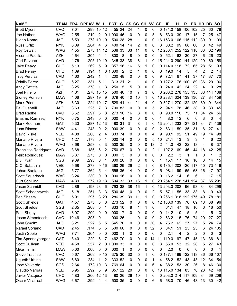| <b>NAME</b>              | <b>TEAM</b> | <b>ERA</b> | <b>OPPAV</b> | W              | L                | <b>PCT</b> | G                        | <b>GS</b>      | <b>CG SH SV</b> |   |    | GF | IP                  | н   | R              | ER.            | HR BB |     | <b>SO</b>      |
|--------------------------|-------------|------------|--------------|----------------|------------------|------------|--------------------------|----------------|-----------------|---|----|----|---------------------|-----|----------------|----------------|-------|-----|----------------|
| <b>Brett Myers</b>       | <b>CVC</b>  | 7.01       | .299         | 10             | 12               | .455       | 24                       | 24             | 1               | 0 | 0  | 0  | 131.0               | 158 | 106            | 102            | 25    | 60  | 78             |
| Joe Nathan               | <b>WAG</b>  | 2.55       | .210         | $\overline{2}$ | 0                | 1.000 46   |                          | 0              | 0               | 0 | 5  | 6  | 53.0                | 39  | 17             | 15             | 7     | 25  | 47             |
| Hideo Nomo               | <b>JAG</b>  | 6.59       | .278         | 10             | 10               | .500 28    |                          | 28             | 1               | 0 | 0  | 16 | 153.0               | 166 | 115            | 112            | 30    | 91  | 109            |
| <b>Russ Ortiz</b>        | <b>NYK</b>  | 6.09       | .284         | 4              | 6                | .400       | 14                       | 14             | 2               | 0 | 0  | 3  | 88.2                | 99  | 68             | 60             | 8     | 42  | 49             |
| <b>Roy Oswalt</b>        | <b>WAG</b>  | 4.55       | .273         | 14             | 12               | .538 33    |                          | 33             | 11              | 0 | 0  | 12 | 233.1               | 252 | 122            | 118            | 33    | 62  | 196            |
| Vicente Padilla          | <b>AZH</b>  | 4.64       | .304         | 4              | 1                | .800       | 8                        | 8              | 0               | 0 | 0  | 0  | 52.1                | 62  | 30             | 27             | 6     | 26  | 23             |
| Carl Pavano              | CAD         | 4.76       | .295         | 10             | 19               | .345 38    |                          | 38             | 6               | 1 | 0  |    | 15 244.0            | 290 | 144            | 129            | 29    | 60  | 158            |
| Jake Peavy               | <b>CHC</b>  | 5.13       | .269         | 5              | 9                | .357       | 16                       | 16             | 6               | 1 | 0  |    | 0.114.0             | 118 | 72             | 65             | 28    | 51  | 93             |
| <b>Brad Penny</b>        | <b>CHC</b>  | 1.89       | .194         | 1              | 0                | 1.000      | 2                        | $\overline{2}$ | 1               | 0 | 0  | 0  | 19.0                | 14  | 5              | 4              | 2     | 2   | 14             |
| <b>Troy Percival</b>     | CAD         | 4.60       | .242         | 1              | 4                | .200 48    |                          | 0              | 0               | 0 | 0  | 9  | 72.1                | 67  | 41             | 37             | 17    | 37  | 70             |
| <b>Odalis Perez</b>      | <b>CHC</b>  | 6.27       | .331         | 5              | 11               | .313       | 21                       | 21             | 1               | 0 | 0  |    | 0.127.2             | 176 | 100            | 89             | 36    | 29  | 96             |
| <b>Andy Pettitte</b>     | <b>JAG</b>  | 8.25       | .378         | 1              | 3                | .250       | 5                        | 5              | 0               | 0 | 0  | 0  | 24.0                | 42  | 24             | 22             | 4     | 9   | 28             |
| <b>Joel Pineiro</b>      | <b>AZH</b>  | 4.61       | .270         | 15             | 15               | .500 40    |                          | 40             | $\overline{7}$  | 3 | 0  |    | 0 263.2 278         |     | 155            | 135            | 38    | 114 | 168            |
| Sidney Ponson            | <b>MAW</b>  | 4.06       | .287         | 19             | 9                | .679 40    |                          | 40             | 10              | 1 | 0  |    | 16 288.1 324 139    |     |                | 130            | 27    | 84  | 159            |
| <b>Mark Prior</b>        | <b>AZH</b>  | 3.30       | .224         | 19             | 17               | .528 41    |                          | 41             | 21              | 4 | 0  |    | 0 327.1 270         |     | 132            | 120            | 39    | 91  | 344            |
| Pal Quantrill            | <b>JAG</b>  | 3.63       | .225         | 7              | 3                | .700 83    |                          | 0              | 0               | 0 | 5  | 2  | 94.1                | 78  | 46             | 38             | 9     | 33  | 45             |
| <b>Brad Radke</b>        | <b>CVC</b>  | 6.52       | .291         | 3              | 8                | .273       | 16                       | 16             | 3               | 0 | 0  | 0  | 98.0                | 116 | 75             | 71             | 34    | 24  | 56             |
| Erasmo Ramirez           | <b>NYK</b>  | 6.75       | .343         | 0              | 0                | .000       | $\overline{4}$           | 0              | 0               | 0 | 0  | 1  | 8.0                 | 12  | 6              | 6              | 3     | 0   | 4              |
| Mark Redman              | <b>GAT</b>  | 5.33       | .287         | 12 13          |                  | .480       | 31                       | 31             | 8               | 1 | 0  |    | 13 204.1            | 233 | 127            | 121            | 34    | 71  | 139            |
| Juan Rincon              | <b>SAW</b>  | 4.41       | .248         | 0              | 2                | .000 39    |                          | 0              | 0               | 0 | 0  | 2  | 63.1                | 59  | 35             | 31             | 6     | 27  | 41             |
| David Riske              | <b>VEE</b>  | 4.88       | .266         | 2              | 4                | .333 74    |                          | 0              | 0               | 0 | 4  | 9  | 90.1                | 92  | 51             | 49             | 19    | 14  | 98             |
| Mariano Rivera           | <b>CHC</b>  | 1.27       | .173         | 0              | 1                | .000       | 14                       | 0              | 0               | 0 | 5  | 10 | 21.1                | 13  | 3              | 3              | 1     | 6   | 22             |
| Mariano Rivera           | <b>WAG</b>  | 3.68       | .253         | 3              | 3                | .500 35    |                          | 0              | 0               | 0 | 13 | 2  | 44.0                | 42  | 22             | 18             | 4     | 8   | 37             |
| Francisco Rodriguez      | CAD         | 3.68       | .186         | 6              | 2                | .750 67    |                          | 0              | 0               | 0 | 2  | 11 | 107.2               | 69  | 46             | 44             | 18    | 42  | 125            |
| Felix Rodriguez          | <b>MAW</b>  | 3.37       | .273         | 0              | 0                | .000       | 3                        | 0              | 0               | 0 | 0  | 0  | 2.2                 | 3   | 1              | 1              | 0     | 1   | $\overline{c}$ |
| B.J. Ryan                | SGS         | 9.39       | .293         | 0              | 1                | .000 20    |                          | 0              | 0               | 0 | 0  | 1  | 15.1                | 17  | 16             | 16             | 3     | 14  | 15             |
| C.C. Sabathia            | <b>VEE</b>  | 5.68       | .278         | 9              | 16               | .360 29    |                          | 29             | 2               | 1 | 0  | 8  | 185.1               | 202 | 120            | 117            | 40    | 73  | 116            |
| Johan Santana            | <b>JAG</b>  | 5.77       | .262         | 5              | 4                | .556 36    |                          | 14             | 0               | 0 | 0  | 5  | 98.1                | 99  | 65             | 63             | 16    | 47  | 97             |
| <b>Scott Sauerbeck</b>   | <b>WAG</b>  | 3.24       | .230         | 0              | $\mathbf 0$      | $.000$ 16  |                          | 0              | 0               | 0 | 0  | 0  | 16.2                | 14  | 6              | 6              | 1     | 17  | 15             |
| <b>Curt Schilling</b>    | <b>MAW</b>  | 4.39       | .272         | 19             | 13               | .594 33    |                          | 33             | 16              | 1 | 0  | 20 | 254.1               | 278 | 141            | 124            | 37    | 65  | 291            |
| Jason Schmidt            | CAD         | 2.86       | .193         | 23             | 6                | .793       | 38                       | 38             | 16              | 1 | 0  | 13 | 293.0               | 202 | 96             | 93             | 34    | 84  | 299            |
| <b>Scott Schoeneweis</b> | <b>JAG</b>  | 5.18       | .251         | 3              | 3                | 500 48     |                          | 0              | 0               | 0 | 2  | 5  | 57.1                | 55  | 33             | 33             | 8     | 19  | 43             |
| <b>Ben Sheets</b>        | <b>CHC</b>  | 5.91       | .295         | 8              | 20               | .286 39    |                          | 39             | 11              | 1 | 0  |    | 0 266.1 318 192 175 |     |                |                | 49    | 78  | 181            |
| <b>Scott Shields</b>     | <b>GAT</b>  | 4.57       | .273         | 3              | 8                | .273 52    |                          | 0              | 0               | 0 | 6  |    | 12 136.0 139        |     | 70             | 69             | 18    | 38  | 96             |
| <b>Scot Shields</b>      | SGS         | 2.35       | .208         | 5              | 1                | .833 10    |                          | 8              | 1               | 1 | 0  | 4  | 61.1                | 47  | 18             | 16             | 6     | 16  | 50             |
| Paul Shuey               | CAD         | 3.07       | .200         | 0              | 0                | .000       | $\overline{7}$           | 0              | 0               | 0 | 0  | 0  | 14.2                | 10  | 5              | 5              | 1     | 5   | 13             |
| Jason Simontacchi        | <b>CVC</b>  | 10.46      | .398         | 0              | 1                | .000 25    |                          | 1              | 0               | 0 | 0  | 2  | 63.2 115            |     | 76             | 74             | 20    | 27  | 27             |
| John Smoltz              | <b>JAG</b>  | 3.21       | .222         | 6              | 5                | .545 70    |                          | 0              | 0               | 0 | 30 | 4  | 75.2                | 62  | 27             | 27             | 5     | 24  | 74             |
| Rafael Soriano           | CAD         | 2.45       | .174         | 5              | 5                | .500 66    |                          | 0              | 0               | 0 | 32 | 6  | 84.1                | 51  | 25             | 23             | 6     | 24  | 105            |
| <b>Justin Speier</b>     | <b>WAG</b>  | 7.71       | .364         | 0              | 0                | .000       | $\overline{1}$           | 0              | 0               | 0 | 0  | 0  | 2.1                 | 4   | $\overline{2}$ | $\overline{2}$ | 0     | 0   | 3              |
| Tim Spooneybarger        | <b>GAT</b>  | 3.40       | .229         | 6              | 7                | .462 70    |                          | 0              | 0               | 0 | 14 |    | 11 119.0            | 97  | 47             | 45             | 13    | 36  | 81             |
| Scott Sullivan           | <b>VEE</b>  | 4.58       | .257         | 2              | 0                | 1.000 33   |                          | 0              | 0               | 0 | 0  | 3  | 55.0                | 53  | 32             | 28             | 5     | 27  | 43             |
| <b>Mike Timlin</b>       | <b>MAW</b>  | 0.00       | .000         | 0              | $\boldsymbol{0}$ | .000       | $\overline{\phantom{0}}$ | 0              | 0               | 0 | 0  | 0  | 2.0                 | 0   | 0              | 0              | 0     | 0   | 1              |
| <b>Steve Trachsel</b>    | <b>CVC</b>  | 5.67       | .269         | 9              | 15               | .375 30    |                          | 30             | 5               | 1 | 0  | 0  | 187.1 199           |     | 122            | 118            | 36    | 66  | 107            |
| <b>Ugueth Urbina</b>     | <b>SAW</b>  | 6.60       | .234         | 1              | 2                | .333 52    |                          | 0              | 0               | 0 | 1  | 4  | 58.2                | 52  | 43             | 43             | 12    | 34  | 54             |
| Jose Valverde            | SGS         | 2.64       | .172 10      |                | 3                | .769 64    |                          | 0              | 0               | 0 | 6  | 4  | 88.2                | 53  | 30             | 26             | 8     | 46  | 130            |
| Claudio Vargas           | <b>VEE</b>  | 5.95       | .292         | 5              | 9                | .357 22    |                          | 20             | 0               | 0 | 0  |    | 13 115.0 134        |     | 83             | 76             | 23    | 42  | 48             |
| Javier Vazquez           | <b>CHC</b>  | 4.83       | .266 12 13   |                |                  | .480 26    |                          | 26             | 10              | 1 | 0  |    | 0 203.0 214 117     |     |                | 109            | 34    | 69  | 209            |
| <b>Oscar Villarreal</b>  | <b>WAG</b>  | 6.67       | .299         | 4              | 4                | .500 35    |                          | 0              | 0               | 0 | 6  | 6  | 58.0                | 70  | 46             | 43             | 13    | 30  | 42             |